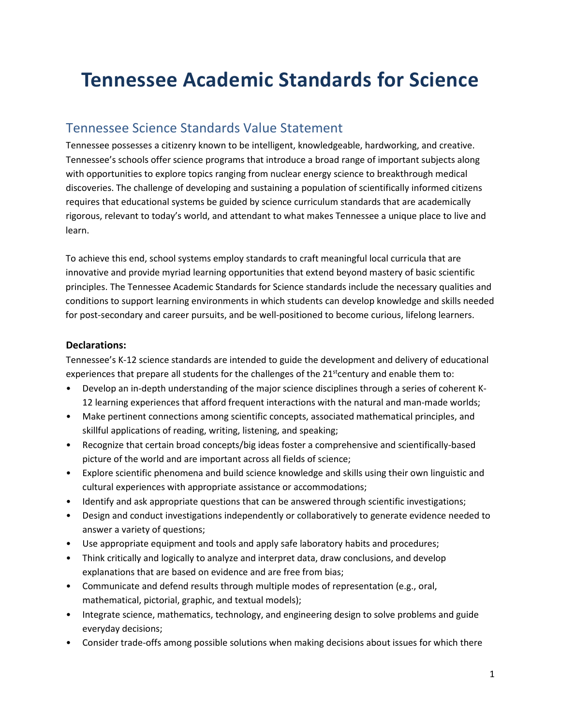# **Tennessee Academic Standards for Science**

### Tennessee Science Standards Value Statement

Tennessee possesses a citizenry known to be intelligent, knowledgeable, hardworking, and creative. Tennessee's schools offer science programs that introduce a broad range of important subjects along with opportunities to explore topics ranging from nuclear energy science to breakthrough medical discoveries. The challenge of developing and sustaining a population of scientifically informed citizens requires that educational systems be guided by science curriculum standards that are academically rigorous, relevant to today's world, and attendant to what makes Tennessee a unique place to live and learn.

To achieve this end, school systems employ standards to craft meaningful local curricula that are innovative and provide myriad learning opportunities that extend beyond mastery of basic scientific principles. The Tennessee Academic Standards for Science standards include the necessary qualities and conditions to support learning environments in which students can develop knowledge and skills needed for post-secondary and career pursuits, and be well-positioned to become curious, lifelong learners.

#### **Declarations:**

Tennessee's K-12 science standards are intended to guide the development and delivery of educational experiences that prepare all students for the challenges of the 21<sup>st</sup>century and enable them to:

- Develop an in-depth understanding of the major science disciplines through a series of coherent K-12 learning experiences that afford frequent interactions with the natural and man-made worlds;
- Make pertinent connections among scientific concepts, associated mathematical principles, and skillful applications of reading, writing, listening, and speaking;
- Recognize that certain broad concepts/big ideas foster a comprehensive and scientifically-based picture of the world and are important across all fields of science;
- Explore scientific phenomena and build science knowledge and skills using their own linguistic and cultural experiences with appropriate assistance or accommodations;
- Identify and ask appropriate questions that can be answered through scientific investigations;
- Design and conduct investigations independently or collaboratively to generate evidence needed to answer a variety of questions;
- Use appropriate equipment and tools and apply safe laboratory habits and procedures;
- Think critically and logically to analyze and interpret data, draw conclusions, and develop explanations that are based on evidence and are free from bias;
- Communicate and defend results through multiple modes of representation (e.g., oral, mathematical, pictorial, graphic, and textual models);
- Integrate science, mathematics, technology, and engineering design to solve problems and guide everyday decisions;
- Consider trade-offs among possible solutions when making decisions about issues for which there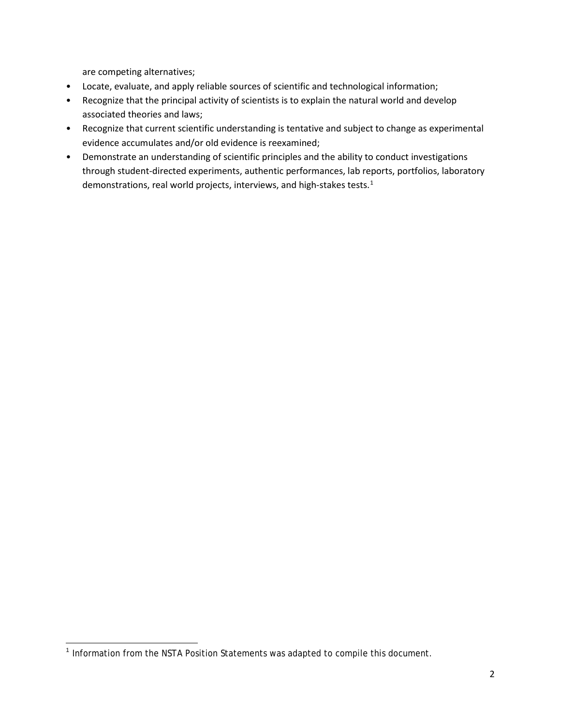are competing alternatives;

- Locate, evaluate, and apply reliable sources of scientific and technological information;
- Recognize that the principal activity of scientists is to explain the natural world and develop associated theories and laws;
- Recognize that current scientific understanding is tentative and subject to change as experimental evidence accumulates and/or old evidence is reexamined;
- Demonstrate an understanding of scientific principles and the ability to conduct investigations through student-directed experiments, authentic performances, lab reports, portfolios, laboratory demonstrations, real world projects, interviews, and high-stakes tests.<sup>[1](#page-1-0)</sup>

<span id="page-1-0"></span><sup>&</sup>lt;sup>1</sup> Information from the NSTA Position Statements was adapted to compile this document.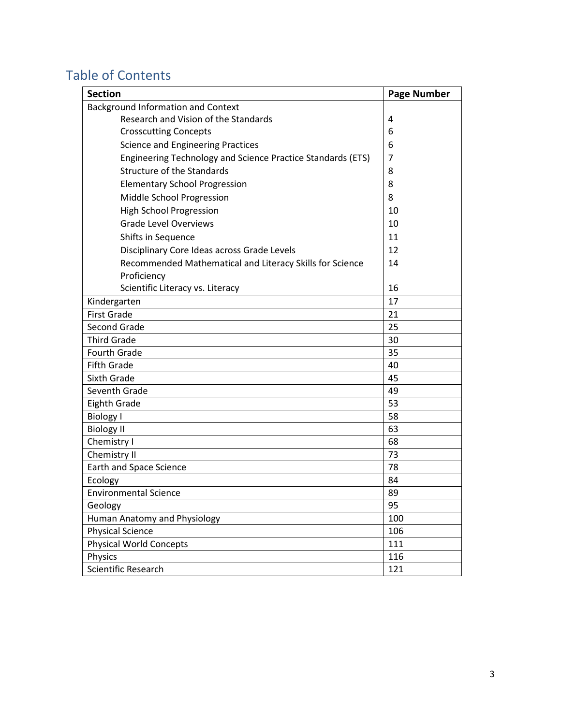# Table of Contents

| <b>Section</b>                                              | <b>Page Number</b> |
|-------------------------------------------------------------|--------------------|
| Background Information and Context                          |                    |
| Research and Vision of the Standards                        | 4                  |
| <b>Crosscutting Concepts</b>                                | 6                  |
| Science and Engineering Practices                           | 6                  |
| Engineering Technology and Science Practice Standards (ETS) | 7                  |
| <b>Structure of the Standards</b>                           | 8                  |
| <b>Elementary School Progression</b>                        | 8                  |
| Middle School Progression                                   | 8                  |
| <b>High School Progression</b>                              | 10                 |
| <b>Grade Level Overviews</b>                                | 10                 |
| Shifts in Sequence                                          | 11                 |
| Disciplinary Core Ideas across Grade Levels                 | 12                 |
| Recommended Mathematical and Literacy Skills for Science    | 14                 |
| Proficiency<br>Scientific Literacy vs. Literacy             | 16                 |
| Kindergarten                                                | 17                 |
| <b>First Grade</b>                                          | 21                 |
| Second Grade                                                | 25                 |
| <b>Third Grade</b>                                          | 30                 |
| <b>Fourth Grade</b>                                         | 35                 |
| <b>Fifth Grade</b>                                          | 40                 |
| Sixth Grade                                                 | 45                 |
| Seventh Grade                                               | 49                 |
| <b>Eighth Grade</b>                                         | 53                 |
| <b>Biology I</b>                                            | 58                 |
| <b>Biology II</b>                                           | 63                 |
| Chemistry I                                                 | 68                 |
| Chemistry II                                                | 73                 |
| <b>Earth and Space Science</b>                              | 78                 |
| Ecology                                                     | 84                 |
| <b>Environmental Science</b>                                | 89                 |
| Geology                                                     | 95                 |
| Human Anatomy and Physiology                                | 100                |
| <b>Physical Science</b>                                     | 106                |
| <b>Physical World Concepts</b>                              | 111                |
| Physics                                                     | 116                |
| Scientific Research                                         | 121                |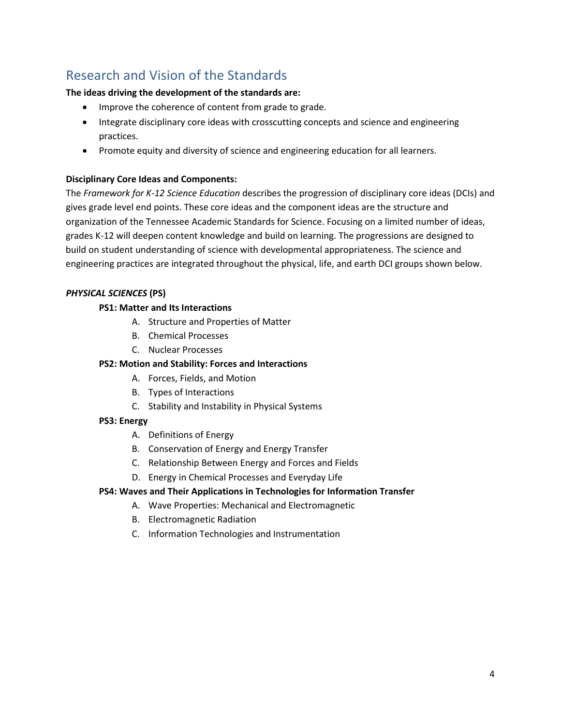# Research and Vision of the Standards

#### **The ideas driving the development of the standards are:**

- Improve the coherence of content from grade to grade.
- Integrate disciplinary core ideas with crosscutting concepts and science and engineering practices.
- Promote equity and diversity of science and engineering education for all learners.

#### **Disciplinary Core Ideas and Components:**

The *Framework for K-12 Science Education* describes the progression of disciplinary core ideas (DCIs) and gives grade level end points. These core ideas and the component ideas are the structure and organization of the Tennessee Academic Standards for Science. Focusing on a limited number of ideas, grades K-12 will deepen content knowledge and build on learning. The progressions are designed to build on student understanding of science with developmental appropriateness. The science and engineering practices are integrated throughout the physical, life, and earth DCI groups shown below.

#### *PHYSICAL SCIENCES* **(PS)**

#### **PS1: Matter and Its Interactions**

- A. Structure and Properties of Matter
- B. Chemical Processes
- C. Nuclear Processes

#### **PS2: Motion and Stability: Forces and Interactions**

- A. Forces, Fields, and Motion
- B. Types of Interactions
- C. Stability and Instability in Physical Systems

#### **PS3: Energy**

- A. Definitions of Energy
- B. Conservation of Energy and Energy Transfer
- C. Relationship Between Energy and Forces and Fields
- D. Energy in Chemical Processes and Everyday Life

#### **PS4: Waves and Their Applications in Technologies for Information Transfer**

- A. Wave Properties: Mechanical and Electromagnetic
- B. Electromagnetic Radiation
- C. Information Technologies and Instrumentation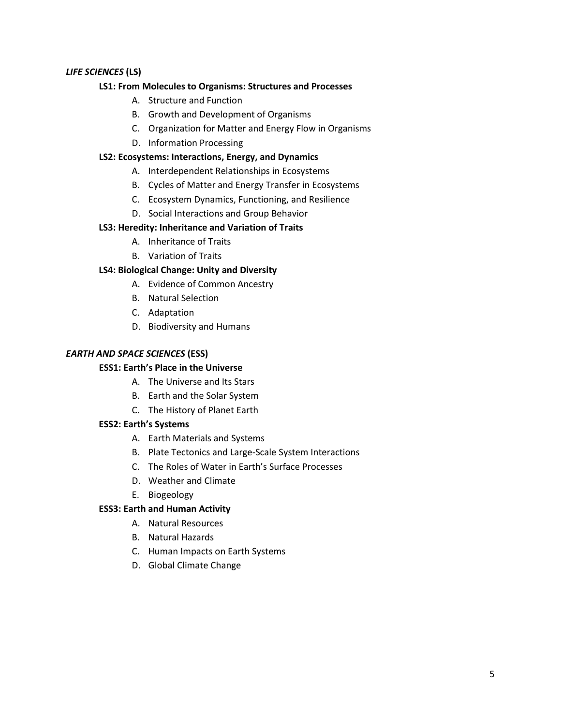#### *LIFE SCIENCES* **(LS)**

#### **LS1: From Molecules to Organisms: Structures and Processes**

- A. Structure and Function
- B. Growth and Development of Organisms
- C. Organization for Matter and Energy Flow in Organisms
- D. Information Processing

#### **LS2: Ecosystems: Interactions, Energy, and Dynamics**

- A. Interdependent Relationships in Ecosystems
- B. Cycles of Matter and Energy Transfer in Ecosystems
- C. Ecosystem Dynamics, Functioning, and Resilience
- D. Social Interactions and Group Behavior

#### **LS3: Heredity: Inheritance and Variation of Traits**

- A. Inheritance of Traits
- B. Variation of Traits

#### **LS4: Biological Change: Unity and Diversity**

- A. Evidence of Common Ancestry
- B. Natural Selection
- C. Adaptation
- D. Biodiversity and Humans

#### *EARTH AND SPACE SCIENCES* **(ESS)**

#### **ESS1: Earth's Place in the Universe**

- A. The Universe and Its Stars
- B. Earth and the Solar System
- C. The History of Planet Earth

#### **ESS2: Earth's Systems**

- A. Earth Materials and Systems
- B. Plate Tectonics and Large-Scale System Interactions
- C. The Roles of Water in Earth's Surface Processes
- D. Weather and Climate
- E. Biogeology

#### **ESS3: Earth and Human Activity**

- A. Natural Resources
- B. Natural Hazards
- C. Human Impacts on Earth Systems
- D. Global Climate Change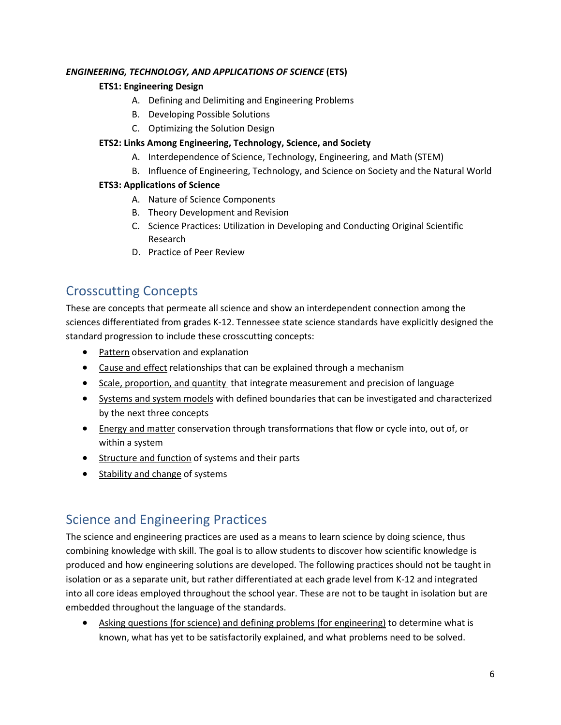#### *ENGINEERING, TECHNOLOGY, AND APPLICATIONS OF SCIENCE* **(ETS)**

### **ETS1: Engineering Design**

- A. Defining and Delimiting and Engineering Problems
- B. Developing Possible Solutions
- C. Optimizing the Solution Design

### **ETS2: Links Among Engineering, Technology, Science, and Society**

- A. Interdependence of Science, Technology, Engineering, and Math (STEM)
- B. Influence of Engineering, Technology, and Science on Society and the Natural World

#### **ETS3: Applications of Science**

- A. Nature of Science Components
- B. Theory Development and Revision
- C. Science Practices: Utilization in Developing and Conducting Original Scientific Research
- D. Practice of Peer Review

# Crosscutting Concepts

These are concepts that permeate all science and show an interdependent connection among the sciences differentiated from grades K-12. Tennessee state science standards have explicitly designed the standard progression to include these crosscutting concepts:

- Pattern observation and explanation
- Cause and effect relationships that can be explained through a mechanism
- Scale, proportion, and quantity that integrate measurement and precision of language
- Systems and system models with defined boundaries that can be investigated and characterized by the next three concepts
- Energy and matter conservation through transformations that flow or cycle into, out of, or within a system
- Structure and function of systems and their parts
- Stability and change of systems

# Science and Engineering Practices

The science and engineering practices are used as a means to learn science by doing science, thus combining knowledge with skill. The goal is to allow students to discover how scientific knowledge is produced and how engineering solutions are developed. The following practices should not be taught in isolation or as a separate unit, but rather differentiated at each grade level from K-12 and integrated into all core ideas employed throughout the school year. These are not to be taught in isolation but are embedded throughout the language of the standards.

• Asking questions (for science) and defining problems (for engineering) to determine what is known, what has yet to be satisfactorily explained, and what problems need to be solved.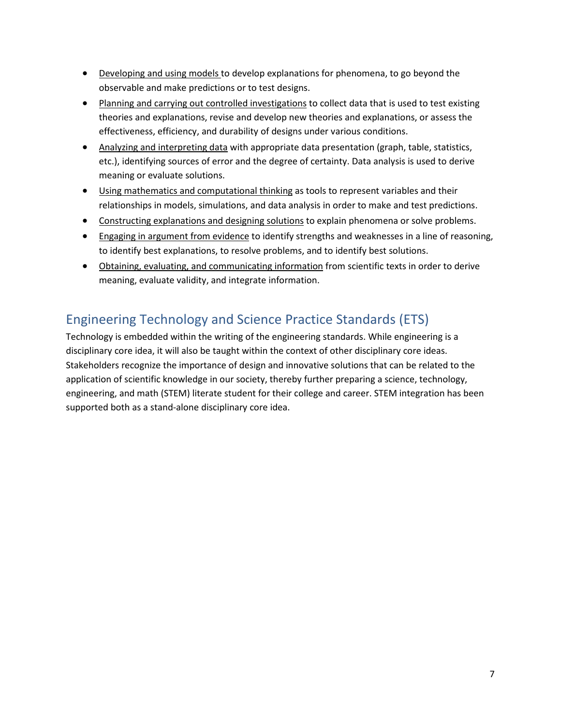- Developing and using models to develop explanations for phenomena, to go beyond the observable and make predictions or to test designs.
- Planning and carrying out controlled investigations to collect data that is used to test existing theories and explanations, revise and develop new theories and explanations, or assess the effectiveness, efficiency, and durability of designs under various conditions.
- Analyzing and interpreting data with appropriate data presentation (graph, table, statistics, etc.), identifying sources of error and the degree of certainty. Data analysis is used to derive meaning or evaluate solutions.
- Using mathematics and computational thinking as tools to represent variables and their relationships in models, simulations, and data analysis in order to make and test predictions.
- Constructing explanations and designing solutions to explain phenomena or solve problems.
- Engaging in argument from evidence to identify strengths and weaknesses in a line of reasoning, to identify best explanations, to resolve problems, and to identify best solutions.
- Obtaining, evaluating, and communicating information from scientific texts in order to derive meaning, evaluate validity, and integrate information.

# Engineering Technology and Science Practice Standards (ETS)

Technology is embedded within the writing of the engineering standards. While engineering is a disciplinary core idea, it will also be taught within the context of other disciplinary core ideas. Stakeholders recognize the importance of design and innovative solutions that can be related to the application of scientific knowledge in our society, thereby further preparing a science, technology, engineering, and math (STEM) literate student for their college and career. STEM integration has been supported both as a stand-alone disciplinary core idea.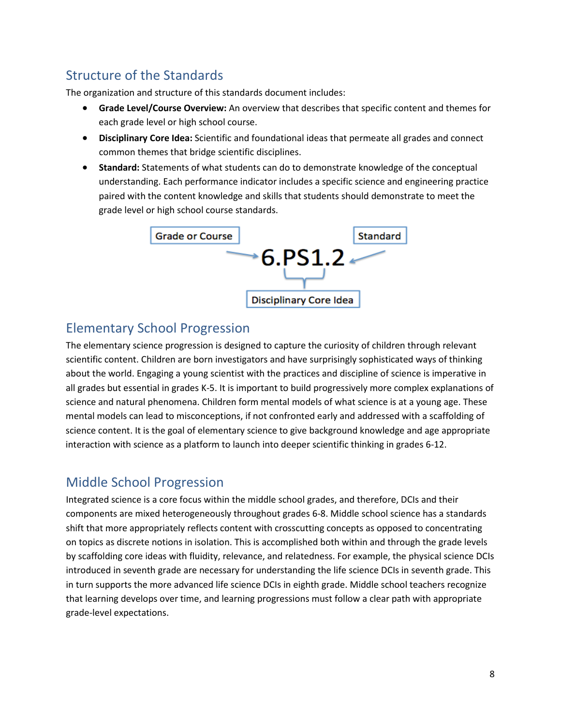# Structure of the Standards

The organization and structure of this standards document includes:

- **Grade Level/Course Overview:** An overview that describes that specific content and themes for each grade level or high school course.
- **Disciplinary Core Idea:** Scientific and foundational ideas that permeate all grades and connect common themes that bridge scientific disciplines.
- **Standard:** Statements of what students can do to demonstrate knowledge of the conceptual understanding. Each performance indicator includes a specific science and engineering practice paired with the content knowledge and skills that students should demonstrate to meet the grade level or high school course standards.



# Elementary School Progression

The elementary science progression is designed to capture the curiosity of children through relevant scientific content. Children are born investigators and have surprisingly sophisticated ways of thinking about the world. Engaging a young scientist with the practices and discipline of science is imperative in all grades but essential in grades K-5. It is important to build progressively more complex explanations of science and natural phenomena. Children form mental models of what science is at a young age. These mental models can lead to misconceptions, if not confronted early and addressed with a scaffolding of science content. It is the goal of elementary science to give background knowledge and age appropriate interaction with science as a platform to launch into deeper scientific thinking in grades 6-12.

## Middle School Progression

Integrated science is a core focus within the middle school grades, and therefore, DCIs and their components are mixed heterogeneously throughout grades 6-8. Middle school science has a standards shift that more appropriately reflects content with crosscutting concepts as opposed to concentrating on topics as discrete notions in isolation. This is accomplished both within and through the grade levels by scaffolding core ideas with fluidity, relevance, and relatedness. For example, the physical science DCIs introduced in seventh grade are necessary for understanding the life science DCIs in seventh grade. This in turn supports the more advanced life science DCIs in eighth grade. Middle school teachers recognize that learning develops over time, and learning progressions must follow a clear path with appropriate grade-level expectations.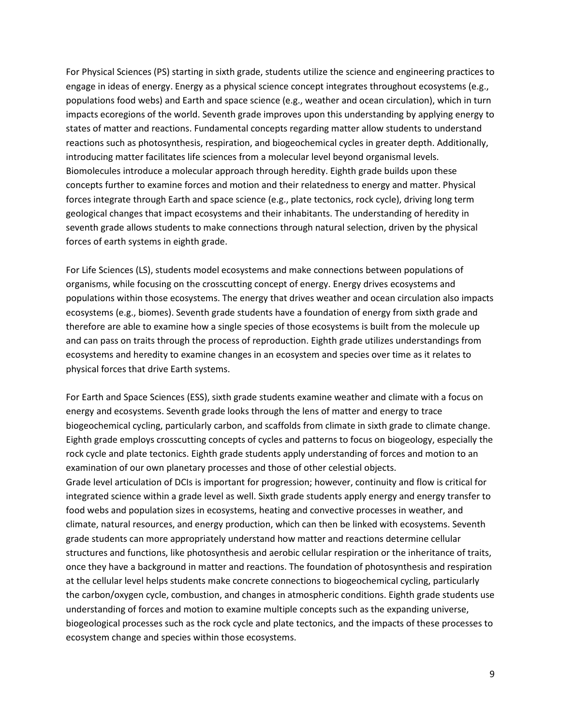For Physical Sciences (PS) starting in sixth grade, students utilize the science and engineering practices to engage in ideas of energy. Energy as a physical science concept integrates throughout ecosystems (e.g., populations food webs) and Earth and space science (e.g., weather and ocean circulation), which in turn impacts ecoregions of the world. Seventh grade improves upon this understanding by applying energy to states of matter and reactions. Fundamental concepts regarding matter allow students to understand reactions such as photosynthesis, respiration, and biogeochemical cycles in greater depth. Additionally, introducing matter facilitates life sciences from a molecular level beyond organismal levels. Biomolecules introduce a molecular approach through heredity. Eighth grade builds upon these concepts further to examine forces and motion and their relatedness to energy and matter. Physical forces integrate through Earth and space science (e.g., plate tectonics, rock cycle), driving long term geological changes that impact ecosystems and their inhabitants. The understanding of heredity in seventh grade allows students to make connections through natural selection, driven by the physical forces of earth systems in eighth grade.

For Life Sciences (LS), students model ecosystems and make connections between populations of organisms, while focusing on the crosscutting concept of energy. Energy drives ecosystems and populations within those ecosystems. The energy that drives weather and ocean circulation also impacts ecosystems (e.g., biomes). Seventh grade students have a foundation of energy from sixth grade and therefore are able to examine how a single species of those ecosystems is built from the molecule up and can pass on traits through the process of reproduction. Eighth grade utilizes understandings from ecosystems and heredity to examine changes in an ecosystem and species over time as it relates to physical forces that drive Earth systems.

For Earth and Space Sciences (ESS), sixth grade students examine weather and climate with a focus on energy and ecosystems. Seventh grade looks through the lens of matter and energy to trace biogeochemical cycling, particularly carbon, and scaffolds from climate in sixth grade to climate change. Eighth grade employs crosscutting concepts of cycles and patterns to focus on biogeology, especially the rock cycle and plate tectonics. Eighth grade students apply understanding of forces and motion to an examination of our own planetary processes and those of other celestial objects. Grade level articulation of DCIs is important for progression; however, continuity and flow is critical for integrated science within a grade level as well. Sixth grade students apply energy and energy transfer to food webs and population sizes in ecosystems, heating and convective processes in weather, and climate, natural resources, and energy production, which can then be linked with ecosystems. Seventh grade students can more appropriately understand how matter and reactions determine cellular structures and functions, like photosynthesis and aerobic cellular respiration or the inheritance of traits, once they have a background in matter and reactions. The foundation of photosynthesis and respiration at the cellular level helps students make concrete connections to biogeochemical cycling, particularly the carbon/oxygen cycle, combustion, and changes in atmospheric conditions. Eighth grade students use understanding of forces and motion to examine multiple concepts such as the expanding universe, biogeological processes such as the rock cycle and plate tectonics, and the impacts of these processes to ecosystem change and species within those ecosystems.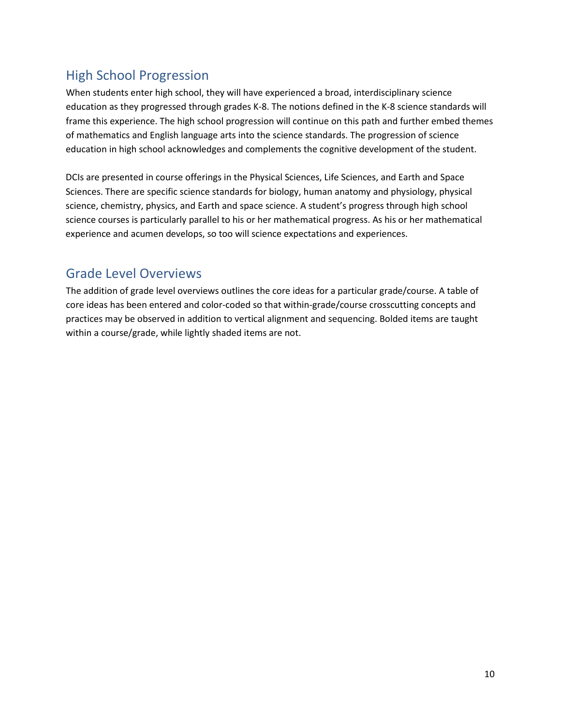# High School Progression

When students enter high school, they will have experienced a broad, interdisciplinary science education as they progressed through grades K-8. The notions defined in the K-8 science standards will frame this experience. The high school progression will continue on this path and further embed themes of mathematics and English language arts into the science standards. The progression of science education in high school acknowledges and complements the cognitive development of the student.

DCIs are presented in course offerings in the Physical Sciences, Life Sciences, and Earth and Space Sciences. There are specific science standards for biology, human anatomy and physiology, physical science, chemistry, physics, and Earth and space science. A student's progress through high school science courses is particularly parallel to his or her mathematical progress. As his or her mathematical experience and acumen develops, so too will science expectations and experiences.

## Grade Level Overviews

The addition of grade level overviews outlines the core ideas for a particular grade/course. A table of core ideas has been entered and color-coded so that within-grade/course crosscutting concepts and practices may be observed in addition to vertical alignment and sequencing. Bolded items are taught within a course/grade, while lightly shaded items are not.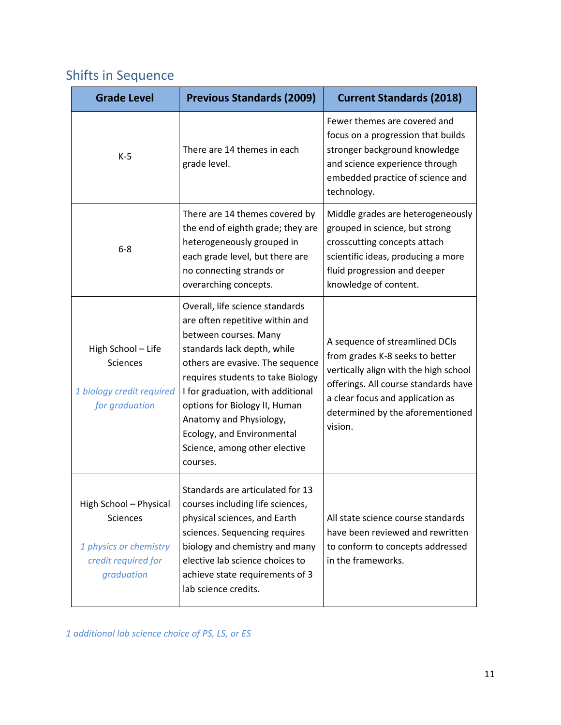# Shifts in Sequence

| <b>Grade Level</b>                                                                                       | <b>Previous Standards (2009)</b>                                                                                                                                                                                                                                                                                                                                                | <b>Current Standards (2018)</b>                                                                                                                                                                                                       |
|----------------------------------------------------------------------------------------------------------|---------------------------------------------------------------------------------------------------------------------------------------------------------------------------------------------------------------------------------------------------------------------------------------------------------------------------------------------------------------------------------|---------------------------------------------------------------------------------------------------------------------------------------------------------------------------------------------------------------------------------------|
| $K-5$                                                                                                    | There are 14 themes in each<br>grade level.                                                                                                                                                                                                                                                                                                                                     | Fewer themes are covered and<br>focus on a progression that builds<br>stronger background knowledge<br>and science experience through<br>embedded practice of science and<br>technology.                                              |
| $6 - 8$                                                                                                  | There are 14 themes covered by<br>the end of eighth grade; they are<br>heterogeneously grouped in<br>each grade level, but there are<br>no connecting strands or<br>overarching concepts.                                                                                                                                                                                       | Middle grades are heterogeneously<br>grouped in science, but strong<br>crosscutting concepts attach<br>scientific ideas, producing a more<br>fluid progression and deeper<br>knowledge of content.                                    |
| High School - Life<br><b>Sciences</b><br>1 biology credit required<br>for graduation                     | Overall, life science standards<br>are often repetitive within and<br>between courses. Many<br>standards lack depth, while<br>others are evasive. The sequence<br>requires students to take Biology<br>I for graduation, with additional<br>options for Biology II, Human<br>Anatomy and Physiology,<br>Ecology, and Environmental<br>Science, among other elective<br>courses. | A sequence of streamlined DCIs<br>from grades K-8 seeks to better<br>vertically align with the high school<br>offerings. All course standards have<br>a clear focus and application as<br>determined by the aforementioned<br>vision. |
| High School - Physical<br><b>Sciences</b><br>1 physics or chemistry<br>credit required for<br>graduation | Standards are articulated for 13<br>courses including life sciences,<br>physical sciences, and Earth<br>sciences. Sequencing requires<br>biology and chemistry and many<br>elective lab science choices to<br>achieve state requirements of 3<br>lab science credits.                                                                                                           | All state science course standards<br>have been reviewed and rewritten<br>to conform to concepts addressed<br>in the frameworks.                                                                                                      |

*1 additional lab science choice of PS, LS, or ES*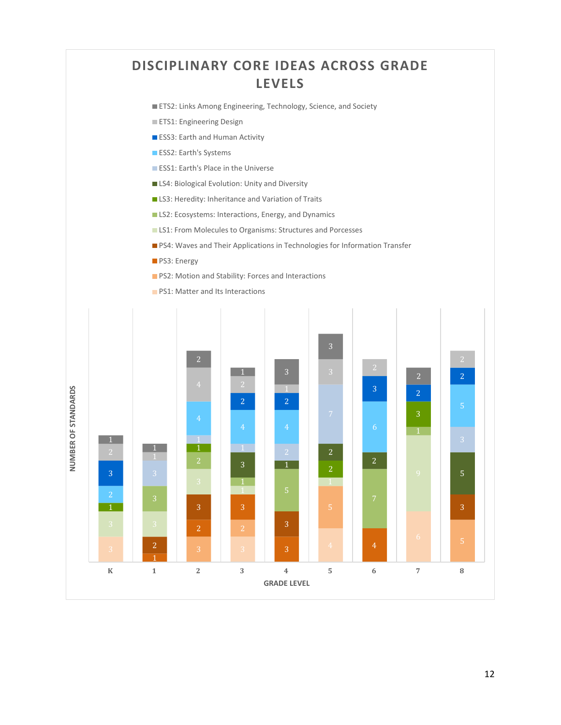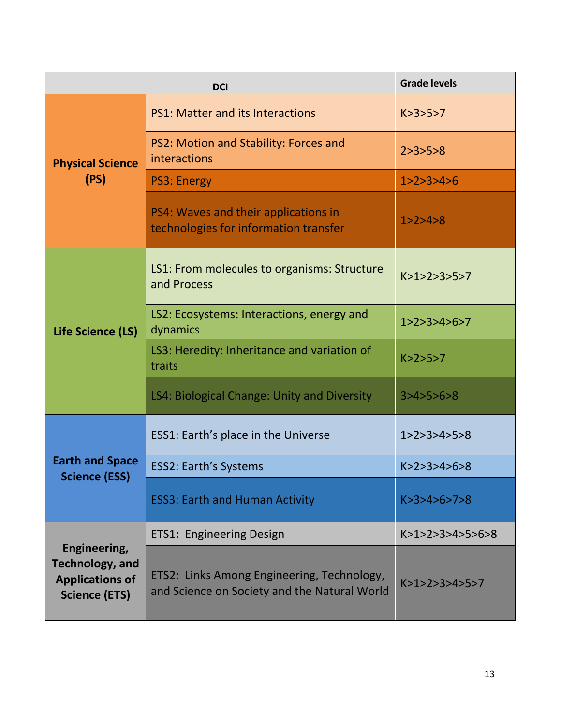| <b>DCI</b>                                                                               |                                                                                            | <b>Grade levels</b>   |
|------------------------------------------------------------------------------------------|--------------------------------------------------------------------------------------------|-----------------------|
| <b>Physical Science</b>                                                                  | <b>PS1: Matter and its Interactions</b>                                                    | K > 3 > 5 > 7         |
|                                                                                          | PS2: Motion and Stability: Forces and<br>interactions                                      | 2 > 3 > 5 > 8         |
| (PS)                                                                                     | <b>PS3: Energy</b>                                                                         | 1 > 2 > 3 > 4 > 6     |
|                                                                                          | PS4: Waves and their applications in<br>technologies for information transfer              | 1 > 2 > 4 > 8         |
| Life Science (LS)                                                                        | LS1: From molecules to organisms: Structure<br>and Process                                 | K>1>2>3>5>7           |
|                                                                                          | LS2: Ecosystems: Interactions, energy and<br>dynamics                                      | 1 > 2 > 3 > 4 > 6 > 7 |
|                                                                                          | LS3: Heredity: Inheritance and variation of<br>traits                                      | K > 2 > 5 > 7         |
|                                                                                          | LS4: Biological Change: Unity and Diversity                                                | 3 > 4 > 5 > 6 > 8     |
| <b>Earth and Space</b><br><b>Science (ESS)</b>                                           | ESS1: Earth's place in the Universe                                                        | 1 > 2 > 3 > 4 > 5 > 8 |
|                                                                                          | <b>ESS2: Earth's Systems</b>                                                               | K > 2 > 3 > 4 > 6 > 8 |
|                                                                                          | <b>ESS3: Earth and Human Activity</b>                                                      | K > 3 > 4 > 6 > 7 > 8 |
| Engineering,<br><b>Technology, and</b><br><b>Applications of</b><br><b>Science (ETS)</b> | <b>ETS1: Engineering Design</b>                                                            | K>1>2>3>4>5>6>8       |
|                                                                                          | ETS2: Links Among Engineering, Technology,<br>and Science on Society and the Natural World | K>1>2>3>3>4>5>7       |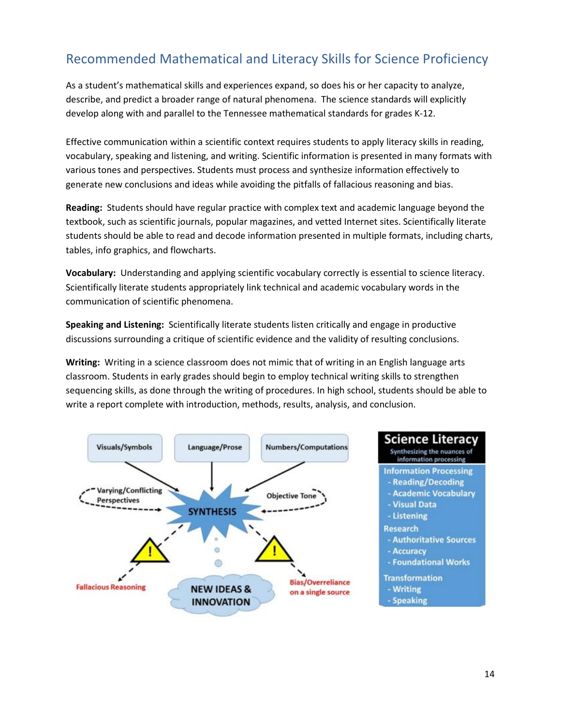# Recommended Mathematical and Literacy Skills for Science Proficiency

As a student's mathematical skills and experiences expand, so does his or her capacity to analyze, describe, and predict a broader range of natural phenomena. The science standards will explicitly develop along with and parallel to the Tennessee mathematical standards for grades K-12.

Effective communication within a scientific context requires students to apply literacy skills in reading, vocabulary, speaking and listening, and writing. Scientific information is presented in many formats with various tones and perspectives. Students must process and synthesize information effectively to generate new conclusions and ideas while avoiding the pitfalls of fallacious reasoning and bias.

**Reading:** Students should have regular practice with complex text and academic language beyond the textbook, such as scientific journals, popular magazines, and vetted Internet sites. Scientifically literate students should be able to read and decode information presented in multiple formats, including charts, tables, info graphics, and flowcharts.

**Vocabulary:** Understanding and applying scientific vocabulary correctly is essential to science literacy. Scientifically literate students appropriately link technical and academic vocabulary words in the communication of scientific phenomena.

**Speaking and Listening:** Scientifically literate students listen critically and engage in productive discussions surrounding a critique of scientific evidence and the validity of resulting conclusions.

**Writing:** Writing in a science classroom does not mimic that of writing in an English language arts classroom. Students in early grades should begin to employ technical writing skills to strengthen sequencing skills, as done through the writing of procedures. In high school, students should be able to write a report complete with introduction, methods, results, analysis, and conclusion.

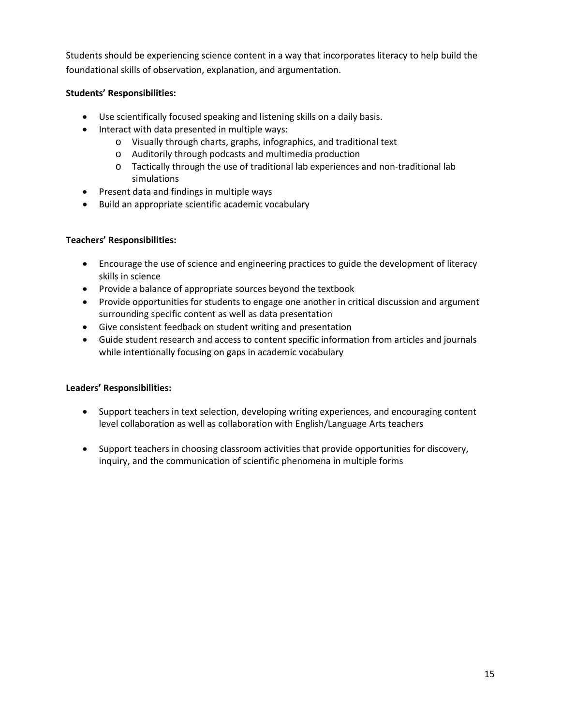Students should be experiencing science content in a way that incorporates literacy to help build the foundational skills of observation, explanation, and argumentation.

### **Students' Responsibilities:**

- Use scientifically focused speaking and listening skills on a daily basis.
- Interact with data presented in multiple ways:
	- o Visually through charts, graphs, infographics, and traditional text
	- o Auditorily through podcasts and multimedia production
	- o Tactically through the use of traditional lab experiences and non-traditional lab simulations
- Present data and findings in multiple ways
- Build an appropriate scientific academic vocabulary

#### **Teachers' Responsibilities:**

- Encourage the use of science and engineering practices to guide the development of literacy skills in science
- Provide a balance of appropriate sources beyond the textbook
- Provide opportunities for students to engage one another in critical discussion and argument surrounding specific content as well as data presentation
- Give consistent feedback on student writing and presentation
- Guide student research and access to content specific information from articles and journals while intentionally focusing on gaps in academic vocabulary

#### **Leaders' Responsibilities:**

- Support teachers in text selection, developing writing experiences, and encouraging content level collaboration as well as collaboration with English/Language Arts teachers
- Support teachers in choosing classroom activities that provide opportunities for discovery, inquiry, and the communication of scientific phenomena in multiple forms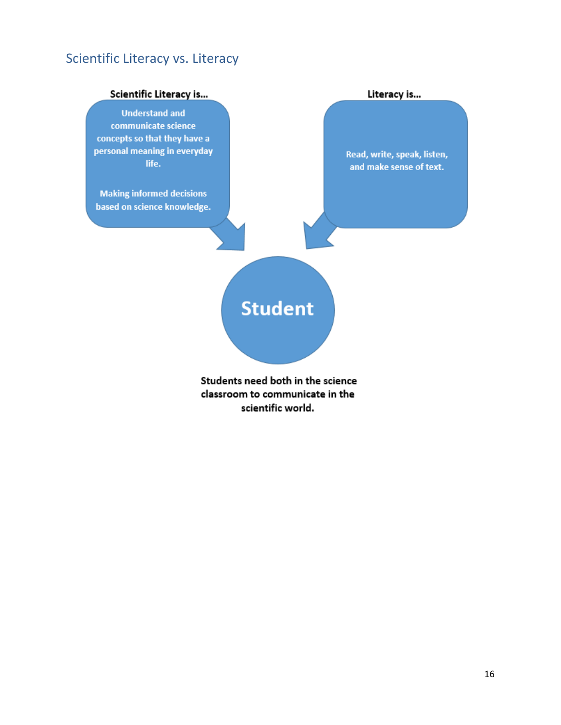# Scientific Literacy vs. Literacy

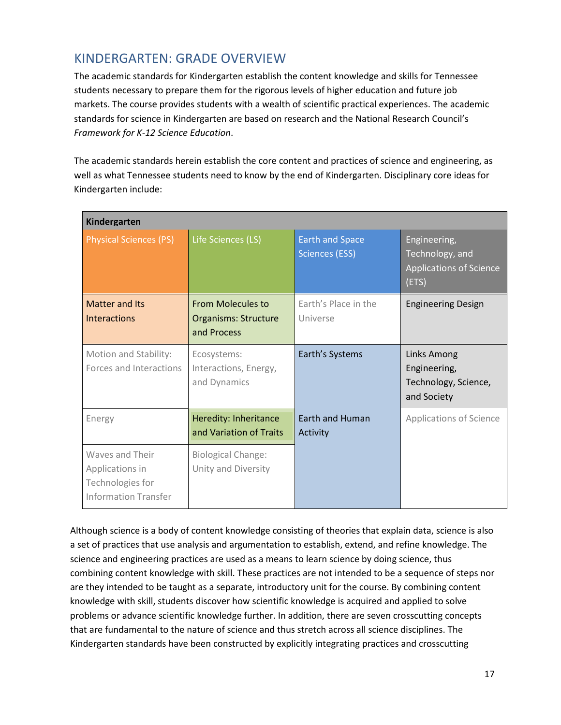## KINDERGARTEN: GRADE OVERVIEW

The academic standards for Kindergarten establish the content knowledge and skills for Tennessee students necessary to prepare them for the rigorous levels of higher education and future job markets. The course provides students with a wealth of scientific practical experiences. The academic standards for science in Kindergarten are based on research and the National Research Council's *Framework for K-12 Science Education*.

The academic standards herein establish the core content and practices of science and engineering, as well as what Tennessee students need to know by the end of Kindergarten. Disciplinary core ideas for Kindergarten include:

| Kindergarten                                                                          |                                                                        |                                                 |                                                                            |
|---------------------------------------------------------------------------------------|------------------------------------------------------------------------|-------------------------------------------------|----------------------------------------------------------------------------|
| <b>Physical Sciences (PS)</b>                                                         | Life Sciences (LS)                                                     | <b>Earth and Space</b><br><b>Sciences (ESS)</b> | Engineering,<br>Technology, and<br><b>Applications of Science</b><br>(ETS) |
| <b>Matter and Its</b><br><b>Interactions</b>                                          | <b>From Molecules to</b><br><b>Organisms: Structure</b><br>and Process | Earth's Place in the<br>Universe                | <b>Engineering Design</b>                                                  |
| Motion and Stability:<br>Forces and Interactions                                      | Ecosystems:<br>Interactions, Energy,<br>and Dynamics                   | Earth's Systems                                 | <b>Links Among</b><br>Engineering,<br>Technology, Science,<br>and Society  |
| Energy                                                                                | Heredity: Inheritance<br>and Variation of Traits                       | Earth and Human<br>Activity                     | <b>Applications of Science</b>                                             |
| Waves and Their<br>Applications in<br>Technologies for<br><b>Information Transfer</b> | <b>Biological Change:</b><br>Unity and Diversity                       |                                                 |                                                                            |

Although science is a body of content knowledge consisting of theories that explain data, science is also a set of practices that use analysis and argumentation to establish, extend, and refine knowledge. The science and engineering practices are used as a means to learn science by doing science, thus combining content knowledge with skill. These practices are not intended to be a sequence of steps nor are they intended to be taught as a separate, introductory unit for the course. By combining content knowledge with skill, students discover how scientific knowledge is acquired and applied to solve problems or advance scientific knowledge further. In addition, there are seven crosscutting concepts that are fundamental to the nature of science and thus stretch across all science disciplines. The Kindergarten standards have been constructed by explicitly integrating practices and crosscutting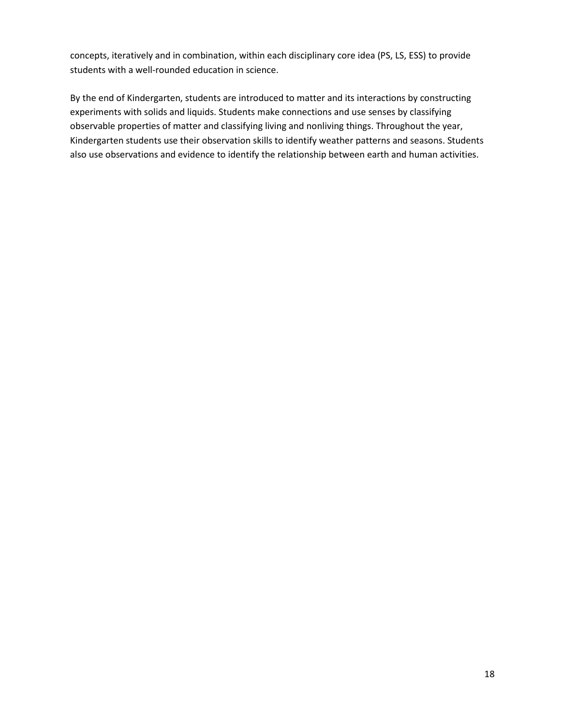concepts, iteratively and in combination, within each disciplinary core idea (PS, LS, ESS) to provide students with a well-rounded education in science.

By the end of Kindergarten, students are introduced to matter and its interactions by constructing experiments with solids and liquids. Students make connections and use senses by classifying observable properties of matter and classifying living and nonliving things. Throughout the year, Kindergarten students use their observation skills to identify weather patterns and seasons. Students also use observations and evidence to identify the relationship between earth and human activities.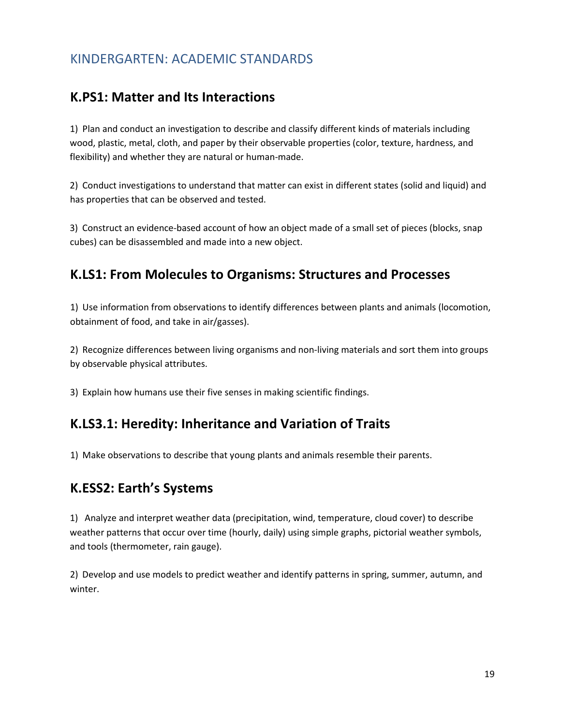## KINDERGARTEN: ACADEMIC STANDARDS

### **K.PS1: Matter and Its Interactions**

1) Plan and conduct an investigation to describe and classify different kinds of materials including wood, plastic, metal, cloth, and paper by their observable properties (color, texture, hardness, and flexibility) and whether they are natural or human-made.

2) Conduct investigations to understand that matter can exist in different states (solid and liquid) and has properties that can be observed and tested.

3) Construct an evidence-based account of how an object made of a small set of pieces (blocks, snap cubes) can be disassembled and made into a new object.

### **K.LS1: From Molecules to Organisms: Structures and Processes**

1) Use information from observations to identify differences between plants and animals (locomotion, obtainment of food, and take in air/gasses).

2) Recognize differences between living organisms and non-living materials and sort them into groups by observable physical attributes.

3) Explain how humans use their five senses in making scientific findings.

## **K.LS3.1: Heredity: Inheritance and Variation of Traits**

1) Make observations to describe that young plants and animals resemble their parents.

### **K.ESS2: Earth's Systems**

1) Analyze and interpret weather data (precipitation, wind, temperature, cloud cover) to describe weather patterns that occur over time (hourly, daily) using simple graphs, pictorial weather symbols, and tools (thermometer, rain gauge).

2) Develop and use models to predict weather and identify patterns in spring, summer, autumn, and winter.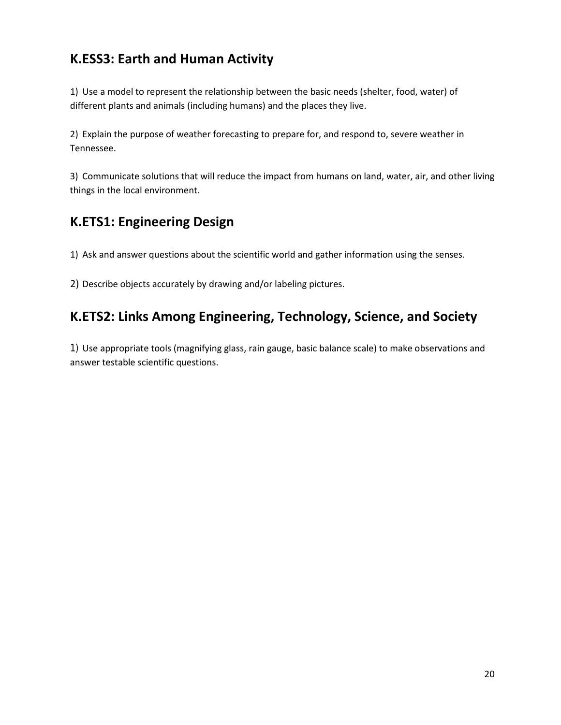# **K.ESS3: Earth and Human Activity**

1) Use a model to represent the relationship between the basic needs (shelter, food, water) of different plants and animals (including humans) and the places they live.

2) Explain the purpose of weather forecasting to prepare for, and respond to, severe weather in Tennessee.

3) Communicate solutions that will reduce the impact from humans on land, water, air, and other living things in the local environment.

# **K.ETS1: Engineering Design**

1) Ask and answer questions about the scientific world and gather information using the senses.

2) Describe objects accurately by drawing and/or labeling pictures.

# **K.ETS2: Links Among Engineering, Technology, Science, and Society**

1) Use appropriate tools (magnifying glass, rain gauge, basic balance scale) to make observations and answer testable scientific questions.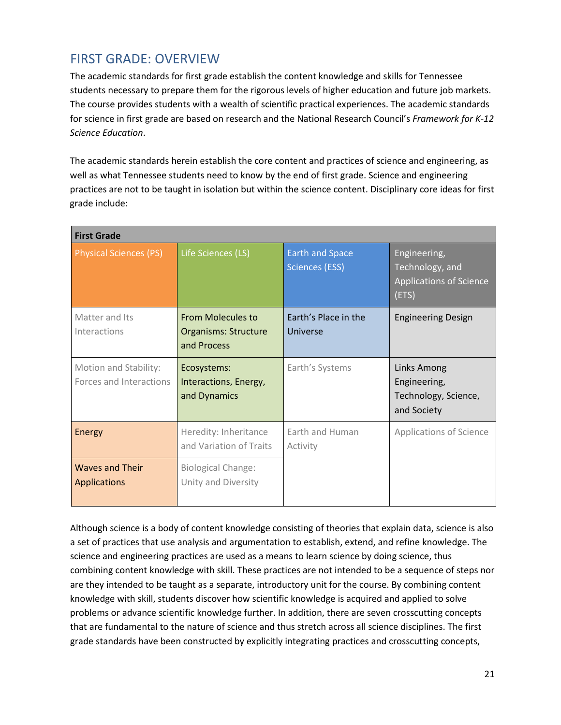# FIRST GRADE: OVERVIEW

The academic standards for first grade establish the content knowledge and skills for Tennessee students necessary to prepare them for the rigorous levels of higher education and future job markets. The course provides students with a wealth of scientific practical experiences. The academic standards for science in first grade are based on research and the National Research Council's *Framework for K-12 Science Education*.

The academic standards herein establish the core content and practices of science and engineering, as well as what Tennessee students need to know by the end of first grade. Science and engineering practices are not to be taught in isolation but within the science content. Disciplinary core ideas for first grade include:

| <b>First Grade</b>                               |                                                                        |                                                 |                                                                            |
|--------------------------------------------------|------------------------------------------------------------------------|-------------------------------------------------|----------------------------------------------------------------------------|
| <b>Physical Sciences (PS)</b>                    | Life Sciences (LS)                                                     | <b>Earth and Space</b><br><b>Sciences (ESS)</b> | Engineering,<br>Technology, and<br><b>Applications of Science</b><br>(ETS) |
| Matter and Its<br>Interactions                   | <b>From Molecules to</b><br><b>Organisms: Structure</b><br>and Process | Earth's Place in the<br>Universe                | <b>Engineering Design</b>                                                  |
| Motion and Stability:<br>Forces and Interactions | Ecosystems:<br>Interactions, Energy,<br>and Dynamics                   | Earth's Systems                                 | <b>Links Among</b><br>Engineering,<br>Technology, Science,<br>and Society  |
| Energy                                           | Heredity: Inheritance<br>and Variation of Traits                       | <b>Farth and Human</b><br>Activity              | <b>Applications of Science</b>                                             |
| <b>Waves and Their</b><br><b>Applications</b>    | <b>Biological Change:</b><br>Unity and Diversity                       |                                                 |                                                                            |

Although science is a body of content knowledge consisting of theories that explain data, science is also a set of practices that use analysis and argumentation to establish, extend, and refine knowledge. The science and engineering practices are used as a means to learn science by doing science, thus combining content knowledge with skill. These practices are not intended to be a sequence of steps nor are they intended to be taught as a separate, introductory unit for the course. By combining content knowledge with skill, students discover how scientific knowledge is acquired and applied to solve problems or advance scientific knowledge further. In addition, there are seven crosscutting concepts that are fundamental to the nature of science and thus stretch across all science disciplines. The first grade standards have been constructed by explicitly integrating practices and crosscutting concepts,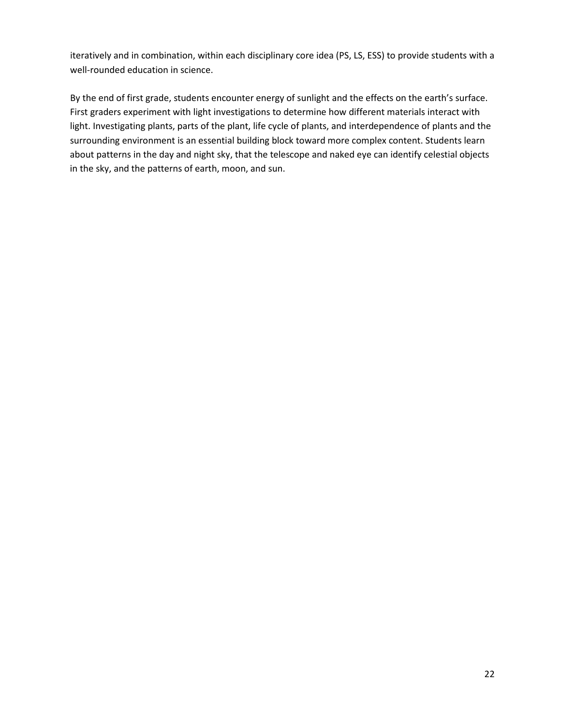iteratively and in combination, within each disciplinary core idea (PS, LS, ESS) to provide students with a well-rounded education in science.

By the end of first grade, students encounter energy of sunlight and the effects on the earth's surface. First graders experiment with light investigations to determine how different materials interact with light. Investigating plants, parts of the plant, life cycle of plants, and interdependence of plants and the surrounding environment is an essential building block toward more complex content. Students learn about patterns in the day and night sky, that the telescope and naked eye can identify celestial objects in the sky, and the patterns of earth, moon, and sun.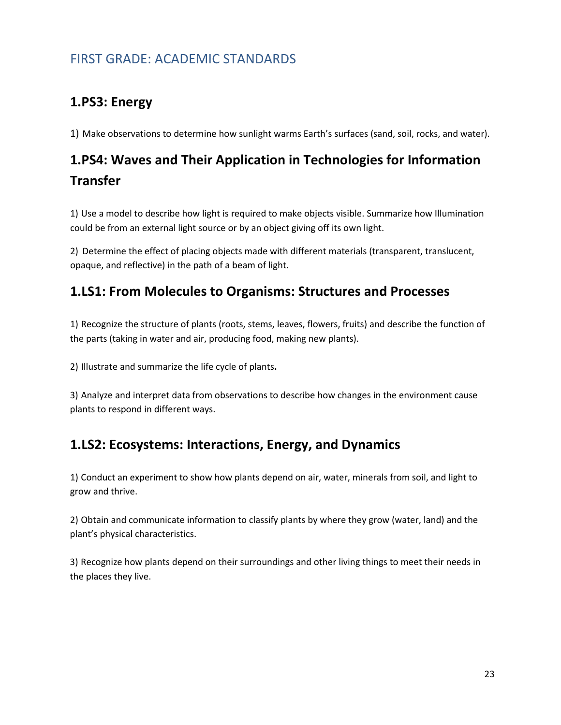# FIRST GRADE: ACADEMIC STANDARDS

# **1.PS3: Energy**

1) Make observations to determine how sunlight warms Earth's surfaces (sand, soil, rocks, and water).

# **1.PS4: Waves and Their Application in Technologies for Information Transfer**

1) Use a model to describe how light is required to make objects visible. Summarize how Illumination could be from an external light source or by an object giving off its own light.

2) Determine the effect of placing objects made with different materials (transparent, translucent, opaque, and reflective) in the path of a beam of light.

### **1.LS1: From Molecules to Organisms: Structures and Processes**

1) Recognize the structure of plants (roots, stems, leaves, flowers, fruits) and describe the function of the parts (taking in water and air, producing food, making new plants).

2) Illustrate and summarize the life cycle of plants**.**

3) Analyze and interpret data from observations to describe how changes in the environment cause plants to respond in different ways.

## **1.LS2: Ecosystems: Interactions, Energy, and Dynamics**

1) Conduct an experiment to show how plants depend on air, water, minerals from soil, and light to grow and thrive.

2) Obtain and communicate information to classify plants by where they grow (water, land) and the plant's physical characteristics.

3) Recognize how plants depend on their surroundings and other living things to meet their needs in the places they live.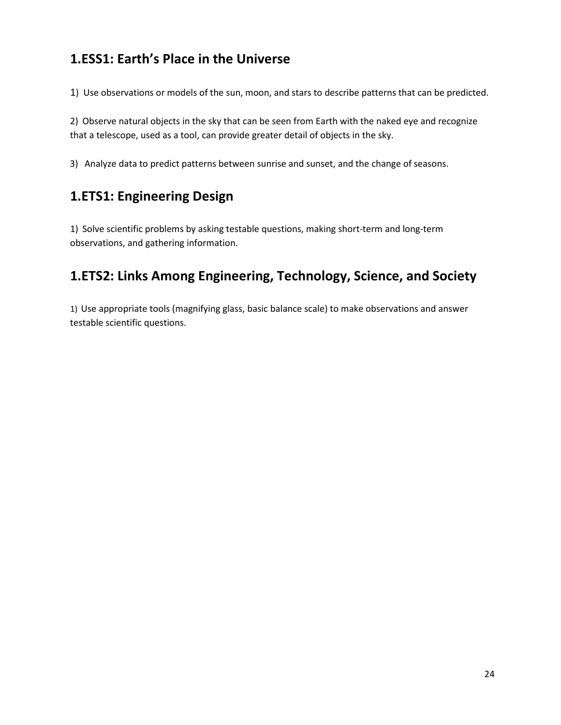# **1.ESS1: Earth's Place in the Universe**

1) Use observations or models of the sun, moon, and stars to describe patterns that can be predicted.

2) Observe natural objects in the sky that can be seen from Earth with the naked eye and recognize that a telescope, used as a tool, can provide greater detail of objects in the sky.

3) Analyze data to predict patterns between sunrise and sunset, and the change of seasons.

# **1.ETS1: Engineering Design**

1) Solve scientific problems by asking testable questions, making short-term and long-term observations, and gathering information.

# **1.ETS2: Links Among Engineering, Technology, Science, and Society**

1) Use appropriate tools (magnifying glass, basic balance scale) to make observations and answer testable scientific questions.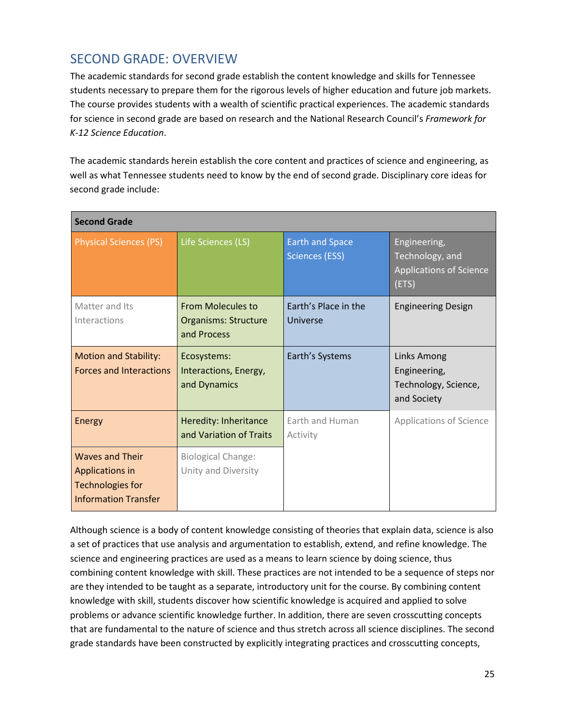# SECOND GRADE: OVERVIEW

The academic standards for second grade establish the content knowledge and skills for Tennessee students necessary to prepare them for the rigorous levels of higher education and future job markets. The course provides students with a wealth of scientific practical experiences. The academic standards for science in second grade are based on research and the National Research Council's *Framework for K-12 Science Education*.

The academic standards herein establish the core content and practices of science and engineering, as well as what Tennessee students need to know by the end of second grade. Disciplinary core ideas for second grade include:

| <b>Second Grade</b>                                                                                 |                                                                        |                                                 |                                                                            |
|-----------------------------------------------------------------------------------------------------|------------------------------------------------------------------------|-------------------------------------------------|----------------------------------------------------------------------------|
| <b>Physical Sciences (PS)</b>                                                                       | Life Sciences (LS)                                                     | <b>Earth and Space</b><br><b>Sciences (ESS)</b> | Engineering,<br>Technology, and<br><b>Applications of Science</b><br>(ETS) |
| Matter and Its<br>Interactions                                                                      | <b>From Molecules to</b><br><b>Organisms: Structure</b><br>and Process | Earth's Place in the<br>Universe                | <b>Engineering Design</b>                                                  |
| <b>Motion and Stability:</b><br><b>Forces and Interactions</b>                                      | Ecosystems:<br>Interactions, Energy,<br>and Dynamics                   | Earth's Systems                                 | Links Among<br>Engineering,<br>Technology, Science,<br>and Society         |
| Energy                                                                                              | Heredity: Inheritance<br>and Variation of Traits                       | Earth and Human<br>Activity                     | <b>Applications of Science</b>                                             |
| <b>Waves and Their</b><br>Applications in<br><b>Technologies for</b><br><b>Information Transfer</b> | <b>Biological Change:</b><br>Unity and Diversity                       |                                                 |                                                                            |

Although science is a body of content knowledge consisting of theories that explain data, science is also a set of practices that use analysis and argumentation to establish, extend, and refine knowledge. The science and engineering practices are used as a means to learn science by doing science, thus combining content knowledge with skill. These practices are not intended to be a sequence of steps nor are they intended to be taught as a separate, introductory unit for the course. By combining content knowledge with skill, students discover how scientific knowledge is acquired and applied to solve problems or advance scientific knowledge further. In addition, there are seven crosscutting concepts that are fundamental to the nature of science and thus stretch across all science disciplines. The second grade standards have been constructed by explicitly integrating practices and crosscutting concepts,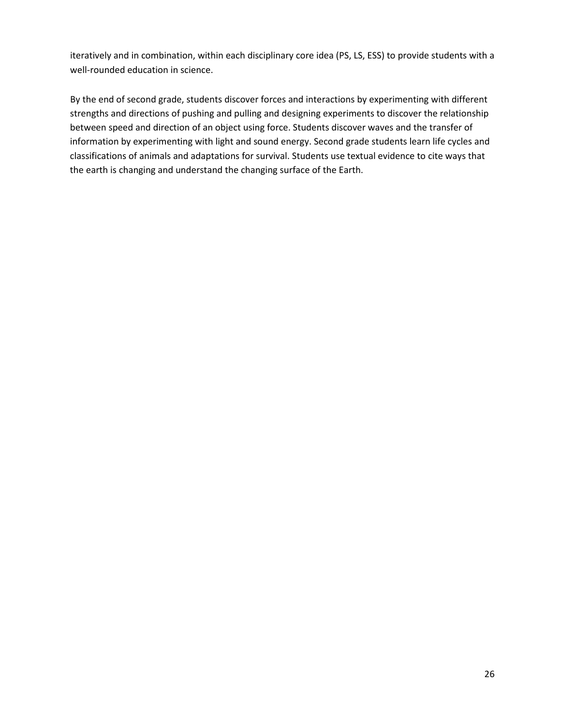iteratively and in combination, within each disciplinary core idea (PS, LS, ESS) to provide students with a well-rounded education in science.

By the end of second grade, students discover forces and interactions by experimenting with different strengths and directions of pushing and pulling and designing experiments to discover the relationship between speed and direction of an object using force. Students discover waves and the transfer of information by experimenting with light and sound energy. Second grade students learn life cycles and classifications of animals and adaptations for survival. Students use textual evidence to cite ways that the earth is changing and understand the changing surface of the Earth.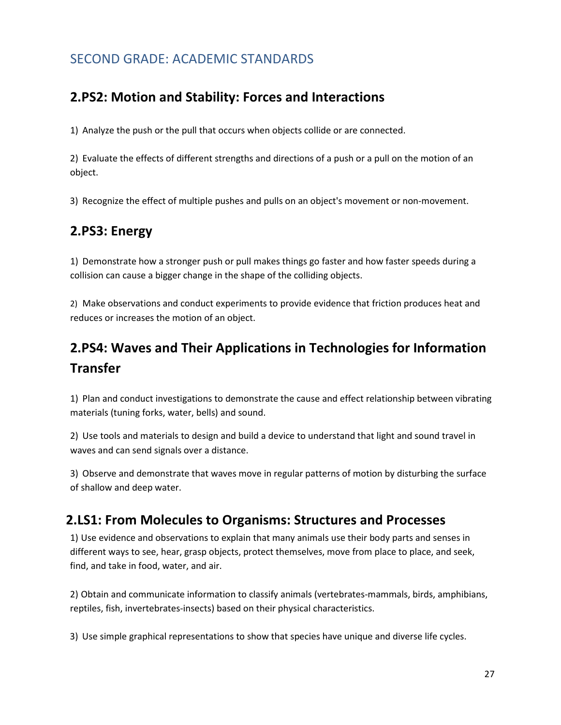# SECOND GRADE: ACADEMIC STANDARDS

### **2.PS2: Motion and Stability: Forces and Interactions**

1) Analyze the push or the pull that occurs when objects collide or are connected.

2) Evaluate the effects of different strengths and directions of a push or a pull on the motion of an object.

3) Recognize the effect of multiple pushes and pulls on an object's movement or non-movement.

# **2.PS3: Energy**

1) Demonstrate how a stronger push or pull makes things go faster and how faster speeds during a collision can cause a bigger change in the shape of the colliding objects.

2) Make observations and conduct experiments to provide evidence that friction produces heat and reduces or increases the motion of an object.

# **2.PS4: Waves and Their Applications in Technologies for Information Transfer**

1) Plan and conduct investigations to demonstrate the cause and effect relationship between vibrating materials (tuning forks, water, bells) and sound.

2) Use tools and materials to design and build a device to understand that light and sound travel in waves and can send signals over a distance.

3) Observe and demonstrate that waves move in regular patterns of motion by disturbing the surface of shallow and deep water.

### **2.LS1: From Molecules to Organisms: Structures and Processes**

1) Use evidence and observations to explain that many animals use their body parts and senses in different ways to see, hear, grasp objects, protect themselves, move from place to place, and seek, find, and take in food, water, and air.

2) Obtain and communicate information to classify animals (vertebrates-mammals, birds, amphibians, reptiles, fish, invertebrates-insects) based on their physical characteristics.

3) Use simple graphical representations to show that species have unique and diverse life cycles.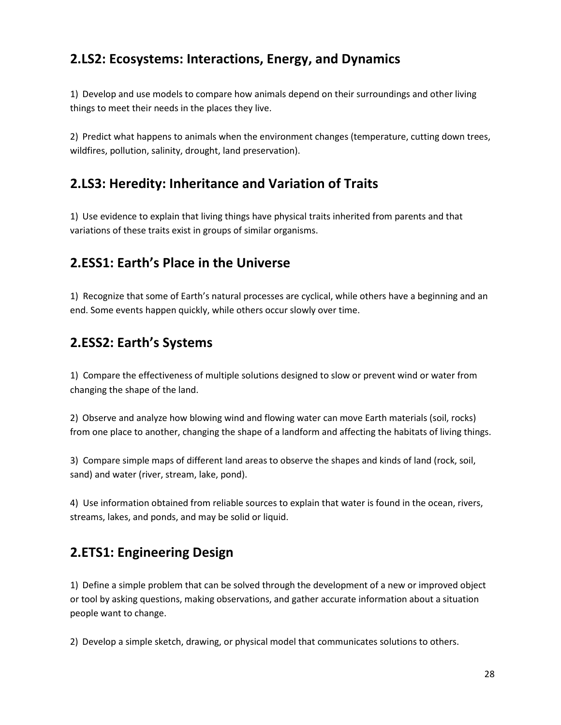# **2.LS2: Ecosystems: Interactions, Energy, and Dynamics**

1) Develop and use models to compare how animals depend on their surroundings and other living things to meet their needs in the places they live.

2) Predict what happens to animals when the environment changes (temperature, cutting down trees, wildfires, pollution, salinity, drought, land preservation).

### **2.LS3: Heredity: Inheritance and Variation of Traits**

1) Use evidence to explain that living things have physical traits inherited from parents and that variations of these traits exist in groups of similar organisms.

### **2.ESS1: Earth's Place in the Universe**

1) Recognize that some of Earth's natural processes are cyclical, while others have a beginning and an end. Some events happen quickly, while others occur slowly over time.

# **2.ESS2: Earth's Systems**

1) Compare the effectiveness of multiple solutions designed to slow or prevent wind or water from changing the shape of the land.

2) Observe and analyze how blowing wind and flowing water can move Earth materials (soil, rocks) from one place to another, changing the shape of a landform and affecting the habitats of living things.

3) Compare simple maps of different land areas to observe the shapes and kinds of land (rock, soil, sand) and water (river, stream, lake, pond).

4) Use information obtained from reliable sources to explain that water is found in the ocean, rivers, streams, lakes, and ponds, and may be solid or liquid.

## **2.ETS1: Engineering Design**

1) Define a simple problem that can be solved through the development of a new or improved object or tool by asking questions, making observations, and gather accurate information about a situation people want to change.

2) Develop a simple sketch, drawing, or physical model that communicates solutions to others.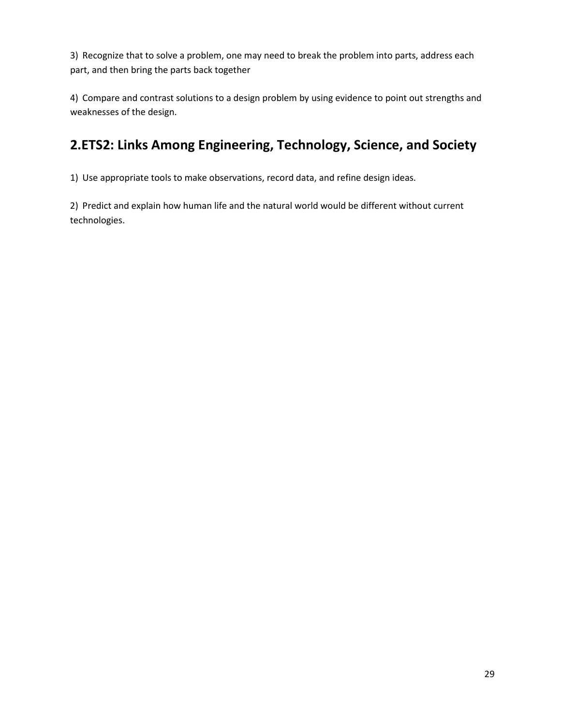3) Recognize that to solve a problem, one may need to break the problem into parts, address each part, and then bring the parts back together

4) Compare and contrast solutions to a design problem by using evidence to point out strengths and weaknesses of the design.

# **2.ETS2: Links Among Engineering, Technology, Science, and Society**

1) Use appropriate tools to make observations, record data, and refine design ideas.

2) Predict and explain how human life and the natural world would be different without current technologies.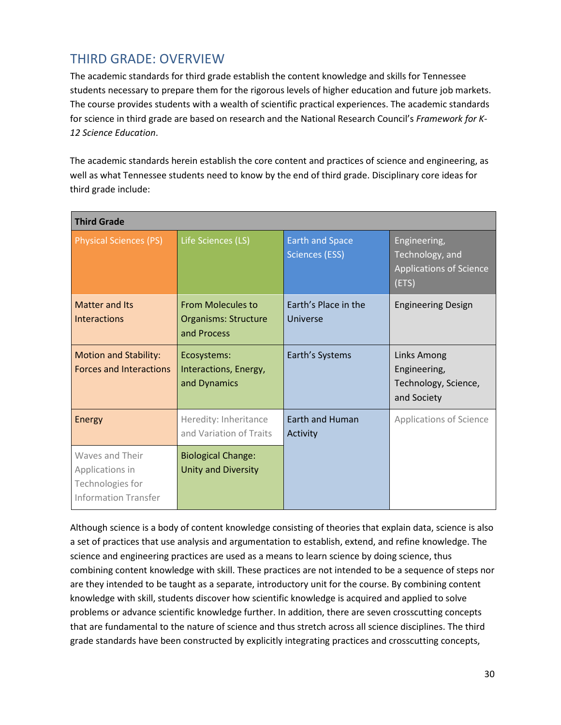# THIRD GRADE: OVERVIEW

The academic standards for third grade establish the content knowledge and skills for Tennessee students necessary to prepare them for the rigorous levels of higher education and future job markets. The course provides students with a wealth of scientific practical experiences. The academic standards for science in third grade are based on research and the National Research Council's *Framework for K-12 Science Education*.

The academic standards herein establish the core content and practices of science and engineering, as well as what Tennessee students need to know by the end of third grade. Disciplinary core ideas for third grade include:

| <b>Third Grade</b>                                                                    |                                                                        |                                                 |                                                                            |
|---------------------------------------------------------------------------------------|------------------------------------------------------------------------|-------------------------------------------------|----------------------------------------------------------------------------|
| <b>Physical Sciences (PS)</b>                                                         | Life Sciences (LS)                                                     | <b>Earth and Space</b><br><b>Sciences (ESS)</b> | Engineering,<br>Technology, and<br><b>Applications of Science</b><br>(ETS) |
| <b>Matter and Its</b><br><b>Interactions</b>                                          | <b>From Molecules to</b><br><b>Organisms: Structure</b><br>and Process | Earth's Place in the<br>Universe                | <b>Engineering Design</b>                                                  |
| <b>Motion and Stability:</b><br><b>Forces and Interactions</b>                        | Ecosystems:<br>Interactions, Energy,<br>and Dynamics                   | Earth's Systems                                 | Links Among<br>Engineering,<br>Technology, Science,<br>and Society         |
| Energy                                                                                | Heredity: Inheritance<br>and Variation of Traits                       | <b>Earth and Human</b><br>Activity              | <b>Applications of Science</b>                                             |
| Waves and Their<br>Applications in<br>Technologies for<br><b>Information Transfer</b> | <b>Biological Change:</b><br>Unity and Diversity                       |                                                 |                                                                            |

Although science is a body of content knowledge consisting of theories that explain data, science is also a set of practices that use analysis and argumentation to establish, extend, and refine knowledge. The science and engineering practices are used as a means to learn science by doing science, thus combining content knowledge with skill. These practices are not intended to be a sequence of steps nor are they intended to be taught as a separate, introductory unit for the course. By combining content knowledge with skill, students discover how scientific knowledge is acquired and applied to solve problems or advance scientific knowledge further. In addition, there are seven crosscutting concepts that are fundamental to the nature of science and thus stretch across all science disciplines. The third grade standards have been constructed by explicitly integrating practices and crosscutting concepts,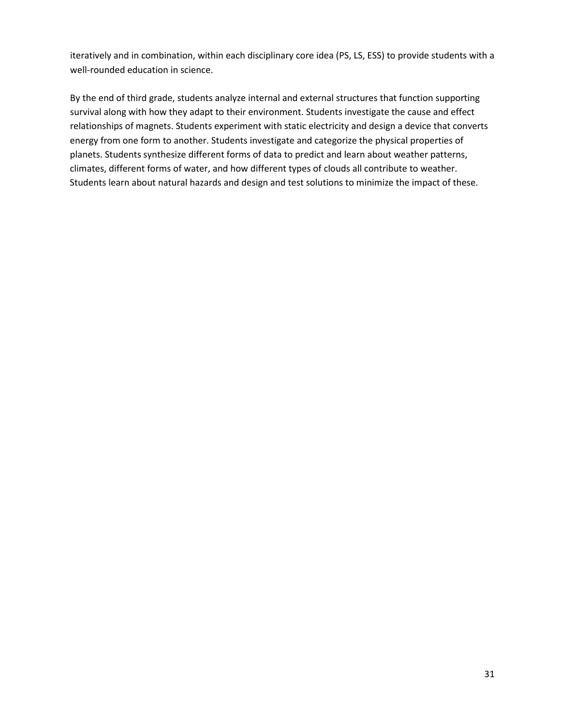iteratively and in combination, within each disciplinary core idea (PS, LS, ESS) to provide students with a well-rounded education in science.

By the end of third grade, students analyze internal and external structures that function supporting survival along with how they adapt to their environment. Students investigate the cause and effect relationships of magnets. Students experiment with static electricity and design a device that converts energy from one form to another. Students investigate and categorize the physical properties of planets. Students synthesize different forms of data to predict and learn about weather patterns, climates, different forms of water, and how different types of clouds all contribute to weather. Students learn about natural hazards and design and test solutions to minimize the impact of these.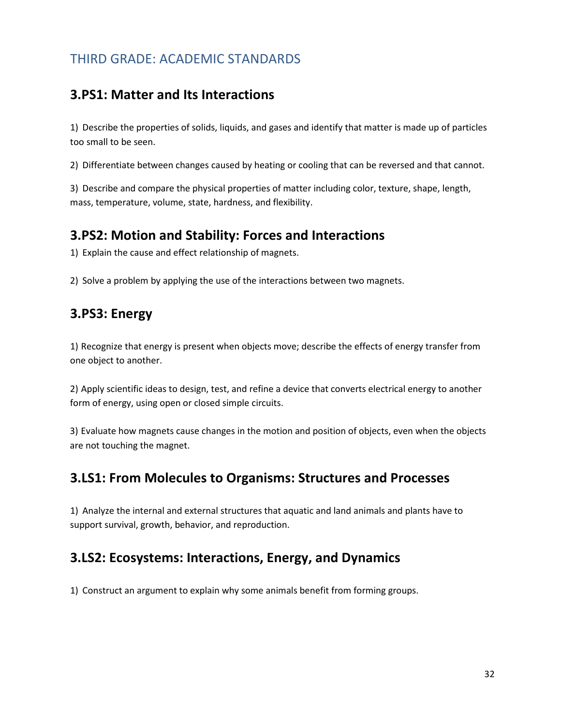# THIRD GRADE: ACADEMIC STANDARDS

## **3.PS1: Matter and Its Interactions**

1) Describe the properties of solids, liquids, and gases and identify that matter is made up of particles too small to be seen.

2) Differentiate between changes caused by heating or cooling that can be reversed and that cannot.

3) Describe and compare the physical properties of matter including color, texture, shape, length, mass, temperature, volume, state, hardness, and flexibility.

### **3.PS2: Motion and Stability: Forces and Interactions**

1) Explain the cause and effect relationship of magnets.

2) Solve a problem by applying the use of the interactions between two magnets.

### **3.PS3: Energy**

1) Recognize that energy is present when objects move; describe the effects of energy transfer from one object to another.

2) Apply scientific ideas to design, test, and refine a device that converts electrical energy to another form of energy, using open or closed simple circuits.

3) Evaluate how magnets cause changes in the motion and position of objects, even when the objects are not touching the magnet.

### **3.LS1: From Molecules to Organisms: Structures and Processes**

1) Analyze the internal and external structures that aquatic and land animals and plants have to support survival, growth, behavior, and reproduction.

## **3.LS2: Ecosystems: Interactions, Energy, and Dynamics**

1) Construct an argument to explain why some animals benefit from forming groups.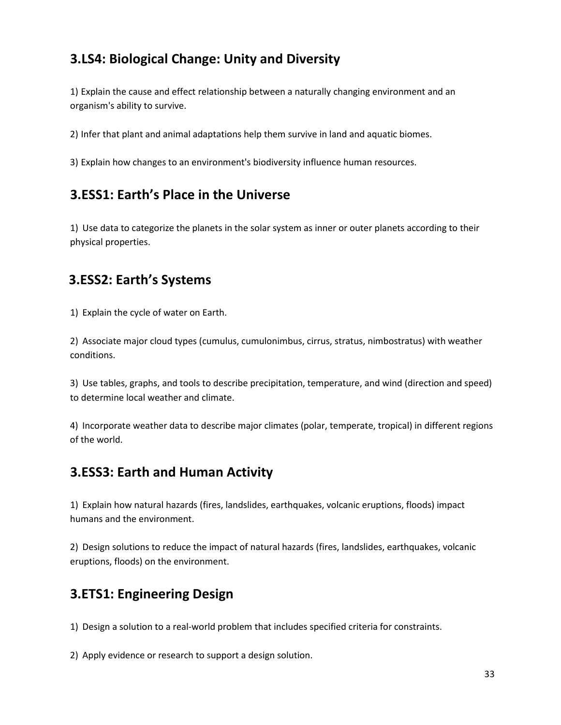# **3.LS4: Biological Change: Unity and Diversity**

1) Explain the cause and effect relationship between a naturally changing environment and an organism's ability to survive.

2) Infer that plant and animal adaptations help them survive in land and aquatic biomes.

3) Explain how changes to an environment's biodiversity influence human resources.

## **3.ESS1: Earth's Place in the Universe**

1) Use data to categorize the planets in the solar system as inner or outer planets according to their physical properties.

## **3.ESS2: Earth's Systems**

1) Explain the cycle of water on Earth.

2) Associate major cloud types (cumulus, cumulonimbus, cirrus, stratus, nimbostratus) with weather conditions.

3) Use tables, graphs, and tools to describe precipitation, temperature, and wind (direction and speed) to determine local weather and climate.

4) Incorporate weather data to describe major climates (polar, temperate, tropical) in different regions of the world.

## **3.ESS3: Earth and Human Activity**

1) Explain how natural hazards (fires, landslides, earthquakes, volcanic eruptions, floods) impact humans and the environment.

2) Design solutions to reduce the impact of natural hazards (fires, landslides, earthquakes, volcanic eruptions, floods) on the environment.

## **3.ETS1: Engineering Design**

1) Design a solution to a real-world problem that includes specified criteria for constraints.

2) Apply evidence or research to support a design solution.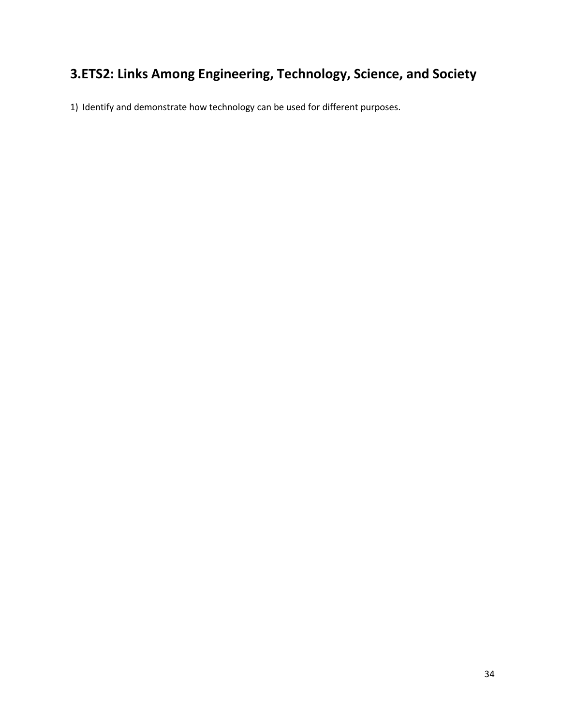# **3.ETS2: Links Among Engineering, Technology, Science, and Society**

1) Identify and demonstrate how technology can be used for different purposes.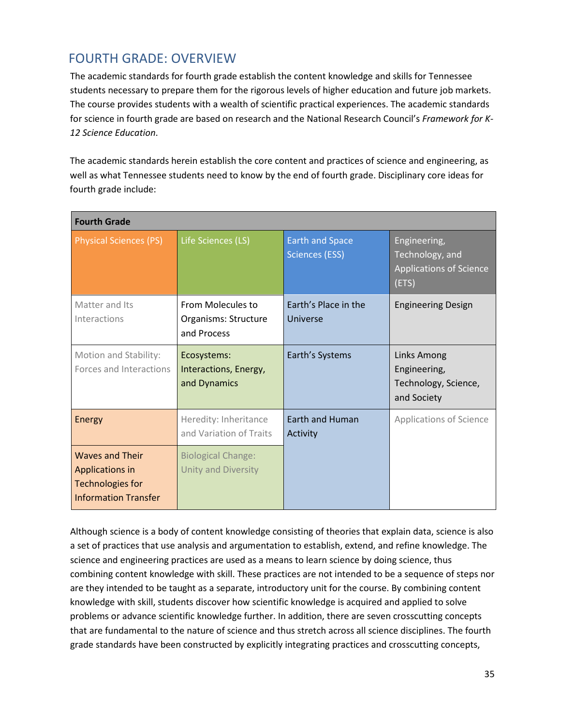# FOURTH GRADE: OVERVIEW

The academic standards for fourth grade establish the content knowledge and skills for Tennessee students necessary to prepare them for the rigorous levels of higher education and future job markets. The course provides students with a wealth of scientific practical experiences. The academic standards for science in fourth grade are based on research and the National Research Council's *Framework for K-12 Science Education*.

The academic standards herein establish the core content and practices of science and engineering, as well as what Tennessee students need to know by the end of fourth grade. Disciplinary core ideas for fourth grade include:

| <b>Fourth Grade</b>                                                                                 |                                                          |                                                 |                                                                            |
|-----------------------------------------------------------------------------------------------------|----------------------------------------------------------|-------------------------------------------------|----------------------------------------------------------------------------|
| <b>Physical Sciences (PS)</b>                                                                       | Life Sciences (LS)                                       | <b>Earth and Space</b><br><b>Sciences (ESS)</b> | Engineering,<br>Technology, and<br><b>Applications of Science</b><br>(ETS) |
| Matter and Its<br>Interactions                                                                      | From Molecules to<br>Organisms: Structure<br>and Process | Earth's Place in the<br>Universe                | <b>Engineering Design</b>                                                  |
| Motion and Stability:<br>Forces and Interactions                                                    | Ecosystems:<br>Interactions, Energy,<br>and Dynamics     | Earth's Systems                                 | Links Among<br>Engineering,<br>Technology, Science,<br>and Society         |
| Energy                                                                                              | Heredity: Inheritance<br>and Variation of Traits         | <b>Earth and Human</b><br>Activity              | <b>Applications of Science</b>                                             |
| <b>Waves and Their</b><br>Applications in<br><b>Technologies for</b><br><b>Information Transfer</b> | <b>Biological Change:</b><br><b>Unity and Diversity</b>  |                                                 |                                                                            |

Although science is a body of content knowledge consisting of theories that explain data, science is also a set of practices that use analysis and argumentation to establish, extend, and refine knowledge. The science and engineering practices are used as a means to learn science by doing science, thus combining content knowledge with skill. These practices are not intended to be a sequence of steps nor are they intended to be taught as a separate, introductory unit for the course. By combining content knowledge with skill, students discover how scientific knowledge is acquired and applied to solve problems or advance scientific knowledge further. In addition, there are seven crosscutting concepts that are fundamental to the nature of science and thus stretch across all science disciplines. The fourth grade standards have been constructed by explicitly integrating practices and crosscutting concepts,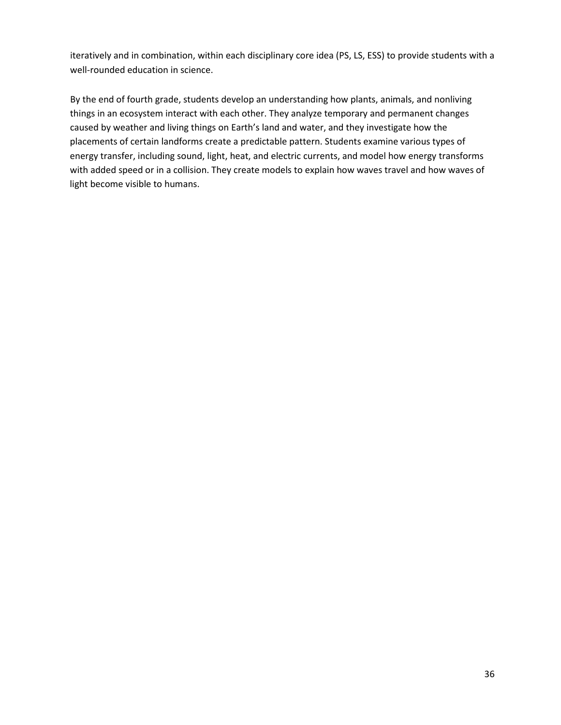iteratively and in combination, within each disciplinary core idea (PS, LS, ESS) to provide students with a well-rounded education in science.

By the end of fourth grade, students develop an understanding how plants, animals, and nonliving things in an ecosystem interact with each other. They analyze temporary and permanent changes caused by weather and living things on Earth's land and water, and they investigate how the placements of certain landforms create a predictable pattern. Students examine various types of energy transfer, including sound, light, heat, and electric currents, and model how energy transforms with added speed or in a collision. They create models to explain how waves travel and how waves of light become visible to humans.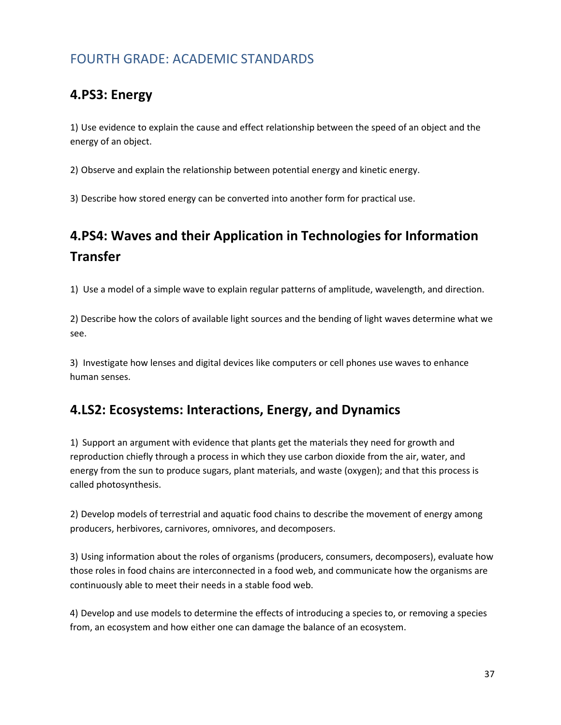## FOURTH GRADE: ACADEMIC STANDARDS

## **4.PS3: Energy**

1) Use evidence to explain the cause and effect relationship between the speed of an object and the energy of an object.

2) Observe and explain the relationship between potential energy and kinetic energy.

3) Describe how stored energy can be converted into another form for practical use.

# **4.PS4: Waves and their Application in Technologies for Information Transfer**

1) Use a model of a simple wave to explain regular patterns of amplitude, wavelength, and direction.

2) Describe how the colors of available light sources and the bending of light waves determine what we see.

3) Investigate how lenses and digital devices like computers or cell phones use waves to enhance human senses.

## **4.LS2: Ecosystems: Interactions, Energy, and Dynamics**

1) Support an argument with evidence that plants get the materials they need for growth and reproduction chiefly through a process in which they use carbon dioxide from the air, water, and energy from the sun to produce sugars, plant materials, and waste (oxygen); and that this process is called photosynthesis.

2) Develop models of terrestrial and aquatic food chains to describe the movement of energy among producers, herbivores, carnivores, omnivores, and decomposers.

3) Using information about the roles of organisms (producers, consumers, decomposers), evaluate how those roles in food chains are interconnected in a food web, and communicate how the organisms are continuously able to meet their needs in a stable food web.

4) Develop and use models to determine the effects of introducing a species to, or removing a species from, an ecosystem and how either one can damage the balance of an ecosystem.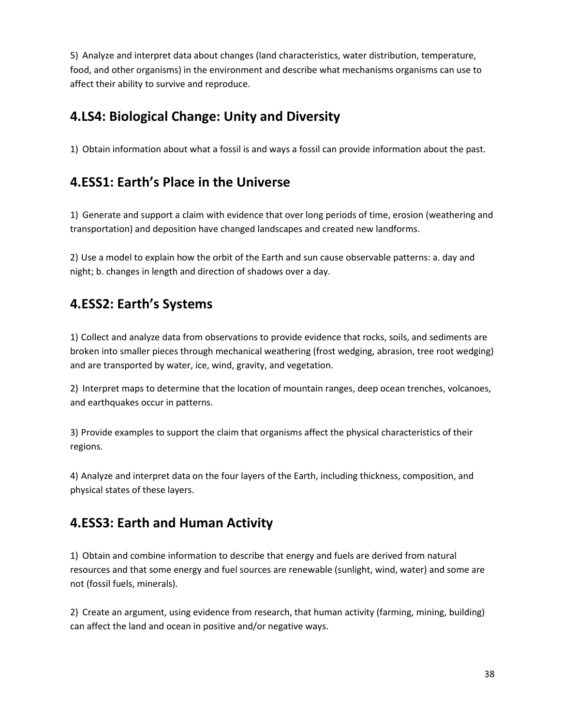5) Analyze and interpret data about changes (land characteristics, water distribution, temperature, food, and other organisms) in the environment and describe what mechanisms organisms can use to affect their ability to survive and reproduce.

## **4.LS4: Biological Change: Unity and Diversity**

1) Obtain information about what a fossil is and ways a fossil can provide information about the past.

## **4.ESS1: Earth's Place in the Universe**

1) Generate and support a claim with evidence that over long periods of time, erosion (weathering and transportation) and deposition have changed landscapes and created new landforms.

2) Use a model to explain how the orbit of the Earth and sun cause observable patterns: a. day and night; b. changes in length and direction of shadows over a day.

## **4.ESS2: Earth's Systems**

1) Collect and analyze data from observations to provide evidence that rocks, soils, and sediments are broken into smaller pieces through mechanical weathering (frost wedging, abrasion, tree root wedging) and are transported by water, ice, wind, gravity, and vegetation.

2) Interpret maps to determine that the location of mountain ranges, deep ocean trenches, volcanoes, and earthquakes occur in patterns.

3) Provide examples to support the claim that organisms affect the physical characteristics of their regions.

4) Analyze and interpret data on the four layers of the Earth, including thickness, composition, and physical states of these layers.

## **4.ESS3: Earth and Human Activity**

1) Obtain and combine information to describe that energy and fuels are derived from natural resources and that some energy and fuel sources are renewable (sunlight, wind, water) and some are not (fossil fuels, minerals).

2) Create an argument, using evidence from research, that human activity (farming, mining, building) can affect the land and ocean in positive and/or negative ways.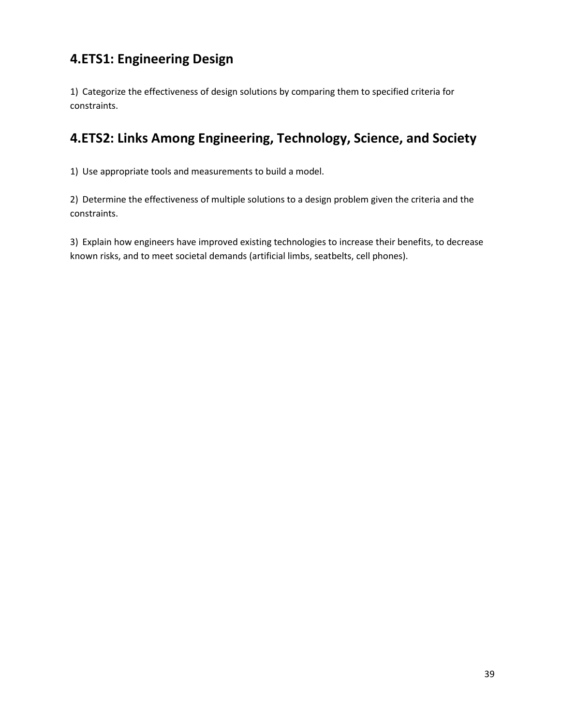## **4.ETS1: Engineering Design**

1) Categorize the effectiveness of design solutions by comparing them to specified criteria for constraints.

## **4.ETS2: Links Among Engineering, Technology, Science, and Society**

1) Use appropriate tools and measurements to build a model.

2) Determine the effectiveness of multiple solutions to a design problem given the criteria and the constraints.

3) Explain how engineers have improved existing technologies to increase their benefits, to decrease known risks, and to meet societal demands (artificial limbs, seatbelts, cell phones).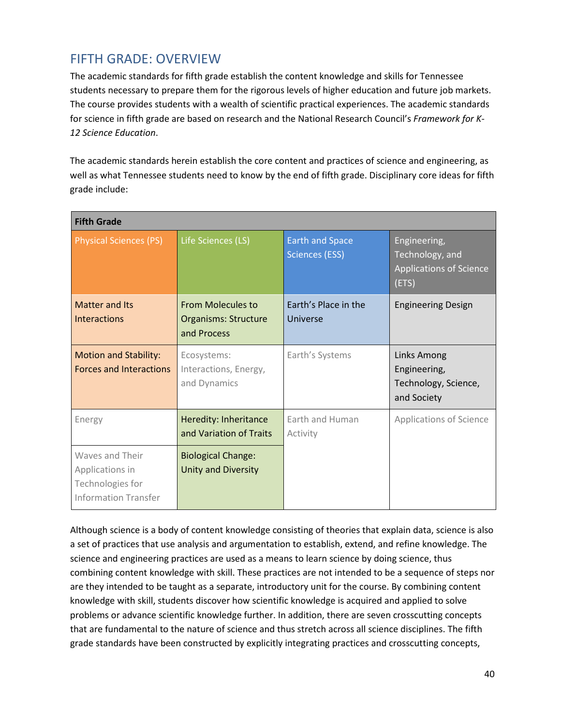## FIFTH GRADE: OVERVIEW

The academic standards for fifth grade establish the content knowledge and skills for Tennessee students necessary to prepare them for the rigorous levels of higher education and future job markets. The course provides students with a wealth of scientific practical experiences. The academic standards for science in fifth grade are based on research and the National Research Council's *Framework for K-12 Science Education*.

The academic standards herein establish the core content and practices of science and engineering, as well as what Tennessee students need to know by the end of fifth grade. Disciplinary core ideas for fifth grade include:

| <b>Fifth Grade</b>                                                                    |                                                                        |                                                 |                                                                            |
|---------------------------------------------------------------------------------------|------------------------------------------------------------------------|-------------------------------------------------|----------------------------------------------------------------------------|
| <b>Physical Sciences (PS)</b>                                                         | Life Sciences (LS)                                                     | <b>Earth and Space</b><br><b>Sciences (ESS)</b> | Engineering,<br>Technology, and<br><b>Applications of Science</b><br>(ETS) |
| <b>Matter and Its</b><br><b>Interactions</b>                                          | <b>From Molecules to</b><br><b>Organisms: Structure</b><br>and Process | Earth's Place in the<br>Universe                | <b>Engineering Design</b>                                                  |
| <b>Motion and Stability:</b><br><b>Forces and Interactions</b>                        | Ecosystems:<br>Interactions, Energy,<br>and Dynamics                   | Earth's Systems                                 | Links Among<br>Engineering,<br>Technology, Science,<br>and Society         |
| Energy                                                                                | Heredity: Inheritance<br>and Variation of Traits                       | Earth and Human<br>Activity                     | Applications of Science                                                    |
| Waves and Their<br>Applications in<br>Technologies for<br><b>Information Transfer</b> | <b>Biological Change:</b><br>Unity and Diversity                       |                                                 |                                                                            |

Although science is a body of content knowledge consisting of theories that explain data, science is also a set of practices that use analysis and argumentation to establish, extend, and refine knowledge. The science and engineering practices are used as a means to learn science by doing science, thus combining content knowledge with skill. These practices are not intended to be a sequence of steps nor are they intended to be taught as a separate, introductory unit for the course. By combining content knowledge with skill, students discover how scientific knowledge is acquired and applied to solve problems or advance scientific knowledge further. In addition, there are seven crosscutting concepts that are fundamental to the nature of science and thus stretch across all science disciplines. The fifth grade standards have been constructed by explicitly integrating practices and crosscutting concepts,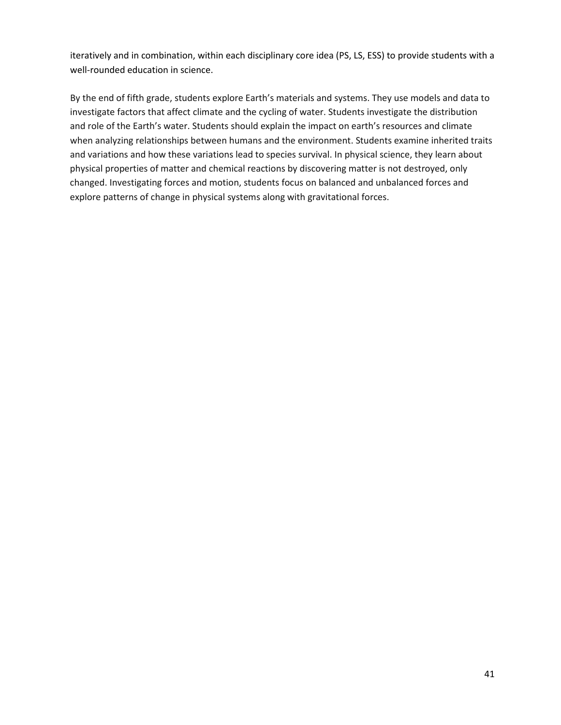iteratively and in combination, within each disciplinary core idea (PS, LS, ESS) to provide students with a well-rounded education in science.

By the end of fifth grade, students explore Earth's materials and systems. They use models and data to investigate factors that affect climate and the cycling of water. Students investigate the distribution and role of the Earth's water. Students should explain the impact on earth's resources and climate when analyzing relationships between humans and the environment. Students examine inherited traits and variations and how these variations lead to species survival. In physical science, they learn about physical properties of matter and chemical reactions by discovering matter is not destroyed, only changed. Investigating forces and motion, students focus on balanced and unbalanced forces and explore patterns of change in physical systems along with gravitational forces.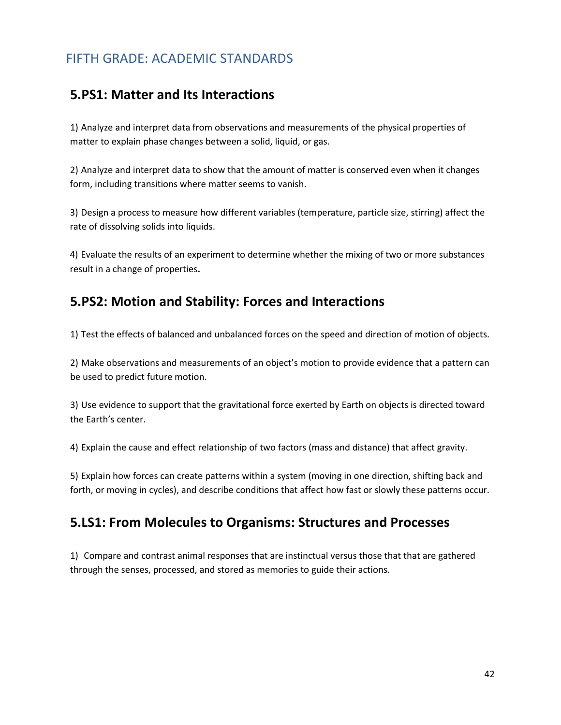## FIFTH GRADE: ACADEMIC STANDARDS

#### **5.PS1: Matter and Its Interactions**

1) Analyze and interpret data from observations and measurements of the physical properties of matter to explain phase changes between a solid, liquid, or gas.

2) Analyze and interpret data to show that the amount of matter is conserved even when it changes form, including transitions where matter seems to vanish.

3) Design a process to measure how different variables (temperature, particle size, stirring) affect the rate of dissolving solids into liquids.

4) Evaluate the results of an experiment to determine whether the mixing of two or more substances result in a change of properties**.**

#### **5.PS2: Motion and Stability: Forces and Interactions**

1) Test the effects of balanced and unbalanced forces on the speed and direction of motion of objects.

2) Make observations and measurements of an object's motion to provide evidence that a pattern can be used to predict future motion.

3) Use evidence to support that the gravitational force exerted by Earth on objects is directed toward the Earth's center.

4) Explain the cause and effect relationship of two factors (mass and distance) that affect gravity.

5) Explain how forces can create patterns within a system (moving in one direction, shifting back and forth, or moving in cycles), and describe conditions that affect how fast or slowly these patterns occur.

#### **5.LS1: From Molecules to Organisms: Structures and Processes**

1) Compare and contrast animal responses that are instinctual versus those that that are gathered through the senses, processed, and stored as memories to guide their actions.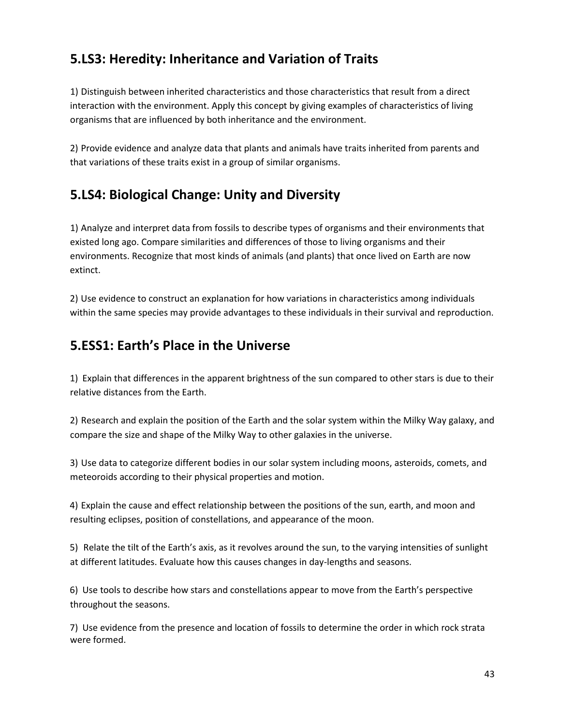## **5.LS3: Heredity: Inheritance and Variation of Traits**

1) Distinguish between inherited characteristics and those characteristics that result from a direct interaction with the environment. Apply this concept by giving examples of characteristics of living organisms that are influenced by both inheritance and the environment.

2) Provide evidence and analyze data that plants and animals have traits inherited from parents and that variations of these traits exist in a group of similar organisms.

## **5.LS4: Biological Change: Unity and Diversity**

1) Analyze and interpret data from fossils to describe types of organisms and their environments that existed long ago. Compare similarities and differences of those to living organisms and their environments. Recognize that most kinds of animals (and plants) that once lived on Earth are now extinct.

2) Use evidence to construct an explanation for how variations in characteristics among individuals within the same species may provide advantages to these individuals in their survival and reproduction.

## **5.ESS1: Earth's Place in the Universe**

1) Explain that differences in the apparent brightness of the sun compared to other stars is due to their relative distances from the Earth.

2) Research and explain the position of the Earth and the solar system within the Milky Way galaxy, and compare the size and shape of the Milky Way to other galaxies in the universe.

3) Use data to categorize different bodies in our solar system including moons, asteroids, comets, and meteoroids according to their physical properties and motion.

4) Explain the cause and effect relationship between the positions of the sun, earth, and moon and resulting eclipses, position of constellations, and appearance of the moon.

5) Relate the tilt of the Earth's axis, as it revolves around the sun, to the varying intensities of sunlight at different latitudes. Evaluate how this causes changes in day-lengths and seasons.

6) Use tools to describe how stars and constellations appear to move from the Earth's perspective throughout the seasons.

7) Use evidence from the presence and location of fossils to determine the order in which rock strata were formed.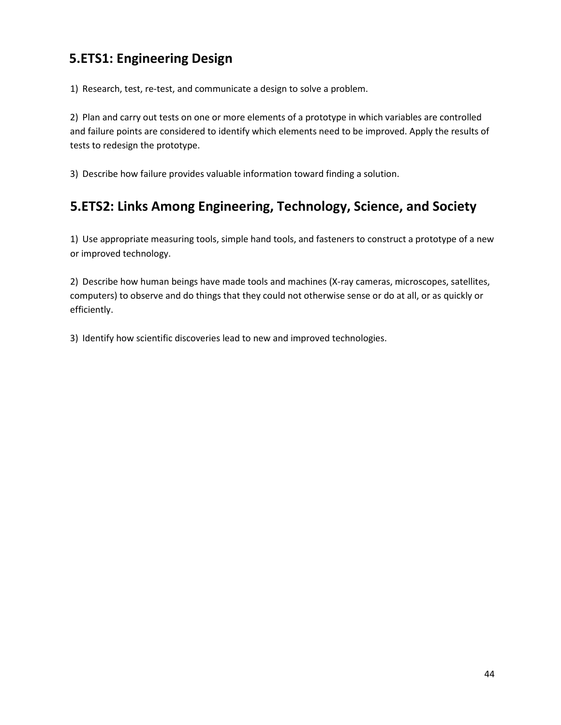## **5.ETS1: Engineering Design**

1) Research, test, re-test, and communicate a design to solve a problem.

2) Plan and carry out tests on one or more elements of a prototype in which variables are controlled and failure points are considered to identify which elements need to be improved. Apply the results of tests to redesign the prototype.

3) Describe how failure provides valuable information toward finding a solution.

## **5.ETS2: Links Among Engineering, Technology, Science, and Society**

1) Use appropriate measuring tools, simple hand tools, and fasteners to construct a prototype of a new or improved technology.

2) Describe how human beings have made tools and machines (X-ray cameras, microscopes, satellites, computers) to observe and do things that they could not otherwise sense or do at all, or as quickly or efficiently.

3) Identify how scientific discoveries lead to new and improved technologies.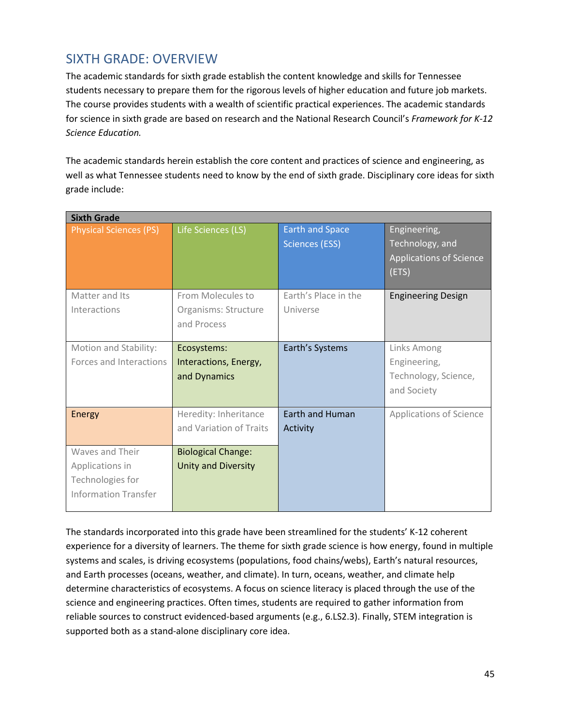### SIXTH GRADE: OVERVIEW

The academic standards for sixth grade establish the content knowledge and skills for Tennessee students necessary to prepare them for the rigorous levels of higher education and future job markets. The course provides students with a wealth of scientific practical experiences. The academic standards for science in sixth grade are based on research and the National Research Council's *Framework for K-12 Science Education.*

The academic standards herein establish the core content and practices of science and engineering, as well as what Tennessee students need to know by the end of sixth grade. Disciplinary core ideas for sixth grade include:

| <b>Sixth Grade</b>                                                                    |                                                          |                                                 |                                                                            |
|---------------------------------------------------------------------------------------|----------------------------------------------------------|-------------------------------------------------|----------------------------------------------------------------------------|
| <b>Physical Sciences (PS)</b>                                                         | Life Sciences (LS)                                       | <b>Earth and Space</b><br><b>Sciences (ESS)</b> | Engineering,<br>Technology, and<br><b>Applications of Science</b><br>(ETS) |
| Matter and Its<br>Interactions                                                        | From Molecules to<br>Organisms: Structure<br>and Process | Earth's Place in the<br>Universe                | <b>Engineering Design</b>                                                  |
| Motion and Stability:<br>Forces and Interactions                                      | Ecosystems:<br>Interactions, Energy,<br>and Dynamics     | Earth's Systems                                 | <b>Links Among</b><br>Engineering,<br>Technology, Science,<br>and Society  |
| <b>Energy</b>                                                                         | Heredity: Inheritance<br>and Variation of Traits         | <b>Earth and Human</b><br>Activity              | <b>Applications of Science</b>                                             |
| Waves and Their<br>Applications in<br>Technologies for<br><b>Information Transfer</b> | <b>Biological Change:</b><br><b>Unity and Diversity</b>  |                                                 |                                                                            |

The standards incorporated into this grade have been streamlined for the students' K-12 coherent experience for a diversity of learners. The theme for sixth grade science is how energy, found in multiple systems and scales, is driving ecosystems (populations, food chains/webs), Earth's natural resources, and Earth processes (oceans, weather, and climate). In turn, oceans, weather, and climate help determine characteristics of ecosystems. A focus on science literacy is placed through the use of the science and engineering practices. Often times, students are required to gather information from reliable sources to construct evidenced-based arguments (e.g., 6.LS2.3). Finally, STEM integration is supported both as a stand-alone disciplinary core idea.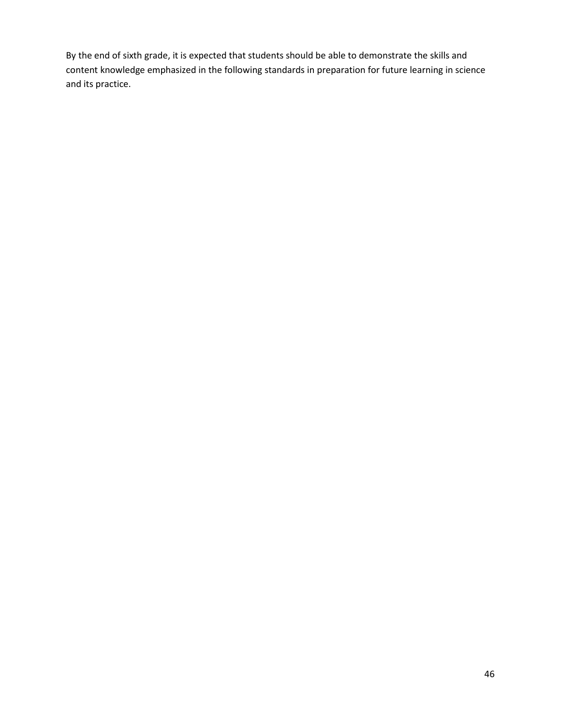By the end of sixth grade, it is expected that students should be able to demonstrate the skills and content knowledge emphasized in the following standards in preparation for future learning in science and its practice.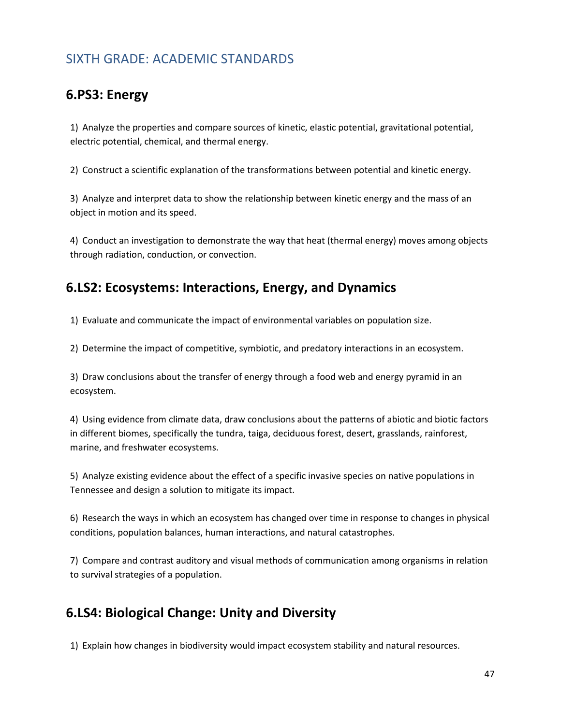### SIXTH GRADE: ACADEMIC STANDARDS

### **6.PS3: Energy**

1) Analyze the properties and compare sources of kinetic, elastic potential, gravitational potential, electric potential, chemical, and thermal energy.

2) Construct a scientific explanation of the transformations between potential and kinetic energy.

3) Analyze and interpret data to show the relationship between kinetic energy and the mass of an object in motion and its speed.

4) Conduct an investigation to demonstrate the way that heat (thermal energy) moves among objects through radiation, conduction, or convection.

### **6.LS2: Ecosystems: Interactions, Energy, and Dynamics**

1) Evaluate and communicate the impact of environmental variables on population size.

2) Determine the impact of competitive, symbiotic, and predatory interactions in an ecosystem.

3) Draw conclusions about the transfer of energy through a food web and energy pyramid in an ecosystem.

4) Using evidence from climate data, draw conclusions about the patterns of abiotic and biotic factors in different biomes, specifically the tundra, taiga, deciduous forest, desert, grasslands, rainforest, marine, and freshwater ecosystems.

5) Analyze existing evidence about the effect of a specific invasive species on native populations in Tennessee and design a solution to mitigate its impact.

6) Research the ways in which an ecosystem has changed over time in response to changes in physical conditions, population balances, human interactions, and natural catastrophes.

7) Compare and contrast auditory and visual methods of communication among organisms in relation to survival strategies of a population.

### **6.LS4: Biological Change: Unity and Diversity**

1) Explain how changes in biodiversity would impact ecosystem stability and natural resources.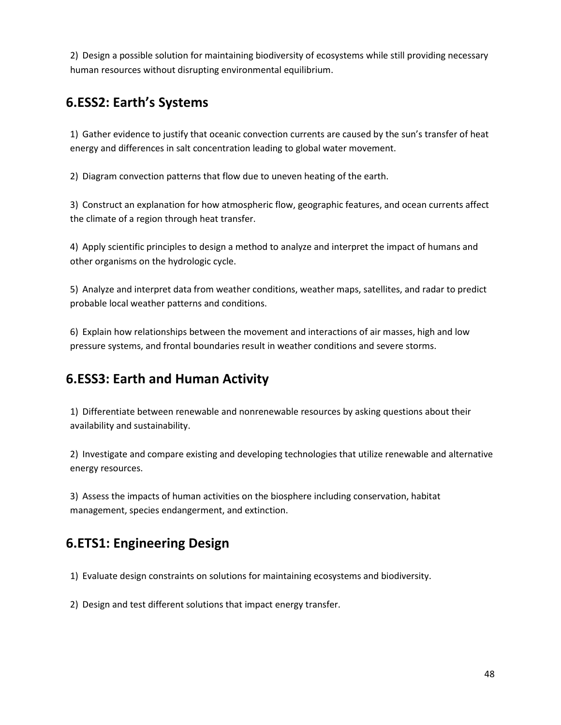2) Design a possible solution for maintaining biodiversity of ecosystems while still providing necessary human resources without disrupting environmental equilibrium.

## **6.ESS2: Earth's Systems**

1) Gather evidence to justify that oceanic convection currents are caused by the sun's transfer of heat energy and differences in salt concentration leading to global water movement.

2) Diagram convection patterns that flow due to uneven heating of the earth.

3) Construct an explanation for how atmospheric flow, geographic features, and ocean currents affect the climate of a region through heat transfer.

4) Apply scientific principles to design a method to analyze and interpret the impact of humans and other organisms on the hydrologic cycle.

5) Analyze and interpret data from weather conditions, weather maps, satellites, and radar to predict probable local weather patterns and conditions.

6) Explain how relationships between the movement and interactions of air masses, high and low pressure systems, and frontal boundaries result in weather conditions and severe storms.

## **6.ESS3: Earth and Human Activity**

1) Differentiate between renewable and nonrenewable resources by asking questions about their availability and sustainability.

2) Investigate and compare existing and developing technologies that utilize renewable and alternative energy resources.

3) Assess the impacts of human activities on the biosphere including conservation, habitat management, species endangerment, and extinction.

## **6.ETS1: Engineering Design**

1) Evaluate design constraints on solutions for maintaining ecosystems and biodiversity.

2) Design and test different solutions that impact energy transfer.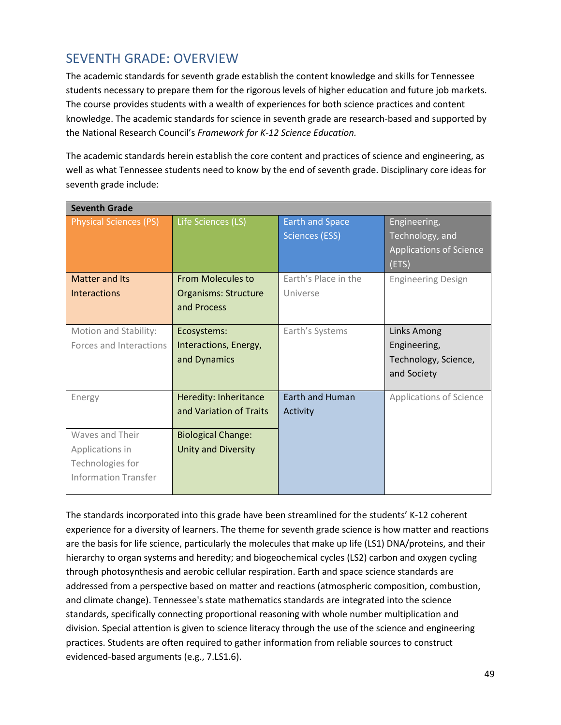### SEVENTH GRADE: OVERVIEW

The academic standards for seventh grade establish the content knowledge and skills for Tennessee students necessary to prepare them for the rigorous levels of higher education and future job markets. The course provides students with a wealth of experiences for both science practices and content knowledge. The academic standards for science in seventh grade are research-based and supported by the National Research Council's *Framework for K-12 Science Education.*

The academic standards herein establish the core content and practices of science and engineering, as well as what Tennessee students need to know by the end of seventh grade. Disciplinary core ideas for seventh grade include:

| <b>Seventh Grade</b>          |                             |                        |                                |
|-------------------------------|-----------------------------|------------------------|--------------------------------|
| <b>Physical Sciences (PS)</b> | Life Sciences (LS)          | <b>Earth and Space</b> | Engineering,                   |
|                               |                             | <b>Sciences (ESS)</b>  | Technology, and                |
|                               |                             |                        | <b>Applications of Science</b> |
|                               |                             |                        | (ETS)                          |
| <b>Matter and Its</b>         | <b>From Molecules to</b>    | Earth's Place in the   | <b>Engineering Design</b>      |
| <b>Interactions</b>           | <b>Organisms: Structure</b> | Universe               |                                |
|                               | and Process                 |                        |                                |
|                               |                             |                        |                                |
| Motion and Stability:         | Ecosystems:                 | Earth's Systems        | <b>Links Among</b>             |
| Forces and Interactions       | Interactions, Energy,       |                        | Engineering,                   |
|                               | and Dynamics                |                        | Technology, Science,           |
|                               |                             |                        | and Society                    |
|                               |                             |                        |                                |
| Energy                        | Heredity: Inheritance       | <b>Earth and Human</b> | <b>Applications of Science</b> |
|                               | and Variation of Traits     | Activity               |                                |
|                               |                             |                        |                                |
| Waves and Their               | <b>Biological Change:</b>   |                        |                                |
| Applications in               | <b>Unity and Diversity</b>  |                        |                                |
| Technologies for              |                             |                        |                                |
| Information Transfer          |                             |                        |                                |
|                               |                             |                        |                                |

The standards incorporated into this grade have been streamlined for the students' K-12 coherent experience for a diversity of learners. The theme for seventh grade science is how matter and reactions are the basis for life science, particularly the molecules that make up life (LS1) DNA/proteins, and their hierarchy to organ systems and heredity; and biogeochemical cycles (LS2) carbon and oxygen cycling through photosynthesis and aerobic cellular respiration. Earth and space science standards are addressed from a perspective based on matter and reactions (atmospheric composition, combustion, and climate change). Tennessee's state mathematics standards are integrated into the science standards, specifically connecting proportional reasoning with whole number multiplication and division. Special attention is given to science literacy through the use of the science and engineering practices. Students are often required to gather information from reliable sources to construct evidenced-based arguments (e.g., 7.LS1.6).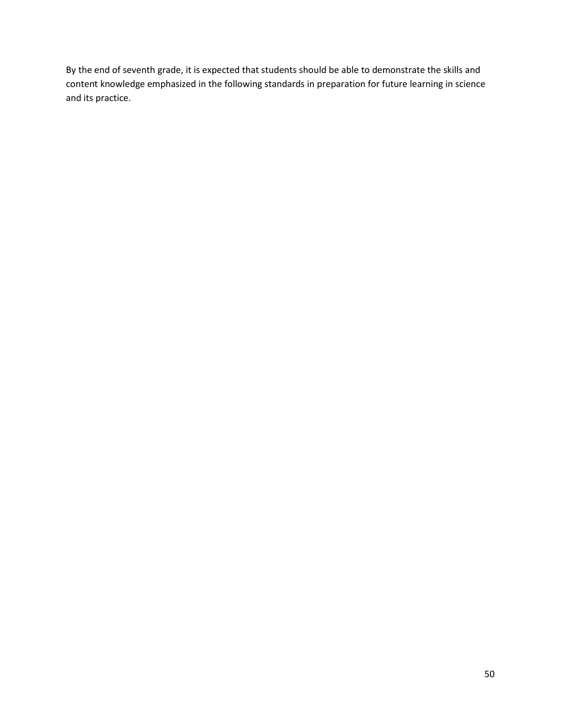By the end of seventh grade, it is expected that students should be able to demonstrate the skills and content knowledge emphasized in the following standards in preparation for future learning in science and its practice.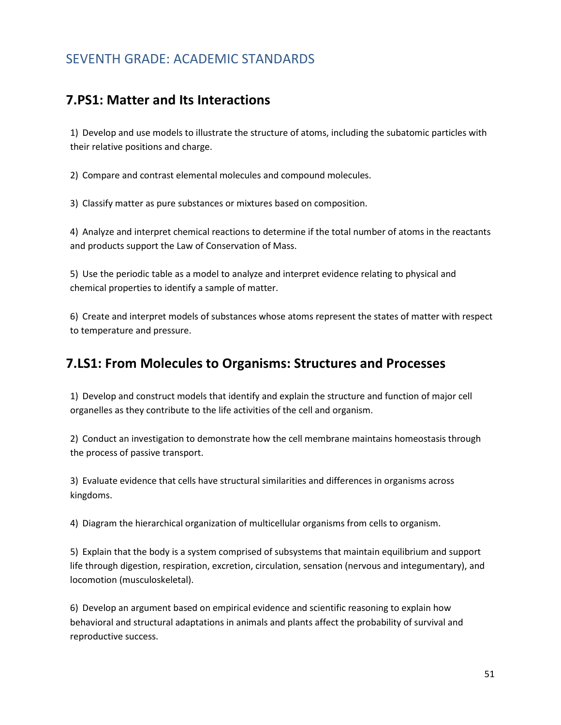### SEVENTH GRADE: ACADEMIC STANDARDS

#### **7.PS1: Matter and Its Interactions**

1) Develop and use models to illustrate the structure of atoms, including the subatomic particles with their relative positions and charge.

2) Compare and contrast elemental molecules and compound molecules.

3) Classify matter as pure substances or mixtures based on composition.

4) Analyze and interpret chemical reactions to determine if the total number of atoms in the reactants and products support the Law of Conservation of Mass.

5) Use the periodic table as a model to analyze and interpret evidence relating to physical and chemical properties to identify a sample of matter.

6) Create and interpret models of substances whose atoms represent the states of matter with respect to temperature and pressure.

#### **7.LS1: From Molecules to Organisms: Structures and Processes**

1) Develop and construct models that identify and explain the structure and function of major cell organelles as they contribute to the life activities of the cell and organism.

2) Conduct an investigation to demonstrate how the cell membrane maintains homeostasis through the process of passive transport.

3) Evaluate evidence that cells have structural similarities and differences in organisms across kingdoms.

4) Diagram the hierarchical organization of multicellular organisms from cells to organism.

5) Explain that the body is a system comprised of subsystems that maintain equilibrium and support life through digestion, respiration, excretion, circulation, sensation (nervous and integumentary), and locomotion (musculoskeletal).

6) Develop an argument based on empirical evidence and scientific reasoning to explain how behavioral and structural adaptations in animals and plants affect the probability of survival and reproductive success.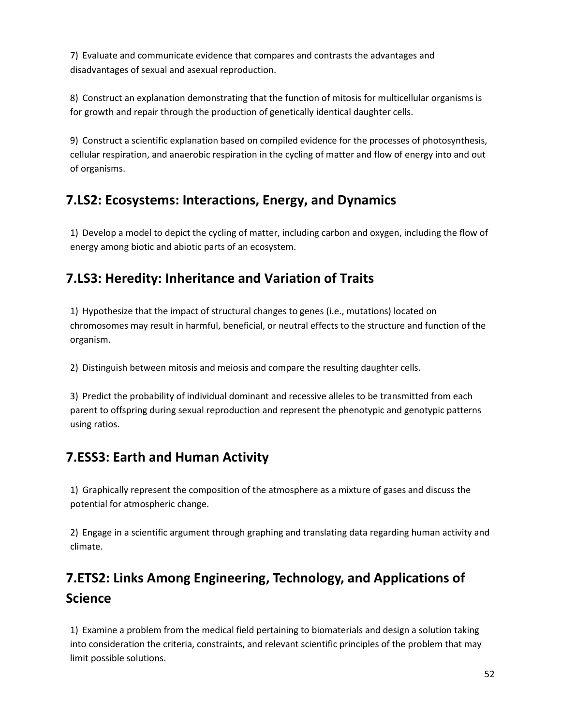7) Evaluate and communicate evidence that compares and contrasts the advantages and disadvantages of sexual and asexual reproduction.

8) Construct an explanation demonstrating that the function of mitosis for multicellular organisms is for growth and repair through the production of genetically identical daughter cells.

9) Construct a scientific explanation based on compiled evidence for the processes of photosynthesis, cellular respiration, and anaerobic respiration in the cycling of matter and flow of energy into and out of organisms.

## **7.LS2: Ecosystems: Interactions, Energy, and Dynamics**

1) Develop a model to depict the cycling of matter, including carbon and oxygen, including the flow of energy among biotic and abiotic parts of an ecosystem.

## **7.LS3: Heredity: Inheritance and Variation of Traits**

1) Hypothesize that the impact of structural changes to genes (i.e., mutations) located on chromosomes may result in harmful, beneficial, or neutral effects to the structure and function of the organism.

2) Distinguish between mitosis and meiosis and compare the resulting daughter cells.

3) Predict the probability of individual dominant and recessive alleles to be transmitted from each parent to offspring during sexual reproduction and represent the phenotypic and genotypic patterns using ratios.

## **7.ESS3: Earth and Human Activity**

1) Graphically represent the composition of the atmosphere as a mixture of gases and discuss the potential for atmospheric change.

2) Engage in a scientific argument through graphing and translating data regarding human activity and climate.

# **7.ETS2: Links Among Engineering, Technology, and Applications of Science**

1) Examine a problem from the medical field pertaining to biomaterials and design a solution taking into consideration the criteria, constraints, and relevant scientific principles of the problem that may limit possible solutions.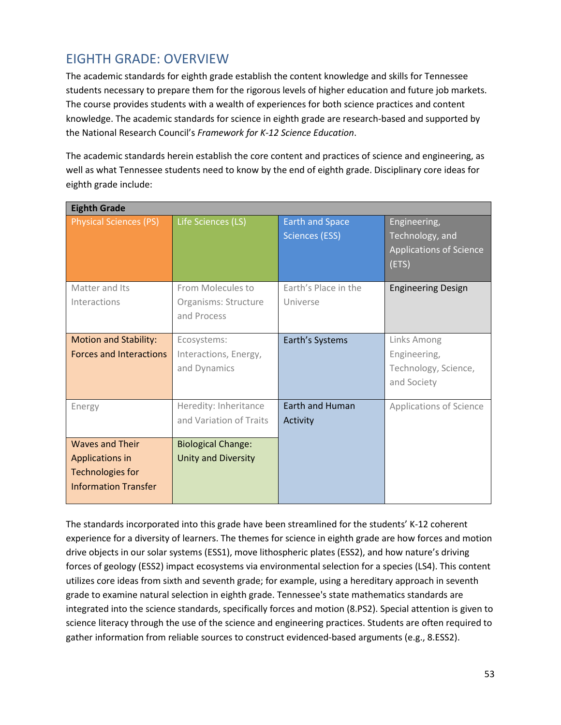## EIGHTH GRADE: OVERVIEW

The academic standards for eighth grade establish the content knowledge and skills for Tennessee students necessary to prepare them for the rigorous levels of higher education and future job markets. The course provides students with a wealth of experiences for both science practices and content knowledge. The academic standards for science in eighth grade are research-based and supported by the National Research Council's *Framework for K-12 Science Education*.

The academic standards herein establish the core content and practices of science and engineering, as well as what Tennessee students need to know by the end of eighth grade. Disciplinary core ideas for eighth grade include:

| <b>Eighth Grade</b>                                                                                 |                                                          |                                                 |                                                                            |
|-----------------------------------------------------------------------------------------------------|----------------------------------------------------------|-------------------------------------------------|----------------------------------------------------------------------------|
| <b>Physical Sciences (PS)</b>                                                                       | Life Sciences (LS)                                       | <b>Earth and Space</b><br><b>Sciences (ESS)</b> | Engineering,<br>Technology, and<br><b>Applications of Science</b><br>(ETS) |
| Matter and Its<br>Interactions                                                                      | From Molecules to<br>Organisms: Structure<br>and Process | Earth's Place in the<br>Universe                | <b>Engineering Design</b>                                                  |
| <b>Motion and Stability:</b><br><b>Forces and Interactions</b>                                      | Ecosystems:<br>Interactions, Energy,<br>and Dynamics     | Earth's Systems                                 | Links Among<br>Engineering,<br>Technology, Science,<br>and Society         |
| Energy                                                                                              | Heredity: Inheritance<br>and Variation of Traits         | <b>Earth and Human</b><br>Activity              | <b>Applications of Science</b>                                             |
| <b>Waves and Their</b><br>Applications in<br><b>Technologies for</b><br><b>Information Transfer</b> | <b>Biological Change:</b><br>Unity and Diversity         |                                                 |                                                                            |

The standards incorporated into this grade have been streamlined for the students' K-12 coherent experience for a diversity of learners. The themes for science in eighth grade are how forces and motion drive objects in our solar systems (ESS1), move lithospheric plates (ESS2), and how nature's driving forces of geology (ESS2) impact ecosystems via environmental selection for a species (LS4). This content utilizes core ideas from sixth and seventh grade; for example, using a hereditary approach in seventh grade to examine natural selection in eighth grade. Tennessee's state mathematics standards are integrated into the science standards, specifically forces and motion (8.PS2). Special attention is given to science literacy through the use of the science and engineering practices. Students are often required to gather information from reliable sources to construct evidenced-based arguments (e.g., 8.ESS2).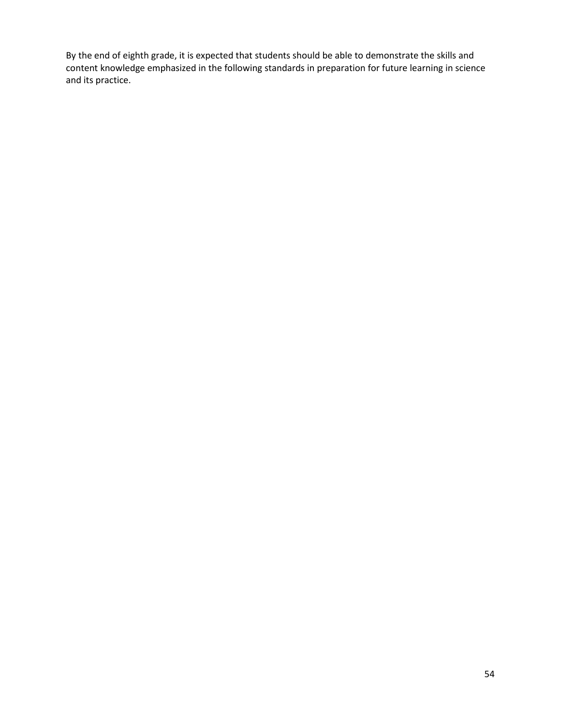By the end of eighth grade, it is expected that students should be able to demonstrate the skills and content knowledge emphasized in the following standards in preparation for future learning in science and its practice.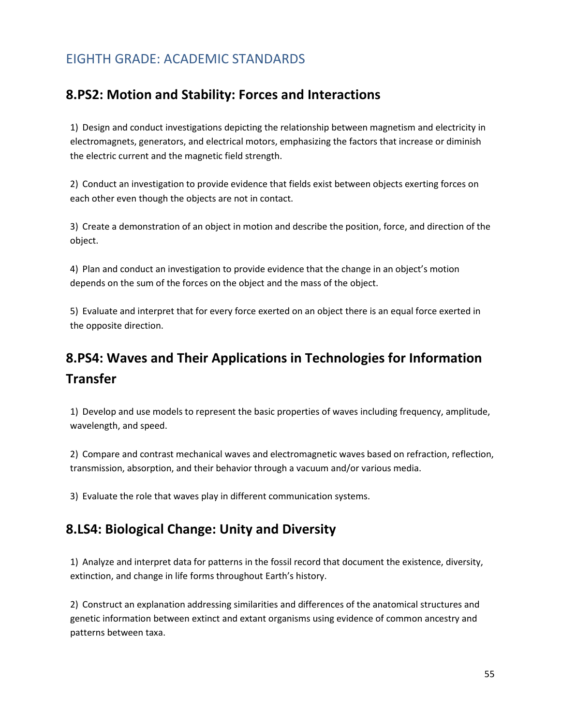## EIGHTH GRADE: ACADEMIC STANDARDS

### **8.PS2: Motion and Stability: Forces and Interactions**

1) Design and conduct investigations depicting the relationship between magnetism and electricity in electromagnets, generators, and electrical motors, emphasizing the factors that increase or diminish the electric current and the magnetic field strength.

2) Conduct an investigation to provide evidence that fields exist between objects exerting forces on each other even though the objects are not in contact.

3) Create a demonstration of an object in motion and describe the position, force, and direction of the object.

4) Plan and conduct an investigation to provide evidence that the change in an object's motion depends on the sum of the forces on the object and the mass of the object.

5) Evaluate and interpret that for every force exerted on an object there is an equal force exerted in the opposite direction.

# **8.PS4: Waves and Their Applications in Technologies for Information Transfer**

1) Develop and use models to represent the basic properties of waves including frequency, amplitude, wavelength, and speed.

2) Compare and contrast mechanical waves and electromagnetic waves based on refraction, reflection, transmission, absorption, and their behavior through a vacuum and/or various media.

3) Evaluate the role that waves play in different communication systems.

### **8.LS4: Biological Change: Unity and Diversity**

1) Analyze and interpret data for patterns in the fossil record that document the existence, diversity, extinction, and change in life forms throughout Earth's history.

2) Construct an explanation addressing similarities and differences of the anatomical structures and genetic information between extinct and extant organisms using evidence of common ancestry and patterns between taxa.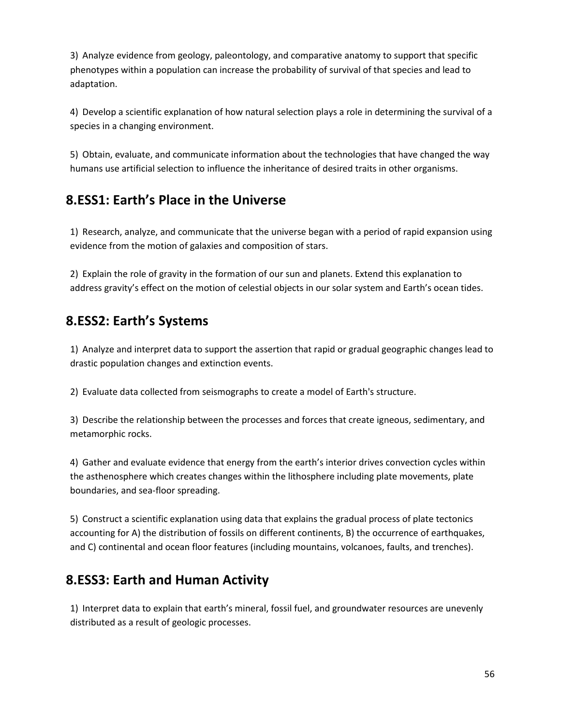3) Analyze evidence from geology, paleontology, and comparative anatomy to support that specific phenotypes within a population can increase the probability of survival of that species and lead to adaptation.

4) Develop a scientific explanation of how natural selection plays a role in determining the survival of a species in a changing environment.

5) Obtain, evaluate, and communicate information about the technologies that have changed the way humans use artificial selection to influence the inheritance of desired traits in other organisms.

## **8.ESS1: Earth's Place in the Universe**

1) Research, analyze, and communicate that the universe began with a period of rapid expansion using evidence from the motion of galaxies and composition of stars.

2) Explain the role of gravity in the formation of our sun and planets. Extend this explanation to address gravity's effect on the motion of celestial objects in our solar system and Earth's ocean tides.

## **8.ESS2: Earth's Systems**

1) Analyze and interpret data to support the assertion that rapid or gradual geographic changes lead to drastic population changes and extinction events.

2) Evaluate data collected from seismographs to create a model of Earth's structure.

3) Describe the relationship between the processes and forces that create igneous, sedimentary, and metamorphic rocks.

4) Gather and evaluate evidence that energy from the earth's interior drives convection cycles within the asthenosphere which creates changes within the lithosphere including plate movements, plate boundaries, and sea-floor spreading.

5) Construct a scientific explanation using data that explains the gradual process of plate tectonics accounting for A) the distribution of fossils on different continents, B) the occurrence of earthquakes, and C) continental and ocean floor features (including mountains, volcanoes, faults, and trenches).

### **8.ESS3: Earth and Human Activity**

1) Interpret data to explain that earth's mineral, fossil fuel, and groundwater resources are unevenly distributed as a result of geologic processes.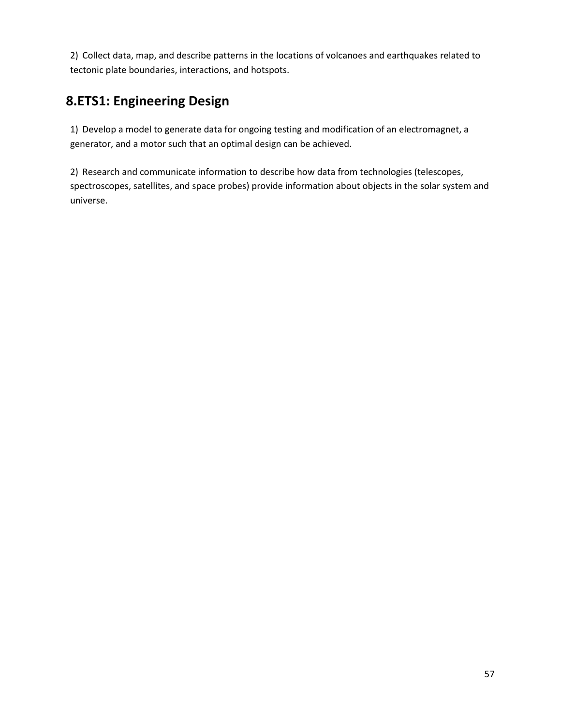2) Collect data, map, and describe patterns in the locations of volcanoes and earthquakes related to tectonic plate boundaries, interactions, and hotspots.

## **8.ETS1: Engineering Design**

1) Develop a model to generate data for ongoing testing and modification of an electromagnet, a generator, and a motor such that an optimal design can be achieved.

2) Research and communicate information to describe how data from technologies (telescopes, spectroscopes, satellites, and space probes) provide information about objects in the solar system and universe.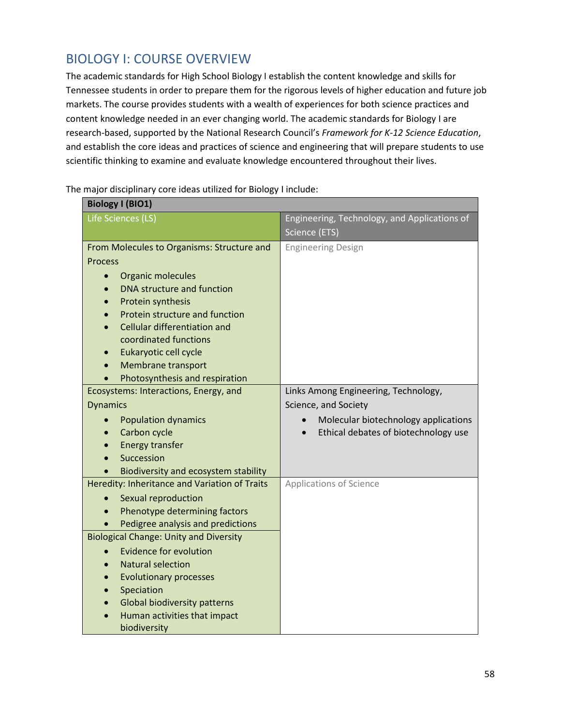### BIOLOGY I: COURSE OVERVIEW

The academic standards for High School Biology I establish the content knowledge and skills for Tennessee students in order to prepare them for the rigorous levels of higher education and future job markets. The course provides students with a wealth of experiences for both science practices and content knowledge needed in an ever changing world. The academic standards for Biology I are research-based, supported by the National Research Council's *Framework for K-12 Science Education*, and establish the core ideas and practices of science and engineering that will prepare students to use scientific thinking to examine and evaluate knowledge encountered throughout their lives.

**Biology I (BIO1)** Life Sciences (LS) Engineering, Technology, and Applications of Science (ETS) From Molecules to Organisms: Structure and Process • Organic molecules • DNA structure and function • Protein synthesis • Protein structure and function • Cellular differentiation and coordinated functions • Eukaryotic cell cycle • Membrane transport • Photosynthesis and respiration Engineering Design Ecosystems: Interactions, Energy, and **Dynamics** • Population dynamics • Carbon cycle • Energy transfer • Succession • Biodiversity and ecosystem stability Links Among Engineering, Technology, Science, and Society • Molecular biotechnology applications • Ethical debates of biotechnology use Heredity: Inheritance and Variation of Traits • Sexual reproduction • Phenotype determining factors • Pedigree analysis and predictions Applications of Science Biological Change: Unity and Diversity • Evidence for evolution • Natural selection • Evolutionary processes • Speciation Global biodiversity patterns • Human activities that impact biodiversity

The major disciplinary core ideas utilized for Biology I include: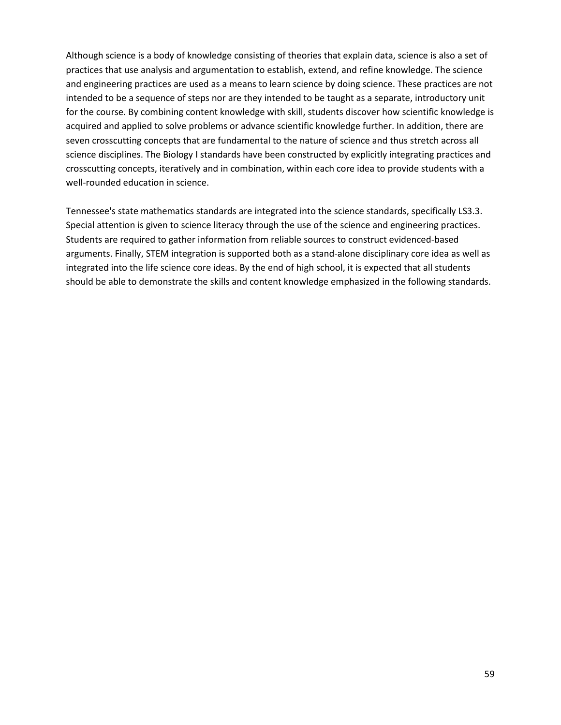Although science is a body of knowledge consisting of theories that explain data, science is also a set of practices that use analysis and argumentation to establish, extend, and refine knowledge. The science and engineering practices are used as a means to learn science by doing science. These practices are not intended to be a sequence of steps nor are they intended to be taught as a separate, introductory unit for the course. By combining content knowledge with skill, students discover how scientific knowledge is acquired and applied to solve problems or advance scientific knowledge further. In addition, there are seven crosscutting concepts that are fundamental to the nature of science and thus stretch across all science disciplines. The Biology I standards have been constructed by explicitly integrating practices and crosscutting concepts, iteratively and in combination, within each core idea to provide students with a well-rounded education in science.

Tennessee's state mathematics standards are integrated into the science standards, specifically LS3.3. Special attention is given to science literacy through the use of the science and engineering practices. Students are required to gather information from reliable sources to construct evidenced-based arguments. Finally, STEM integration is supported both as a stand-alone disciplinary core idea as well as integrated into the life science core ideas. By the end of high school, it is expected that all students should be able to demonstrate the skills and content knowledge emphasized in the following standards.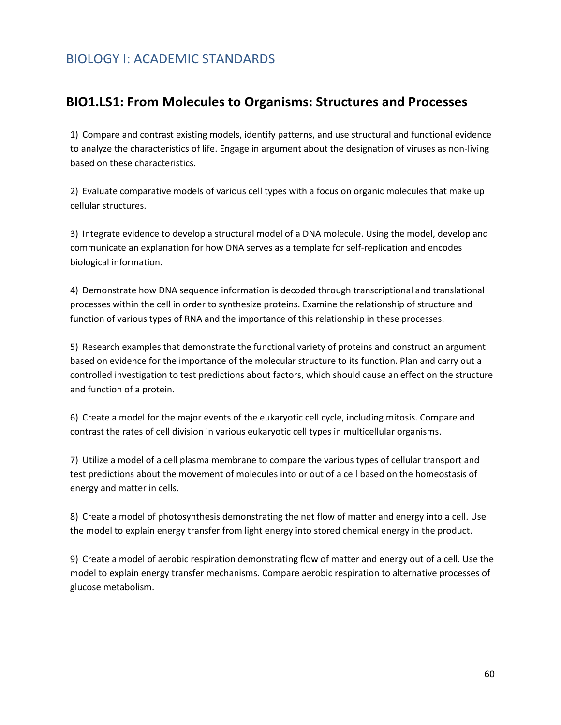### BIOLOGY I: ACADEMIC STANDARDS

#### **BIO1.LS1: From Molecules to Organisms: Structures and Processes**

1) Compare and contrast existing models, identify patterns, and use structural and functional evidence to analyze the characteristics of life. Engage in argument about the designation of viruses as non-living based on these characteristics.

2) Evaluate comparative models of various cell types with a focus on organic molecules that make up cellular structures.

3) Integrate evidence to develop a structural model of a DNA molecule. Using the model, develop and communicate an explanation for how DNA serves as a template for self-replication and encodes biological information.

4) Demonstrate how DNA sequence information is decoded through transcriptional and translational processes within the cell in order to synthesize proteins. Examine the relationship of structure and function of various types of RNA and the importance of this relationship in these processes.

5) Research examples that demonstrate the functional variety of proteins and construct an argument based on evidence for the importance of the molecular structure to its function. Plan and carry out a controlled investigation to test predictions about factors, which should cause an effect on the structure and function of a protein.

6) Create a model for the major events of the eukaryotic cell cycle, including mitosis. Compare and contrast the rates of cell division in various eukaryotic cell types in multicellular organisms.

7) Utilize a model of a cell plasma membrane to compare the various types of cellular transport and test predictions about the movement of molecules into or out of a cell based on the homeostasis of energy and matter in cells.

8) Create a model of photosynthesis demonstrating the net flow of matter and energy into a cell. Use the model to explain energy transfer from light energy into stored chemical energy in the product.

9) Create a model of aerobic respiration demonstrating flow of matter and energy out of a cell. Use the model to explain energy transfer mechanisms. Compare aerobic respiration to alternative processes of glucose metabolism.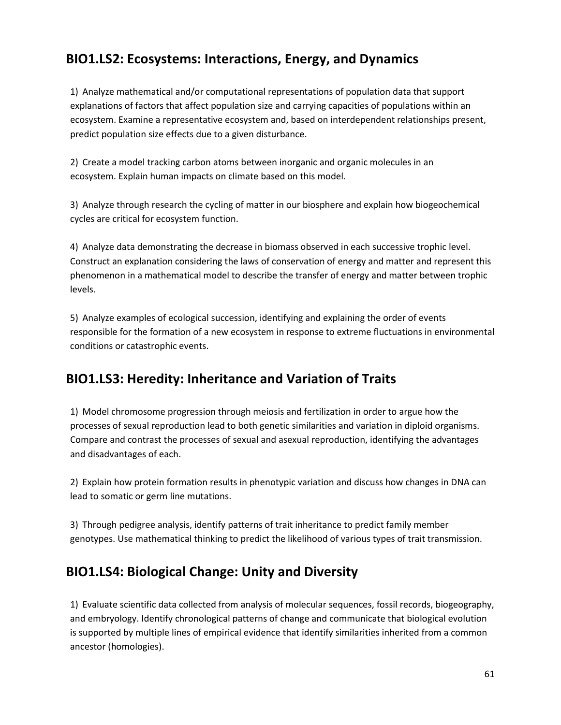## **BIO1.LS2: Ecosystems: Interactions, Energy, and Dynamics**

1) Analyze mathematical and/or computational representations of population data that support explanations of factors that affect population size and carrying capacities of populations within an ecosystem. Examine a representative ecosystem and, based on interdependent relationships present, predict population size effects due to a given disturbance.

2) Create a model tracking carbon atoms between inorganic and organic molecules in an ecosystem. Explain human impacts on climate based on this model.

3) Analyze through research the cycling of matter in our biosphere and explain how biogeochemical cycles are critical for ecosystem function.

4) Analyze data demonstrating the decrease in biomass observed in each successive trophic level. Construct an explanation considering the laws of conservation of energy and matter and represent this phenomenon in a mathematical model to describe the transfer of energy and matter between trophic levels.

5) Analyze examples of ecological succession, identifying and explaining the order of events responsible for the formation of a new ecosystem in response to extreme fluctuations in environmental conditions or catastrophic events.

### **BIO1.LS3: Heredity: Inheritance and Variation of Traits**

1) Model chromosome progression through meiosis and fertilization in order to argue how the processes of sexual reproduction lead to both genetic similarities and variation in diploid organisms. Compare and contrast the processes of sexual and asexual reproduction, identifying the advantages and disadvantages of each.

2) Explain how protein formation results in phenotypic variation and discuss how changes in DNA can lead to somatic or germ line mutations.

3) Through pedigree analysis, identify patterns of trait inheritance to predict family member genotypes. Use mathematical thinking to predict the likelihood of various types of trait transmission.

### **BIO1.LS4: Biological Change: Unity and Diversity**

1) Evaluate scientific data collected from analysis of molecular sequences, fossil records, biogeography, and embryology. Identify chronological patterns of change and communicate that biological evolution is supported by multiple lines of empirical evidence that identify similarities inherited from a common ancestor (homologies).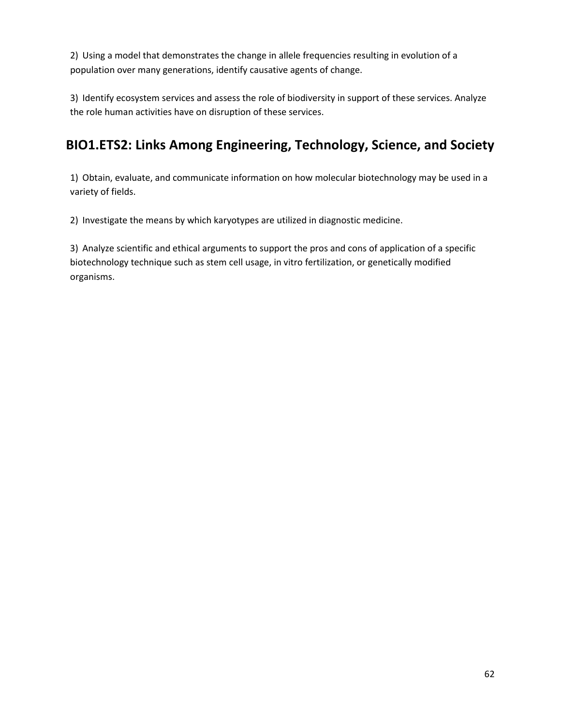2) Using a model that demonstrates the change in allele frequencies resulting in evolution of a population over many generations, identify causative agents of change.

3) Identify ecosystem services and assess the role of biodiversity in support of these services. Analyze the role human activities have on disruption of these services.

## **BIO1.ETS2: Links Among Engineering, Technology, Science, and Society**

1) Obtain, evaluate, and communicate information on how molecular biotechnology may be used in a variety of fields.

2) Investigate the means by which karyotypes are utilized in diagnostic medicine.

3) Analyze scientific and ethical arguments to support the pros and cons of application of a specific biotechnology technique such as stem cell usage, in vitro fertilization, or genetically modified organisms.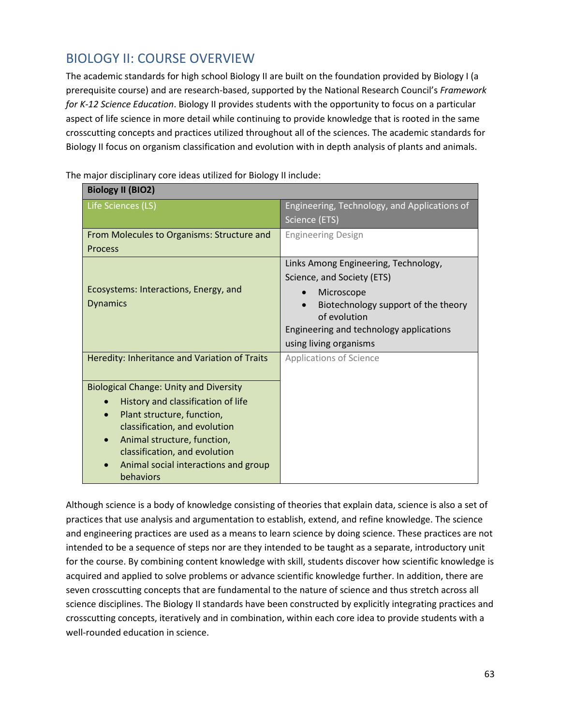## BIOLOGY II: COURSE OVERVIEW

The academic standards for high school Biology II are built on the foundation provided by Biology I (a prerequisite course) and are research-based, supported by the National Research Council's *Framework for K-12 Science Education*. Biology II provides students with the opportunity to focus on a particular aspect of life science in more detail while continuing to provide knowledge that is rooted in the same crosscutting concepts and practices utilized throughout all of the sciences. The academic standards for Biology II focus on organism classification and evolution with in depth analysis of plants and animals.

| <b>Biology II (BIO2)</b>                                              |                                              |
|-----------------------------------------------------------------------|----------------------------------------------|
| Life Sciences (LS)                                                    | Engineering, Technology, and Applications of |
|                                                                       | Science (ETS)                                |
| From Molecules to Organisms: Structure and                            | <b>Engineering Design</b>                    |
| <b>Process</b>                                                        |                                              |
|                                                                       | Links Among Engineering, Technology,         |
|                                                                       | Science, and Society (ETS)                   |
| Ecosystems: Interactions, Energy, and                                 | Microscope                                   |
| <b>Dynamics</b>                                                       | Biotechnology support of the theory          |
|                                                                       | of evolution                                 |
|                                                                       | Engineering and technology applications      |
|                                                                       | using living organisms                       |
| Heredity: Inheritance and Variation of Traits                         | <b>Applications of Science</b>               |
|                                                                       |                                              |
| <b>Biological Change: Unity and Diversity</b>                         |                                              |
| History and classification of life<br>$\bullet$                       |                                              |
| Plant structure, function,                                            |                                              |
| classification, and evolution                                         |                                              |
| Animal structure, function,<br>$\bullet$                              |                                              |
| classification, and evolution<br>Animal social interactions and group |                                              |
| behaviors                                                             |                                              |
|                                                                       |                                              |

The major disciplinary core ideas utilized for Biology II include:

Although science is a body of knowledge consisting of theories that explain data, science is also a set of practices that use analysis and argumentation to establish, extend, and refine knowledge. The science and engineering practices are used as a means to learn science by doing science. These practices are not intended to be a sequence of steps nor are they intended to be taught as a separate, introductory unit for the course. By combining content knowledge with skill, students discover how scientific knowledge is acquired and applied to solve problems or advance scientific knowledge further. In addition, there are seven crosscutting concepts that are fundamental to the nature of science and thus stretch across all science disciplines. The Biology II standards have been constructed by explicitly integrating practices and crosscutting concepts, iteratively and in combination, within each core idea to provide students with a well-rounded education in science.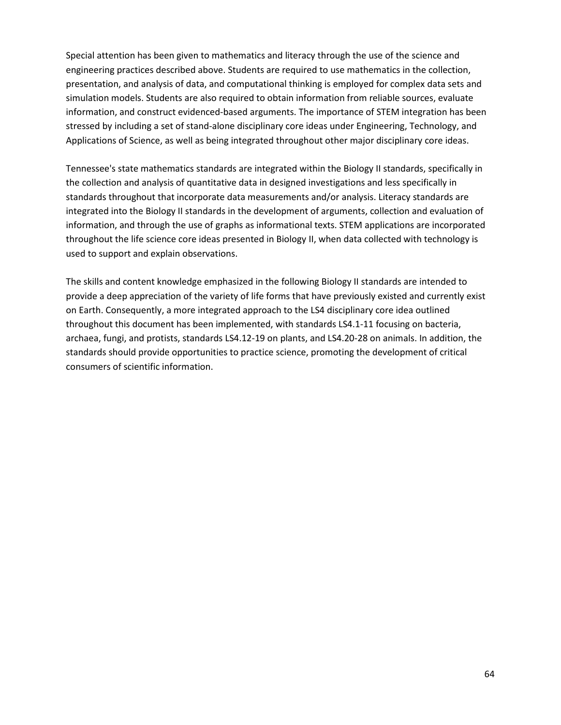Special attention has been given to mathematics and literacy through the use of the science and engineering practices described above. Students are required to use mathematics in the collection, presentation, and analysis of data, and computational thinking is employed for complex data sets and simulation models. Students are also required to obtain information from reliable sources, evaluate information, and construct evidenced-based arguments. The importance of STEM integration has been stressed by including a set of stand-alone disciplinary core ideas under Engineering, Technology, and Applications of Science, as well as being integrated throughout other major disciplinary core ideas.

Tennessee's state mathematics standards are integrated within the Biology II standards, specifically in the collection and analysis of quantitative data in designed investigations and less specifically in standards throughout that incorporate data measurements and/or analysis. Literacy standards are integrated into the Biology II standards in the development of arguments, collection and evaluation of information, and through the use of graphs as informational texts. STEM applications are incorporated throughout the life science core ideas presented in Biology II, when data collected with technology is used to support and explain observations.

The skills and content knowledge emphasized in the following Biology II standards are intended to provide a deep appreciation of the variety of life forms that have previously existed and currently exist on Earth. Consequently, a more integrated approach to the LS4 disciplinary core idea outlined throughout this document has been implemented, with standards LS4.1-11 focusing on bacteria, archaea, fungi, and protists, standards LS4.12-19 on plants, and LS4.20-28 on animals. In addition, the standards should provide opportunities to practice science, promoting the development of critical consumers of scientific information.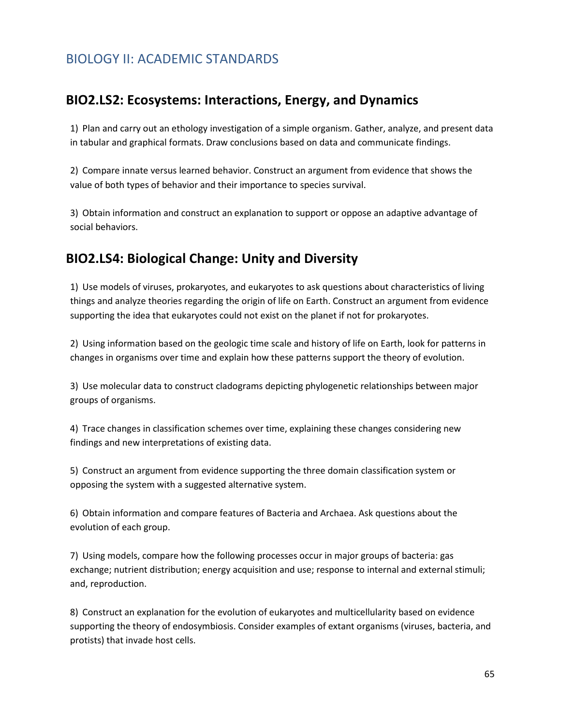### BIOLOGY II: ACADEMIC STANDARDS

### **BIO2.LS2: Ecosystems: Interactions, Energy, and Dynamics**

1) Plan and carry out an ethology investigation of a simple organism. Gather, analyze, and present data in tabular and graphical formats. Draw conclusions based on data and communicate findings.

2) Compare innate versus learned behavior. Construct an argument from evidence that shows the value of both types of behavior and their importance to species survival.

3) Obtain information and construct an explanation to support or oppose an adaptive advantage of social behaviors.

### **BIO2.LS4: Biological Change: Unity and Diversity**

1) Use models of viruses, prokaryotes, and eukaryotes to ask questions about characteristics of living things and analyze theories regarding the origin of life on Earth. Construct an argument from evidence supporting the idea that eukaryotes could not exist on the planet if not for prokaryotes.

2) Using information based on the geologic time scale and history of life on Earth, look for patterns in changes in organisms over time and explain how these patterns support the theory of evolution.

3) Use molecular data to construct cladograms depicting phylogenetic relationships between major groups of organisms.

4) Trace changes in classification schemes over time, explaining these changes considering new findings and new interpretations of existing data.

5) Construct an argument from evidence supporting the three domain classification system or opposing the system with a suggested alternative system.

6) Obtain information and compare features of Bacteria and Archaea. Ask questions about the evolution of each group.

7) Using models, compare how the following processes occur in major groups of bacteria: gas exchange; nutrient distribution; energy acquisition and use; response to internal and external stimuli; and, reproduction.

8) Construct an explanation for the evolution of eukaryotes and multicellularity based on evidence supporting the theory of endosymbiosis. Consider examples of extant organisms (viruses, bacteria, and protists) that invade host cells.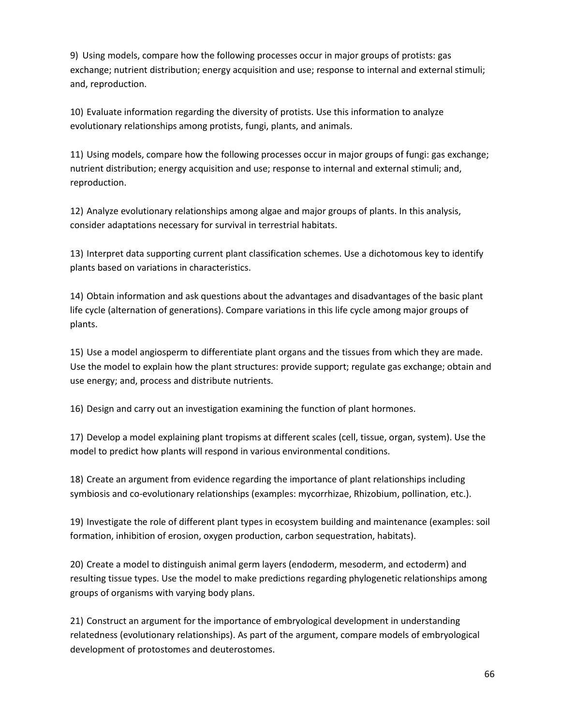9) Using models, compare how the following processes occur in major groups of protists: gas exchange; nutrient distribution; energy acquisition and use; response to internal and external stimuli; and, reproduction.

10) Evaluate information regarding the diversity of protists. Use this information to analyze evolutionary relationships among protists, fungi, plants, and animals.

11) Using models, compare how the following processes occur in major groups of fungi: gas exchange; nutrient distribution; energy acquisition and use; response to internal and external stimuli; and, reproduction.

12) Analyze evolutionary relationships among algae and major groups of plants. In this analysis, consider adaptations necessary for survival in terrestrial habitats.

13) Interpret data supporting current plant classification schemes. Use a dichotomous key to identify plants based on variations in characteristics.

14) Obtain information and ask questions about the advantages and disadvantages of the basic plant life cycle (alternation of generations). Compare variations in this life cycle among major groups of plants.

15) Use a model angiosperm to differentiate plant organs and the tissues from which they are made. Use the model to explain how the plant structures: provide support; regulate gas exchange; obtain and use energy; and, process and distribute nutrients.

16) Design and carry out an investigation examining the function of plant hormones.

17) Develop a model explaining plant tropisms at different scales (cell, tissue, organ, system). Use the model to predict how plants will respond in various environmental conditions.

18) Create an argument from evidence regarding the importance of plant relationships including symbiosis and co-evolutionary relationships (examples: mycorrhizae, Rhizobium, pollination, etc.).

19) Investigate the role of different plant types in ecosystem building and maintenance (examples: soil formation, inhibition of erosion, oxygen production, carbon sequestration, habitats).

20) Create a model to distinguish animal germ layers (endoderm, mesoderm, and ectoderm) and resulting tissue types. Use the model to make predictions regarding phylogenetic relationships among groups of organisms with varying body plans.

21) Construct an argument for the importance of embryological development in understanding relatedness (evolutionary relationships). As part of the argument, compare models of embryological development of protostomes and deuterostomes.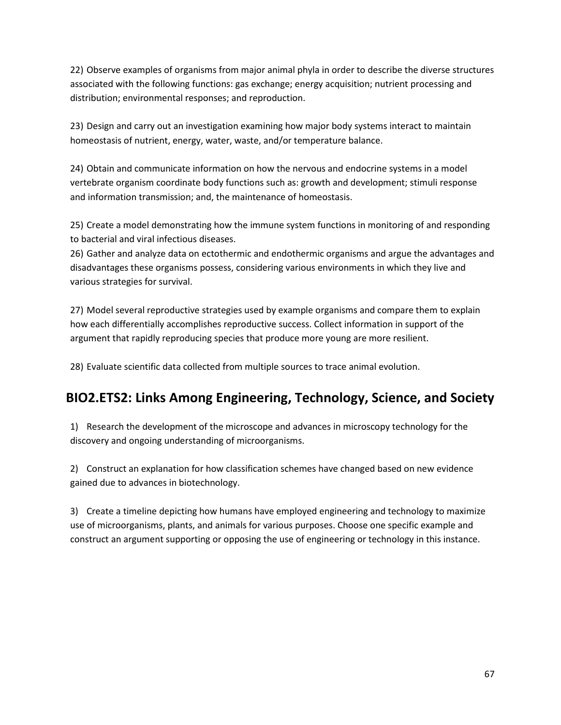22) Observe examples of organisms from major animal phyla in order to describe the diverse structures associated with the following functions: gas exchange; energy acquisition; nutrient processing and distribution; environmental responses; and reproduction.

23) Design and carry out an investigation examining how major body systems interact to maintain homeostasis of nutrient, energy, water, waste, and/or temperature balance.

24) Obtain and communicate information on how the nervous and endocrine systems in a model vertebrate organism coordinate body functions such as: growth and development; stimuli response and information transmission; and, the maintenance of homeostasis.

25) Create a model demonstrating how the immune system functions in monitoring of and responding to bacterial and viral infectious diseases.

26) Gather and analyze data on ectothermic and endothermic organisms and argue the advantages and disadvantages these organisms possess, considering various environments in which they live and various strategies for survival.

27) Model several reproductive strategies used by example organisms and compare them to explain how each differentially accomplishes reproductive success. Collect information in support of the argument that rapidly reproducing species that produce more young are more resilient.

28) Evaluate scientific data collected from multiple sources to trace animal evolution.

## **BIO2.ETS2: Links Among Engineering, Technology, Science, and Society**

1) Research the development of the microscope and advances in microscopy technology for the discovery and ongoing understanding of microorganisms.

2) Construct an explanation for how classification schemes have changed based on new evidence gained due to advances in biotechnology.

3) Create a timeline depicting how humans have employed engineering and technology to maximize use of microorganisms, plants, and animals for various purposes. Choose one specific example and construct an argument supporting or opposing the use of engineering or technology in this instance.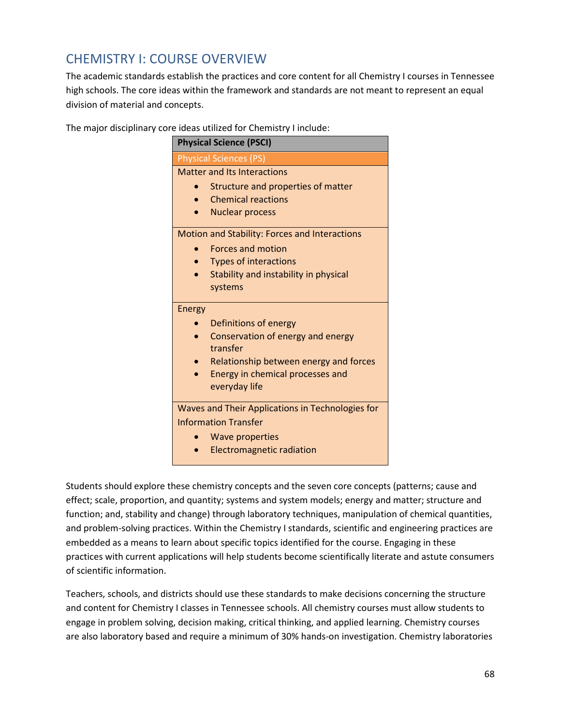## CHEMISTRY I: COURSE OVERVIEW

The academic standards establish the practices and core content for all Chemistry I courses in Tennessee high schools. The core ideas within the framework and standards are not meant to represent an equal division of material and concepts.

The major disciplinary core ideas utilized for Chemistry I include:

|                                                  | <b>Physical Science (PSCI)</b>                |
|--------------------------------------------------|-----------------------------------------------|
|                                                  | <b>Physical Sciences (PS)</b>                 |
|                                                  | <b>Matter and Its Interactions</b>            |
|                                                  | Structure and properties of matter            |
|                                                  | <b>Chemical reactions</b>                     |
|                                                  | <b>Nuclear process</b>                        |
|                                                  | Motion and Stability: Forces and Interactions |
|                                                  | <b>Forces and motion</b>                      |
|                                                  | <b>Types of interactions</b>                  |
|                                                  | Stability and instability in physical         |
|                                                  | systems                                       |
| <b>Energy</b>                                    |                                               |
|                                                  | Definitions of energy                         |
|                                                  | Conservation of energy and energy<br>transfer |
|                                                  | Relationship between energy and forces        |
|                                                  | Energy in chemical processes and              |
|                                                  | everyday life                                 |
| Waves and Their Applications in Technologies for |                                               |
|                                                  | <b>Information Transfer</b>                   |
|                                                  | Wave properties                               |
|                                                  | <b>Electromagnetic radiation</b>              |

Students should explore these chemistry concepts and the seven core concepts (patterns; cause and effect; scale, proportion, and quantity; systems and system models; energy and matter; structure and function; and, stability and change) through laboratory techniques, manipulation of chemical quantities, and problem-solving practices. Within the Chemistry I standards, scientific and engineering practices are embedded as a means to learn about specific topics identified for the course. Engaging in these practices with current applications will help students become scientifically literate and astute consumers of scientific information.

Teachers, schools, and districts should use these standards to make decisions concerning the structure and content for Chemistry I classes in Tennessee schools. All chemistry courses must allow students to engage in problem solving, decision making, critical thinking, and applied learning. Chemistry courses are also laboratory based and require a minimum of 30% hands-on investigation. Chemistry laboratories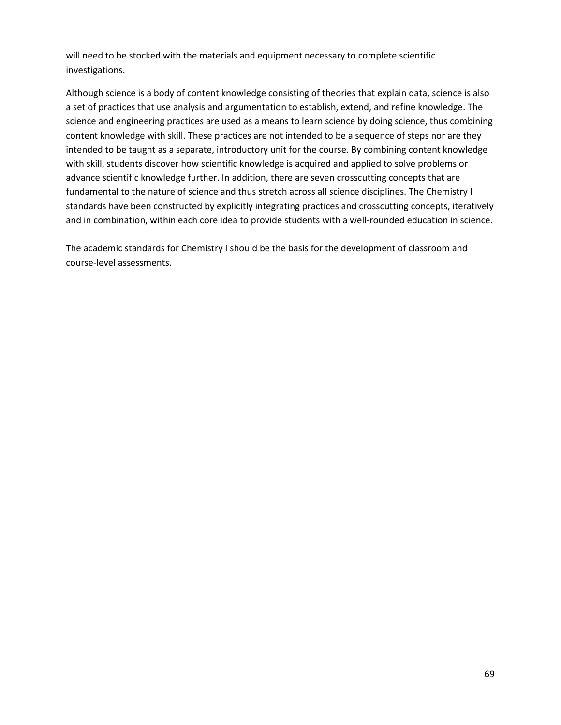will need to be stocked with the materials and equipment necessary to complete scientific investigations.

Although science is a body of content knowledge consisting of theories that explain data, science is also a set of practices that use analysis and argumentation to establish, extend, and refine knowledge. The science and engineering practices are used as a means to learn science by doing science, thus combining content knowledge with skill. These practices are not intended to be a sequence of steps nor are they intended to be taught as a separate, introductory unit for the course. By combining content knowledge with skill, students discover how scientific knowledge is acquired and applied to solve problems or advance scientific knowledge further. In addition, there are seven crosscutting concepts that are fundamental to the nature of science and thus stretch across all science disciplines. The Chemistry I standards have been constructed by explicitly integrating practices and crosscutting concepts, iteratively and in combination, within each core idea to provide students with a well-rounded education in science.

The academic standards for Chemistry I should be the basis for the development of classroom and course-level assessments.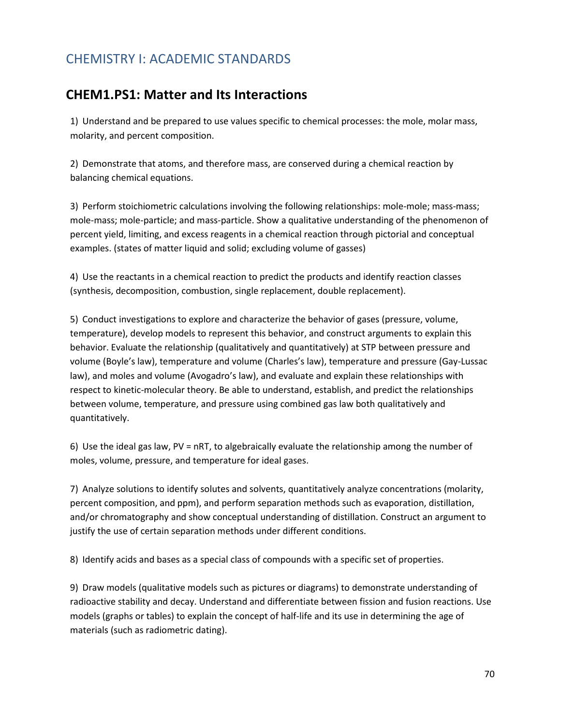## CHEMISTRY I: ACADEMIC STANDARDS

### **CHEM1.PS1: Matter and Its Interactions**

1) Understand and be prepared to use values specific to chemical processes: the mole, molar mass, molarity, and percent composition.

2) Demonstrate that atoms, and therefore mass, are conserved during a chemical reaction by balancing chemical equations.

3) Perform stoichiometric calculations involving the following relationships: mole-mole; mass-mass; mole-mass; mole-particle; and mass-particle. Show a qualitative understanding of the phenomenon of percent yield, limiting, and excess reagents in a chemical reaction through pictorial and conceptual examples. (states of matter liquid and solid; excluding volume of gasses)

4) Use the reactants in a chemical reaction to predict the products and identify reaction classes (synthesis, decomposition, combustion, single replacement, double replacement).

5) Conduct investigations to explore and characterize the behavior of gases (pressure, volume, temperature), develop models to represent this behavior, and construct arguments to explain this behavior. Evaluate the relationship (qualitatively and quantitatively) at STP between pressure and volume (Boyle's law), temperature and volume (Charles's law), temperature and pressure (Gay-Lussac law), and moles and volume (Avogadro's law), and evaluate and explain these relationships with respect to kinetic-molecular theory. Be able to understand, establish, and predict the relationships between volume, temperature, and pressure using combined gas law both qualitatively and quantitatively.

6) Use the ideal gas law, PV = nRT, to algebraically evaluate the relationship among the number of moles, volume, pressure, and temperature for ideal gases.

7) Analyze solutions to identify solutes and solvents, quantitatively analyze concentrations (molarity, percent composition, and ppm), and perform separation methods such as evaporation, distillation, and/or chromatography and show conceptual understanding of distillation. Construct an argument to justify the use of certain separation methods under different conditions.

8) Identify acids and bases as a special class of compounds with a specific set of properties.

9) Draw models (qualitative models such as pictures or diagrams) to demonstrate understanding of radioactive stability and decay. Understand and differentiate between fission and fusion reactions. Use models (graphs or tables) to explain the concept of half-life and its use in determining the age of materials (such as radiometric dating).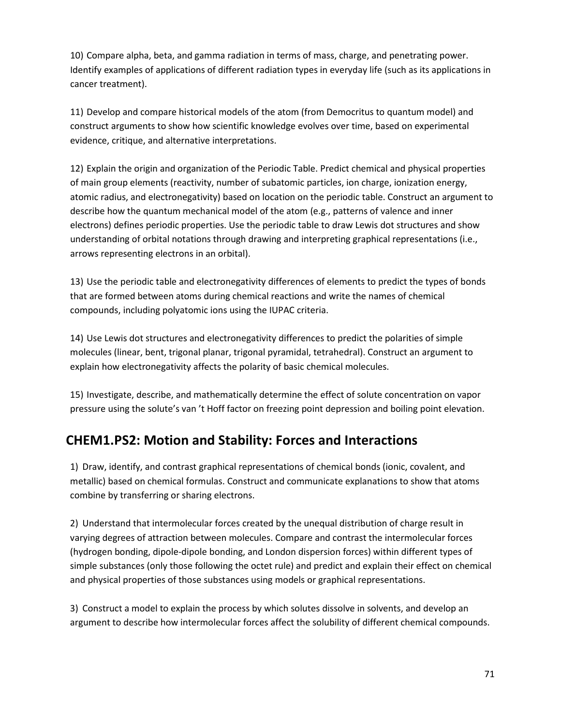10) Compare alpha, beta, and gamma radiation in terms of mass, charge, and penetrating power. Identify examples of applications of different radiation types in everyday life (such as its applications in cancer treatment).

11) Develop and compare historical models of the atom (from Democritus to quantum model) and construct arguments to show how scientific knowledge evolves over time, based on experimental evidence, critique, and alternative interpretations.

12) Explain the origin and organization of the Periodic Table. Predict chemical and physical properties of main group elements (reactivity, number of subatomic particles, ion charge, ionization energy, atomic radius, and electronegativity) based on location on the periodic table. Construct an argument to describe how the quantum mechanical model of the atom (e.g., patterns of valence and inner electrons) defines periodic properties. Use the periodic table to draw Lewis dot structures and show understanding of orbital notations through drawing and interpreting graphical representations (i.e., arrows representing electrons in an orbital).

13) Use the periodic table and electronegativity differences of elements to predict the types of bonds that are formed between atoms during chemical reactions and write the names of chemical compounds, including polyatomic ions using the IUPAC criteria.

14) Use Lewis dot structures and electronegativity differences to predict the polarities of simple molecules (linear, bent, trigonal planar, trigonal pyramidal, tetrahedral). Construct an argument to explain how electronegativity affects the polarity of basic chemical molecules.

15) Investigate, describe, and mathematically determine the effect of solute concentration on vapor pressure using the solute's van 't Hoff factor on freezing point depression and boiling point elevation.

## **CHEM1.PS2: Motion and Stability: Forces and Interactions**

1) Draw, identify, and contrast graphical representations of chemical bonds (ionic, covalent, and metallic) based on chemical formulas. Construct and communicate explanations to show that atoms combine by transferring or sharing electrons.

2) Understand that intermolecular forces created by the unequal distribution of charge result in varying degrees of attraction between molecules. Compare and contrast the intermolecular forces (hydrogen bonding, dipole-dipole bonding, and London dispersion forces) within different types of simple substances (only those following the octet rule) and predict and explain their effect on chemical and physical properties of those substances using models or graphical representations.

3) Construct a model to explain the process by which solutes dissolve in solvents, and develop an argument to describe how intermolecular forces affect the solubility of different chemical compounds.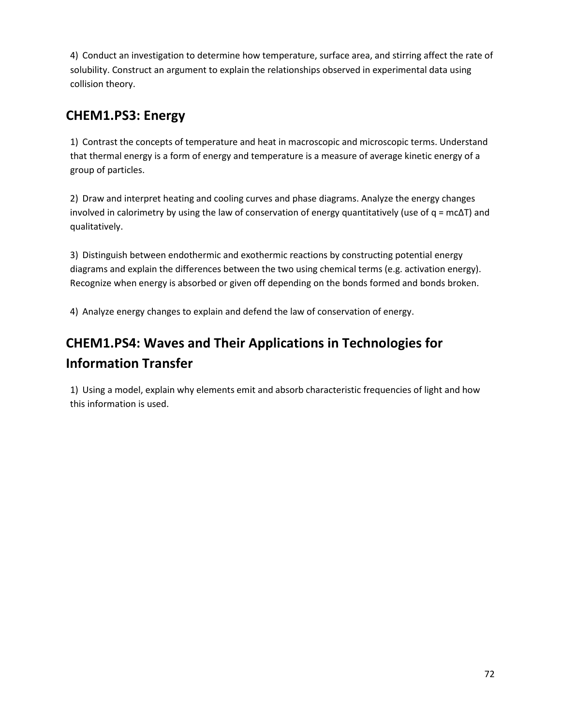4) Conduct an investigation to determine how temperature, surface area, and stirring affect the rate of solubility. Construct an argument to explain the relationships observed in experimental data using collision theory.

## **CHEM1.PS3: Energy**

1) Contrast the concepts of temperature and heat in macroscopic and microscopic terms. Understand that thermal energy is a form of energy and temperature is a measure of average kinetic energy of a group of particles.

2) Draw and interpret heating and cooling curves and phase diagrams. Analyze the energy changes involved in calorimetry by using the law of conservation of energy quantitatively (use of  $q = mc\Delta T$ ) and qualitatively.

3) Distinguish between endothermic and exothermic reactions by constructing potential energy diagrams and explain the differences between the two using chemical terms (e.g. activation energy). Recognize when energy is absorbed or given off depending on the bonds formed and bonds broken.

4) Analyze energy changes to explain and defend the law of conservation of energy.

# **CHEM1.PS4: Waves and Their Applications in Technologies for Information Transfer**

1) Using a model, explain why elements emit and absorb characteristic frequencies of light and how this information is used.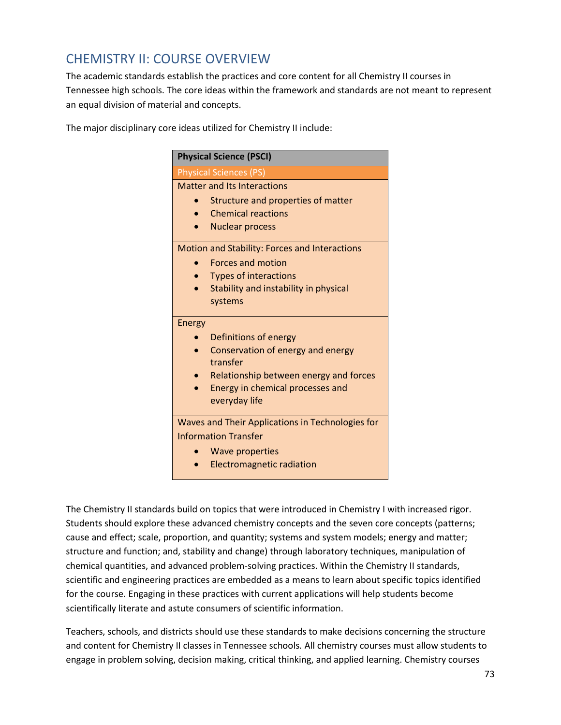#### CHEMISTRY II: COURSE OVERVIEW

The academic standards establish the practices and core content for all Chemistry II courses in Tennessee high schools. The core ideas within the framework and standards are not meant to represent an equal division of material and concepts.

The major disciplinary core ideas utilized for Chemistry II include:

| <b>Physical Science (PSCI)</b>                   |
|--------------------------------------------------|
| <b>Physical Sciences (PS)</b>                    |
| <b>Matter and Its Interactions</b>               |
| Structure and properties of matter               |
| <b>Chemical reactions</b>                        |
| <b>Nuclear process</b>                           |
| Motion and Stability: Forces and Interactions    |
| <b>Forces and motion</b>                         |
| <b>Types of interactions</b>                     |
| Stability and instability in physical            |
| systems                                          |
| <b>Energy</b>                                    |
| Definitions of energy                            |
| Conservation of energy and energy<br>transfer    |
| Relationship between energy and forces           |
| Energy in chemical processes and                 |
| everyday life                                    |
| Waves and Their Applications in Technologies for |
| <b>Information Transfer</b>                      |
| <b>Wave properties</b>                           |
| <b>Electromagnetic radiation</b>                 |

The Chemistry II standards build on topics that were introduced in Chemistry I with increased rigor. Students should explore these advanced chemistry concepts and the seven core concepts (patterns; cause and effect; scale, proportion, and quantity; systems and system models; energy and matter; structure and function; and, stability and change) through laboratory techniques, manipulation of chemical quantities, and advanced problem-solving practices. Within the Chemistry II standards, scientific and engineering practices are embedded as a means to learn about specific topics identified for the course. Engaging in these practices with current applications will help students become scientifically literate and astute consumers of scientific information.

Teachers, schools, and districts should use these standards to make decisions concerning the structure and content for Chemistry II classes in Tennessee schools*.* All chemistry courses must allow students to engage in problem solving, decision making, critical thinking, and applied learning. Chemistry courses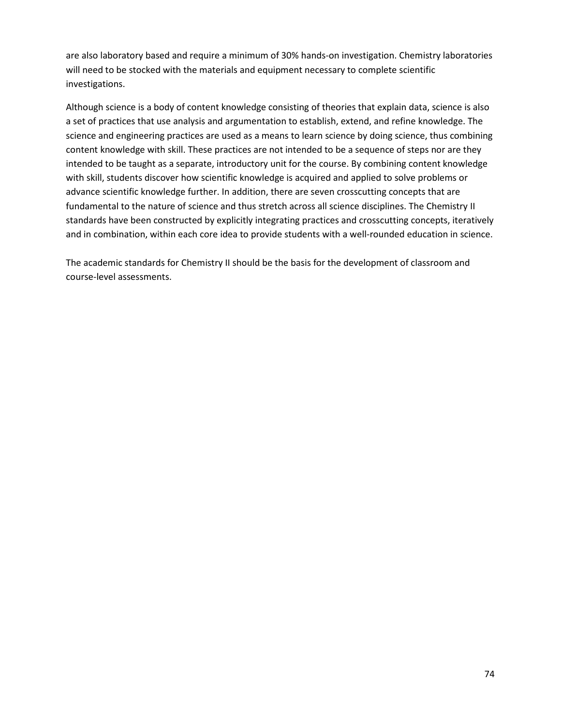are also laboratory based and require a minimum of 30% hands-on investigation. Chemistry laboratories will need to be stocked with the materials and equipment necessary to complete scientific investigations.

Although science is a body of content knowledge consisting of theories that explain data, science is also a set of practices that use analysis and argumentation to establish, extend, and refine knowledge. The science and engineering practices are used as a means to learn science by doing science, thus combining content knowledge with skill. These practices are not intended to be a sequence of steps nor are they intended to be taught as a separate, introductory unit for the course. By combining content knowledge with skill, students discover how scientific knowledge is acquired and applied to solve problems or advance scientific knowledge further. In addition, there are seven crosscutting concepts that are fundamental to the nature of science and thus stretch across all science disciplines. The Chemistry II standards have been constructed by explicitly integrating practices and crosscutting concepts, iteratively and in combination, within each core idea to provide students with a well-rounded education in science.

The academic standards for Chemistry II should be the basis for the development of classroom and course-level assessments.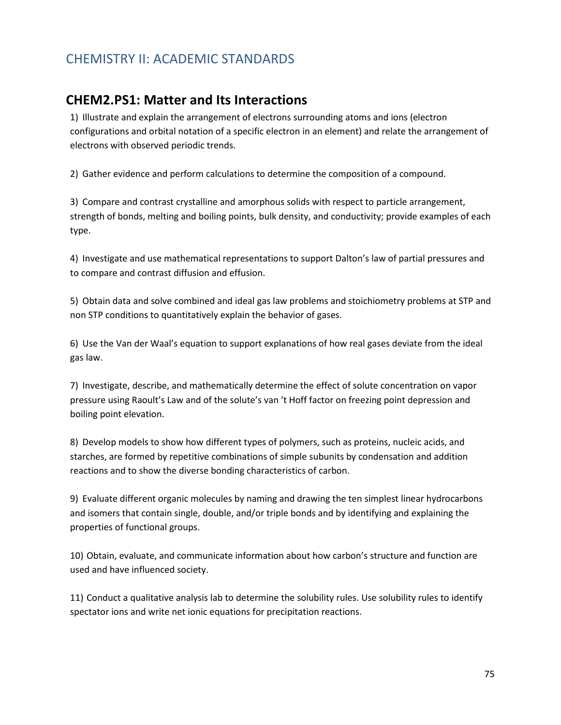#### CHEMISTRY II: ACADEMIC STANDARDS

#### **CHEM2.PS1: Matter and Its Interactions**

1) Illustrate and explain the arrangement of electrons surrounding atoms and ions (electron configurations and orbital notation of a specific electron in an element) and relate the arrangement of electrons with observed periodic trends.

2) Gather evidence and perform calculations to determine the composition of a compound.

3) Compare and contrast crystalline and amorphous solids with respect to particle arrangement, strength of bonds, melting and boiling points, bulk density, and conductivity; provide examples of each type.

4) Investigate and use mathematical representations to support Dalton's law of partial pressures and to compare and contrast diffusion and effusion.

5) Obtain data and solve combined and ideal gas law problems and stoichiometry problems at STP and non STP conditions to quantitatively explain the behavior of gases.

6) Use the Van der Waal's equation to support explanations of how real gases deviate from the ideal gas law.

7) Investigate, describe, and mathematically determine the effect of solute concentration on vapor pressure using Raoult's Law and of the solute's van 't Hoff factor on freezing point depression and boiling point elevation.

8) Develop models to show how different types of polymers, such as proteins, nucleic acids, and starches, are formed by repetitive combinations of simple subunits by condensation and addition reactions and to show the diverse bonding characteristics of carbon.

9) Evaluate different organic molecules by naming and drawing the ten simplest linear hydrocarbons and isomers that contain single, double, and/or triple bonds and by identifying and explaining the properties of functional groups.

10) Obtain, evaluate, and communicate information about how carbon's structure and function are used and have influenced society.

11) Conduct a qualitative analysis lab to determine the solubility rules. Use solubility rules to identify spectator ions and write net ionic equations for precipitation reactions.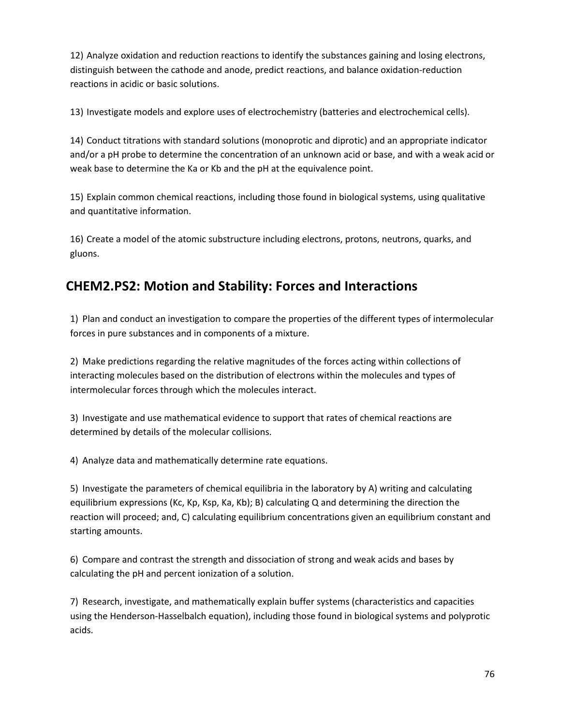12) Analyze oxidation and reduction reactions to identify the substances gaining and losing electrons, distinguish between the cathode and anode, predict reactions, and balance oxidation-reduction reactions in acidic or basic solutions.

13) Investigate models and explore uses of electrochemistry (batteries and electrochemical cells).

14) Conduct titrations with standard solutions (monoprotic and diprotic) and an appropriate indicator and/or a pH probe to determine the concentration of an unknown acid or base, and with a weak acid or weak base to determine the Ka or Kb and the pH at the equivalence point.

15) Explain common chemical reactions, including those found in biological systems, using qualitative and quantitative information.

16) Create a model of the atomic substructure including electrons, protons, neutrons, quarks, and gluons.

# **CHEM2.PS2: Motion and Stability: Forces and Interactions**

1) Plan and conduct an investigation to compare the properties of the different types of intermolecular forces in pure substances and in components of a mixture.

2) Make predictions regarding the relative magnitudes of the forces acting within collections of interacting molecules based on the distribution of electrons within the molecules and types of intermolecular forces through which the molecules interact.

3) Investigate and use mathematical evidence to support that rates of chemical reactions are determined by details of the molecular collisions.

4) Analyze data and mathematically determine rate equations.

5) Investigate the parameters of chemical equilibria in the laboratory by A) writing and calculating equilibrium expressions (Kc, Kp, Ksp, Ka, Kb); B) calculating Q and determining the direction the reaction will proceed; and, C) calculating equilibrium concentrations given an equilibrium constant and starting amounts.

6) Compare and contrast the strength and dissociation of strong and weak acids and bases by calculating the pH and percent ionization of a solution.

7) Research, investigate, and mathematically explain buffer systems (characteristics and capacities using the Henderson-Hasselbalch equation), including those found in biological systems and polyprotic acids.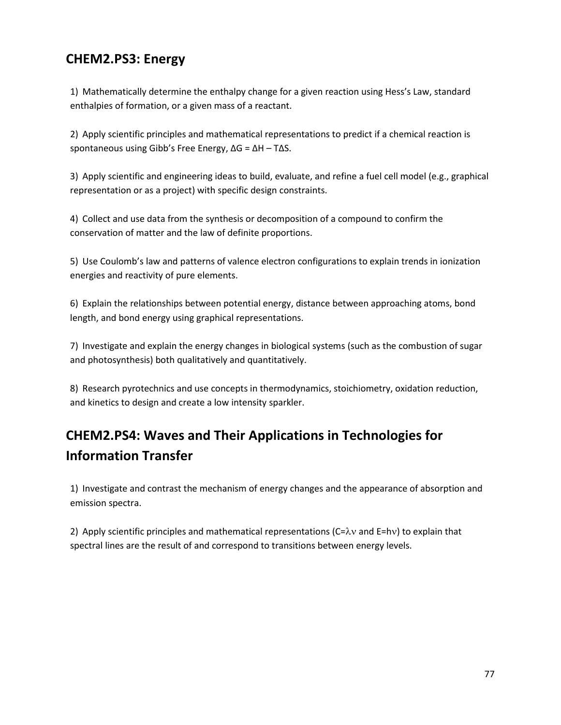# **CHEM2.PS3: Energy**

1) Mathematically determine the enthalpy change for a given reaction using Hess's Law, standard enthalpies of formation, or a given mass of a reactant.

2) Apply scientific principles and mathematical representations to predict if a chemical reaction is spontaneous using Gibb's Free Energy, ΔG = ΔH – TΔS.

3) Apply scientific and engineering ideas to build, evaluate, and refine a fuel cell model (e.g., graphical representation or as a project) with specific design constraints.

4) Collect and use data from the synthesis or decomposition of a compound to confirm the conservation of matter and the law of definite proportions.

5) Use Coulomb's law and patterns of valence electron configurations to explain trends in ionization energies and reactivity of pure elements.

6) Explain the relationships between potential energy, distance between approaching atoms, bond length, and bond energy using graphical representations.

7) Investigate and explain the energy changes in biological systems (such as the combustion of sugar and photosynthesis) both qualitatively and quantitatively.

8) Research pyrotechnics and use concepts in thermodynamics, stoichiometry, oxidation reduction, and kinetics to design and create a low intensity sparkler.

# **CHEM2.PS4: Waves and Their Applications in Technologies for Information Transfer**

1) Investigate and contrast the mechanism of energy changes and the appearance of absorption and emission spectra.

2) Apply scientific principles and mathematical representations ( $C=\lambda v$  and  $E=hv$ ) to explain that spectral lines are the result of and correspond to transitions between energy levels.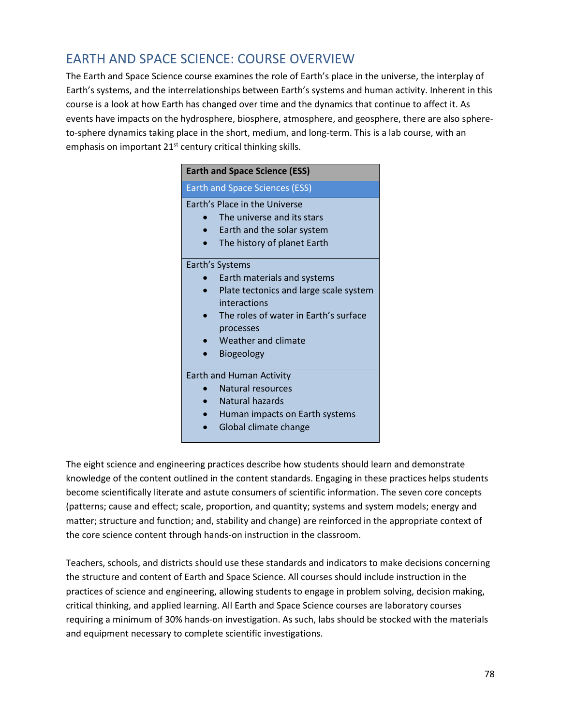#### EARTH AND SPACE SCIENCE: COURSE OVERVIEW

The Earth and Space Science course examines the role of Earth's place in the universe, the interplay of Earth's systems, and the interrelationships between Earth's systems and human activity. Inherent in this course is a look at how Earth has changed over time and the dynamics that continue to affect it. As events have impacts on the hydrosphere, biosphere, atmosphere, and geosphere, there are also sphereto-sphere dynamics taking place in the short, medium, and long-term. This is a lab course, with an emphasis on important 21<sup>st</sup> century critical thinking skills.

| <b>Earth and Space Science (ESS)</b>          |
|-----------------------------------------------|
| <b>Earth and Space Sciences (ESS)</b>         |
| <b>Farth's Place in the Universe</b>          |
| The universe and its stars                    |
| Earth and the solar system                    |
| The history of planet Earth                   |
| Earth's Systems                               |
| Earth materials and systems                   |
| Plate tectonics and large scale system        |
| interactions                                  |
| The roles of water in Farth's surface         |
| processes                                     |
| Weather and climate                           |
| Biogeology                                    |
| <b>Earth and Human Activity</b>               |
| Natural resources                             |
| Natural hazards                               |
| Human impacts on Earth systems<br>$\bullet$ . |
| Global climate change                         |
|                                               |

The eight science and engineering practices describe how students should learn and demonstrate knowledge of the content outlined in the content standards. Engaging in these practices helps students become scientifically literate and astute consumers of scientific information. The seven core concepts (patterns; cause and effect; scale, proportion, and quantity; systems and system models; energy and matter; structure and function; and, stability and change) are reinforced in the appropriate context of the core science content through hands-on instruction in the classroom.

Teachers, schools, and districts should use these standards and indicators to make decisions concerning the structure and content of Earth and Space Science. All courses should include instruction in the practices of science and engineering, allowing students to engage in problem solving, decision making, critical thinking, and applied learning. All Earth and Space Science courses are laboratory courses requiring a minimum of 30% hands-on investigation. As such, labs should be stocked with the materials and equipment necessary to complete scientific investigations.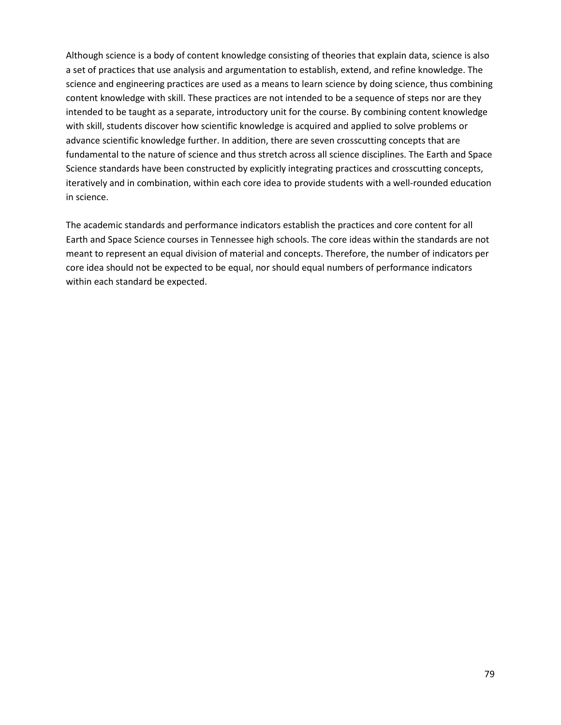Although science is a body of content knowledge consisting of theories that explain data, science is also a set of practices that use analysis and argumentation to establish, extend, and refine knowledge. The science and engineering practices are used as a means to learn science by doing science, thus combining content knowledge with skill. These practices are not intended to be a sequence of steps nor are they intended to be taught as a separate, introductory unit for the course. By combining content knowledge with skill, students discover how scientific knowledge is acquired and applied to solve problems or advance scientific knowledge further. In addition, there are seven crosscutting concepts that are fundamental to the nature of science and thus stretch across all science disciplines. The Earth and Space Science standards have been constructed by explicitly integrating practices and crosscutting concepts, iteratively and in combination, within each core idea to provide students with a well-rounded education in science.

The academic standards and performance indicators establish the practices and core content for all Earth and Space Science courses in Tennessee high schools. The core ideas within the standards are not meant to represent an equal division of material and concepts. Therefore, the number of indicators per core idea should not be expected to be equal, nor should equal numbers of performance indicators within each standard be expected.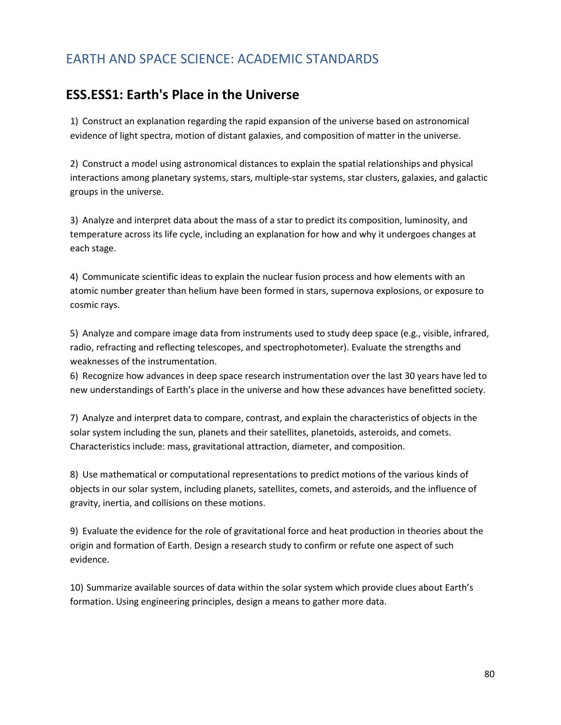#### EARTH AND SPACE SCIENCE: ACADEMIC STANDARDS

#### **ESS.ESS1: Earth's Place in the Universe**

1) Construct an explanation regarding the rapid expansion of the universe based on astronomical evidence of light spectra, motion of distant galaxies, and composition of matter in the universe.

2) Construct a model using astronomical distances to explain the spatial relationships and physical interactions among planetary systems, stars, multiple-star systems, star clusters, galaxies, and galactic groups in the universe.

3) Analyze and interpret data about the mass of a star to predict its composition, luminosity, and temperature across its life cycle, including an explanation for how and why it undergoes changes at each stage.

4) Communicate scientific ideas to explain the nuclear fusion process and how elements with an atomic number greater than helium have been formed in stars, supernova explosions, or exposure to cosmic rays.

5) Analyze and compare image data from instruments used to study deep space (e.g., visible, infrared, radio, refracting and reflecting telescopes, and spectrophotometer). Evaluate the strengths and weaknesses of the instrumentation.

6) Recognize how advances in deep space research instrumentation over the last 30 years have led to new understandings of Earth's place in the universe and how these advances have benefitted society.

7) Analyze and interpret data to compare, contrast, and explain the characteristics of objects in the solar system including the sun, planets and their satellites, planetoids, asteroids, and comets. Characteristics include: mass, gravitational attraction, diameter, and composition.

8) Use mathematical or computational representations to predict motions of the various kinds of objects in our solar system, including planets, satellites, comets, and asteroids, and the influence of gravity, inertia, and collisions on these motions.

9) Evaluate the evidence for the role of gravitational force and heat production in theories about the origin and formation of Earth. Design a research study to confirm or refute one aspect of such evidence.

10) Summarize available sources of data within the solar system which provide clues about Earth's formation. Using engineering principles, design a means to gather more data.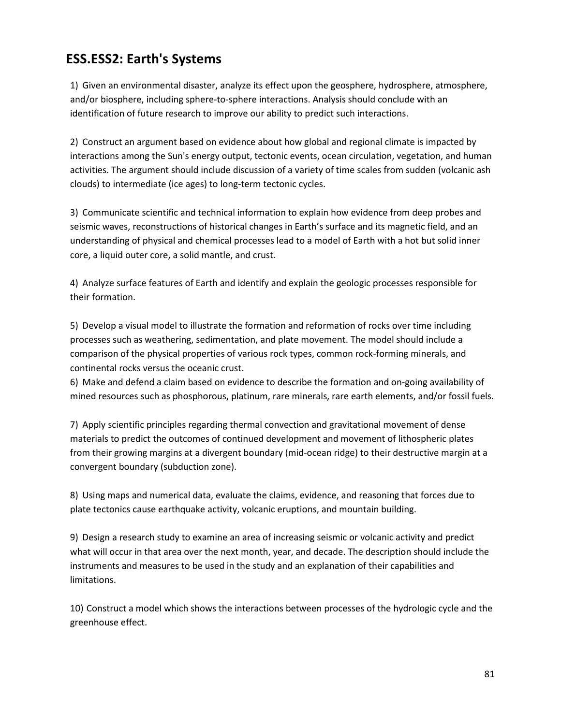### **ESS.ESS2: Earth's Systems**

1) Given an environmental disaster, analyze its effect upon the geosphere, hydrosphere, atmosphere, and/or biosphere, including sphere-to-sphere interactions. Analysis should conclude with an identification of future research to improve our ability to predict such interactions.

2) Construct an argument based on evidence about how global and regional climate is impacted by interactions among the Sun's energy output, tectonic events, ocean circulation, vegetation, and human activities. The argument should include discussion of a variety of time scales from sudden (volcanic ash clouds) to intermediate (ice ages) to long-term tectonic cycles.

3) Communicate scientific and technical information to explain how evidence from deep probes and seismic waves, reconstructions of historical changes in Earth's surface and its magnetic field, and an understanding of physical and chemical processes lead to a model of Earth with a hot but solid inner core, a liquid outer core, a solid mantle, and crust.

4) Analyze surface features of Earth and identify and explain the geologic processes responsible for their formation.

5) Develop a visual model to illustrate the formation and reformation of rocks over time including processes such as weathering, sedimentation, and plate movement. The model should include a comparison of the physical properties of various rock types, common rock-forming minerals, and continental rocks versus the oceanic crust.

6) Make and defend a claim based on evidence to describe the formation and on-going availability of mined resources such as phosphorous, platinum, rare minerals, rare earth elements, and/or fossil fuels.

7) Apply scientific principles regarding thermal convection and gravitational movement of dense materials to predict the outcomes of continued development and movement of lithospheric plates from their growing margins at a divergent boundary (mid-ocean ridge) to their destructive margin at a convergent boundary (subduction zone).

8) Using maps and numerical data, evaluate the claims, evidence, and reasoning that forces due to plate tectonics cause earthquake activity, volcanic eruptions, and mountain building.

9) Design a research study to examine an area of increasing seismic or volcanic activity and predict what will occur in that area over the next month, year, and decade. The description should include the instruments and measures to be used in the study and an explanation of their capabilities and limitations.

10) Construct a model which shows the interactions between processes of the hydrologic cycle and the greenhouse effect.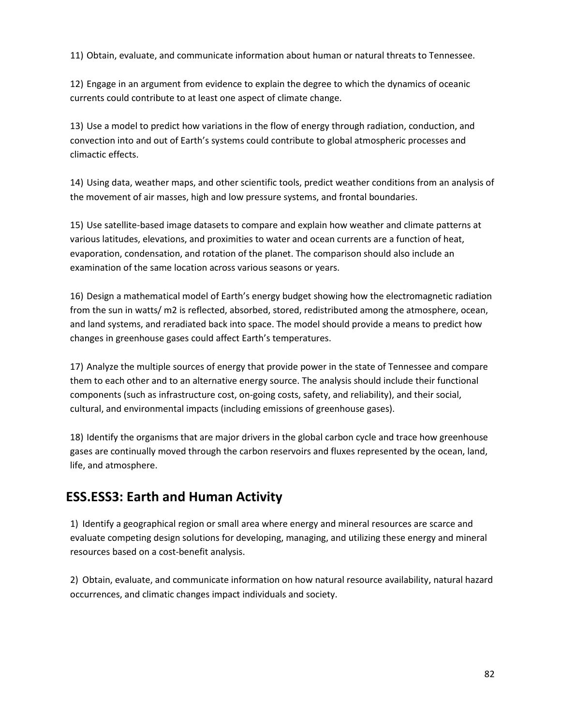11) Obtain, evaluate, and communicate information about human or natural threats to Tennessee.

12) Engage in an argument from evidence to explain the degree to which the dynamics of oceanic currents could contribute to at least one aspect of climate change.

13) Use a model to predict how variations in the flow of energy through radiation, conduction, and convection into and out of Earth's systems could contribute to global atmospheric processes and climactic effects.

14) Using data, weather maps, and other scientific tools, predict weather conditions from an analysis of the movement of air masses, high and low pressure systems, and frontal boundaries.

15) Use satellite-based image datasets to compare and explain how weather and climate patterns at various latitudes, elevations, and proximities to water and ocean currents are a function of heat, evaporation, condensation, and rotation of the planet. The comparison should also include an examination of the same location across various seasons or years.

16) Design a mathematical model of Earth's energy budget showing how the electromagnetic radiation from the sun in watts/ m2 is reflected, absorbed, stored, redistributed among the atmosphere, ocean, and land systems, and reradiated back into space. The model should provide a means to predict how changes in greenhouse gases could affect Earth's temperatures.

17) Analyze the multiple sources of energy that provide power in the state of Tennessee and compare them to each other and to an alternative energy source. The analysis should include their functional components (such as infrastructure cost, on-going costs, safety, and reliability), and their social, cultural, and environmental impacts (including emissions of greenhouse gases).

18) Identify the organisms that are major drivers in the global carbon cycle and trace how greenhouse gases are continually moved through the carbon reservoirs and fluxes represented by the ocean, land, life, and atmosphere.

#### **ESS.ESS3: Earth and Human Activity**

1) Identify a geographical region or small area where energy and mineral resources are scarce and evaluate competing design solutions for developing, managing, and utilizing these energy and mineral resources based on a cost-benefit analysis.

2) Obtain, evaluate, and communicate information on how natural resource availability, natural hazard occurrences, and climatic changes impact individuals and society.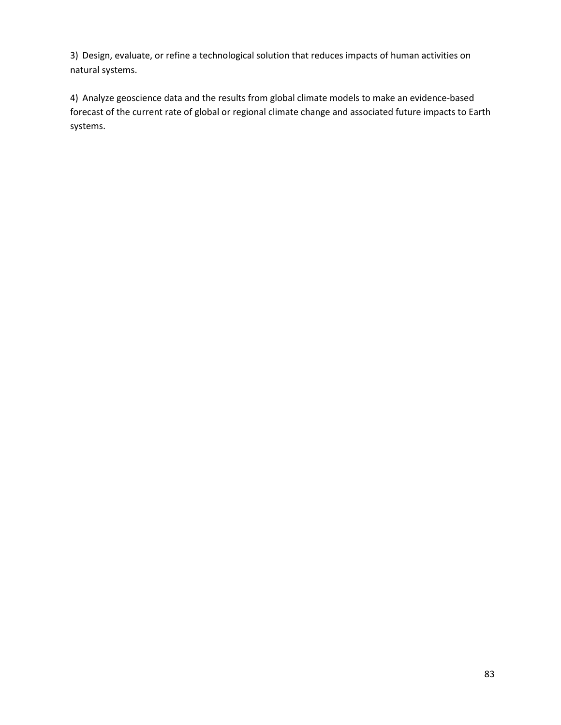3) Design, evaluate, or refine a technological solution that reduces impacts of human activities on natural systems.

4) Analyze geoscience data and the results from global climate models to make an evidence-based forecast of the current rate of global or regional climate change and associated future impacts to Earth systems.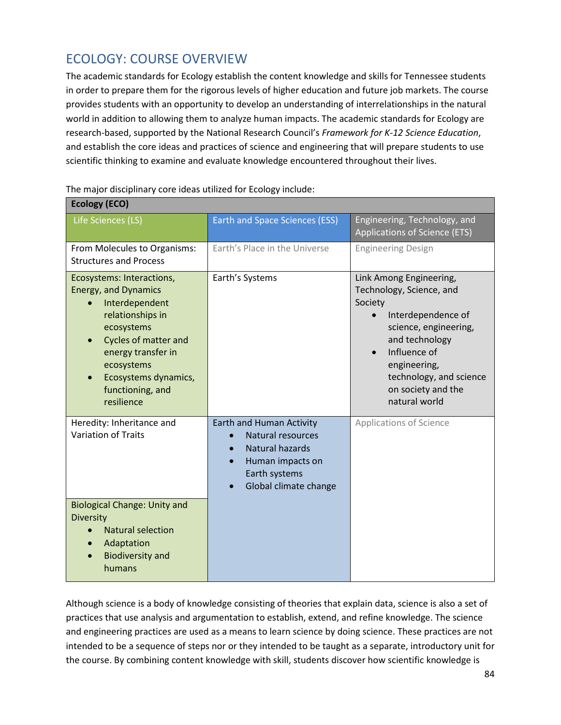### ECOLOGY: COURSE OVERVIEW

The academic standards for Ecology establish the content knowledge and skills for Tennessee students in order to prepare them for the rigorous levels of higher education and future job markets. The course provides students with an opportunity to develop an understanding of interrelationships in the natural world in addition to allowing them to analyze human impacts. The academic standards for Ecology are research-based, supported by the National Research Council's *Framework for K-12 Science Education*, and establish the core ideas and practices of science and engineering that will prepare students to use scientific thinking to examine and evaluate knowledge encountered throughout their lives.

| <b>Ecology (ECO)</b>                                                                                                                                                                                                                      |                                                                                                                                                           |                                                                                                                                                                                                                                   |
|-------------------------------------------------------------------------------------------------------------------------------------------------------------------------------------------------------------------------------------------|-----------------------------------------------------------------------------------------------------------------------------------------------------------|-----------------------------------------------------------------------------------------------------------------------------------------------------------------------------------------------------------------------------------|
| Life Sciences (LS)                                                                                                                                                                                                                        | <b>Earth and Space Sciences (ESS)</b>                                                                                                                     | Engineering, Technology, and<br>Applications of Science (ETS)                                                                                                                                                                     |
| From Molecules to Organisms:<br><b>Structures and Process</b>                                                                                                                                                                             | Earth's Place in the Universe                                                                                                                             | <b>Engineering Design</b>                                                                                                                                                                                                         |
| Ecosystems: Interactions,<br><b>Energy, and Dynamics</b><br>Interdependent<br>relationships in<br>ecosystems<br><b>Cycles of matter and</b><br>energy transfer in<br>ecosystems<br>Ecosystems dynamics,<br>functioning, and<br>resilience | Earth's Systems                                                                                                                                           | Link Among Engineering,<br>Technology, Science, and<br>Society<br>Interdependence of<br>science, engineering,<br>and technology<br>Influence of<br>engineering,<br>technology, and science<br>on society and the<br>natural world |
| Heredity: Inheritance and<br><b>Variation of Traits</b>                                                                                                                                                                                   | Earth and Human Activity<br><b>Natural resources</b><br><b>Natural hazards</b><br>$\bullet$<br>Human impacts on<br>Earth systems<br>Global climate change | <b>Applications of Science</b>                                                                                                                                                                                                    |
| <b>Biological Change: Unity and</b><br><b>Diversity</b><br><b>Natural selection</b><br>Adaptation<br><b>Biodiversity and</b><br>humans                                                                                                    |                                                                                                                                                           |                                                                                                                                                                                                                                   |

The major disciplinary core ideas utilized for Ecology include:

Although science is a body of knowledge consisting of theories that explain data, science is also a set of practices that use analysis and argumentation to establish, extend, and refine knowledge. The science and engineering practices are used as a means to learn science by doing science. These practices are not intended to be a sequence of steps nor or they intended to be taught as a separate, introductory unit for the course. By combining content knowledge with skill, students discover how scientific knowledge is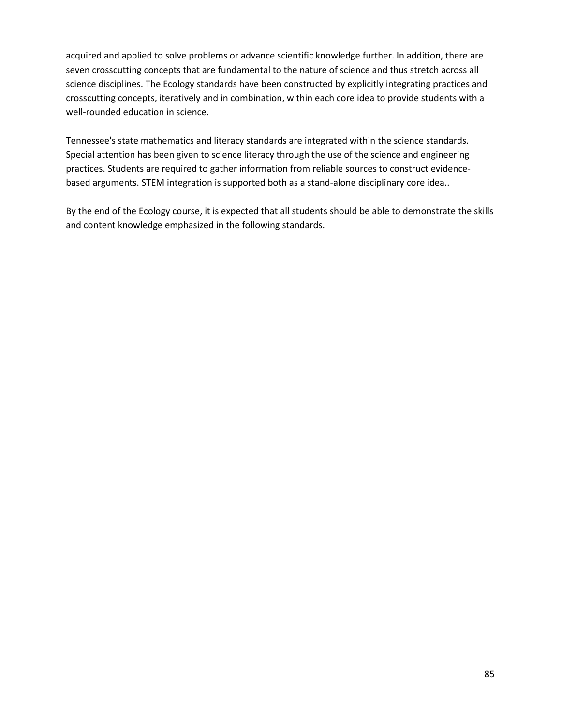acquired and applied to solve problems or advance scientific knowledge further. In addition, there are seven crosscutting concepts that are fundamental to the nature of science and thus stretch across all science disciplines. The Ecology standards have been constructed by explicitly integrating practices and crosscutting concepts, iteratively and in combination, within each core idea to provide students with a well-rounded education in science.

Tennessee's state mathematics and literacy standards are integrated within the science standards. Special attention has been given to science literacy through the use of the science and engineering practices. Students are required to gather information from reliable sources to construct evidencebased arguments. STEM integration is supported both as a stand-alone disciplinary core idea..

By the end of the Ecology course, it is expected that all students should be able to demonstrate the skills and content knowledge emphasized in the following standards.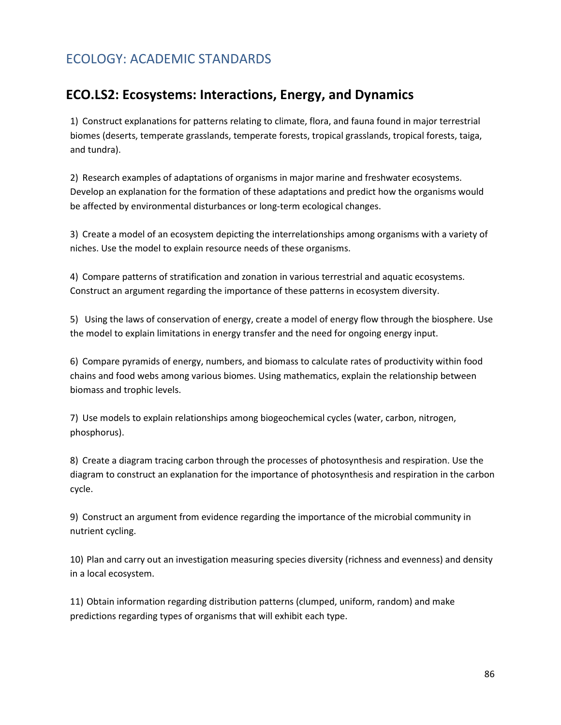### ECOLOGY: ACADEMIC STANDARDS

#### **ECO.LS2: Ecosystems: Interactions, Energy, and Dynamics**

1) Construct explanations for patterns relating to climate, flora, and fauna found in major terrestrial biomes (deserts, temperate grasslands, temperate forests, tropical grasslands, tropical forests, taiga, and tundra).

2) Research examples of adaptations of organisms in major marine and freshwater ecosystems. Develop an explanation for the formation of these adaptations and predict how the organisms would be affected by environmental disturbances or long-term ecological changes.

3) Create a model of an ecosystem depicting the interrelationships among organisms with a variety of niches. Use the model to explain resource needs of these organisms.

4) Compare patterns of stratification and zonation in various terrestrial and aquatic ecosystems. Construct an argument regarding the importance of these patterns in ecosystem diversity.

5) Using the laws of conservation of energy, create a model of energy flow through the biosphere. Use the model to explain limitations in energy transfer and the need for ongoing energy input.

6) Compare pyramids of energy, numbers, and biomass to calculate rates of productivity within food chains and food webs among various biomes. Using mathematics, explain the relationship between biomass and trophic levels.

7) Use models to explain relationships among biogeochemical cycles (water, carbon, nitrogen, phosphorus).

8) Create a diagram tracing carbon through the processes of photosynthesis and respiration. Use the diagram to construct an explanation for the importance of photosynthesis and respiration in the carbon cycle.

9) Construct an argument from evidence regarding the importance of the microbial community in nutrient cycling.

10) Plan and carry out an investigation measuring species diversity (richness and evenness) and density in a local ecosystem.

11) Obtain information regarding distribution patterns (clumped, uniform, random) and make predictions regarding types of organisms that will exhibit each type.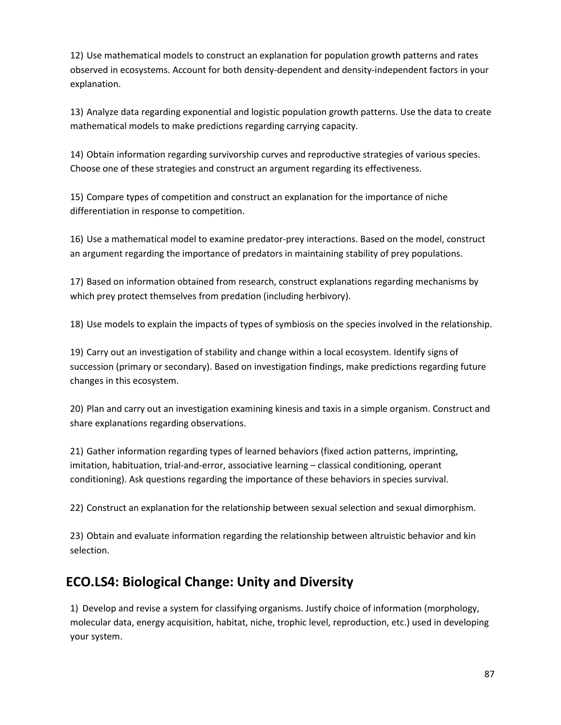12) Use mathematical models to construct an explanation for population growth patterns and rates observed in ecosystems. Account for both density-dependent and density-independent factors in your explanation.

13) Analyze data regarding exponential and logistic population growth patterns. Use the data to create mathematical models to make predictions regarding carrying capacity.

14) Obtain information regarding survivorship curves and reproductive strategies of various species. Choose one of these strategies and construct an argument regarding its effectiveness.

15) Compare types of competition and construct an explanation for the importance of niche differentiation in response to competition.

16) Use a mathematical model to examine predator-prey interactions. Based on the model, construct an argument regarding the importance of predators in maintaining stability of prey populations.

17) Based on information obtained from research, construct explanations regarding mechanisms by which prey protect themselves from predation (including herbivory).

18) Use models to explain the impacts of types of symbiosis on the species involved in the relationship.

19) Carry out an investigation of stability and change within a local ecosystem. Identify signs of succession (primary or secondary). Based on investigation findings, make predictions regarding future changes in this ecosystem.

20) Plan and carry out an investigation examining kinesis and taxis in a simple organism. Construct and share explanations regarding observations.

21) Gather information regarding types of learned behaviors (fixed action patterns, imprinting, imitation, habituation, trial-and-error, associative learning – classical conditioning, operant conditioning). Ask questions regarding the importance of these behaviors in species survival.

22) Construct an explanation for the relationship between sexual selection and sexual dimorphism.

23) Obtain and evaluate information regarding the relationship between altruistic behavior and kin selection.

#### **ECO.LS4: Biological Change: Unity and Diversity**

1) Develop and revise a system for classifying organisms. Justify choice of information (morphology, molecular data, energy acquisition, habitat, niche, trophic level, reproduction, etc.) used in developing your system.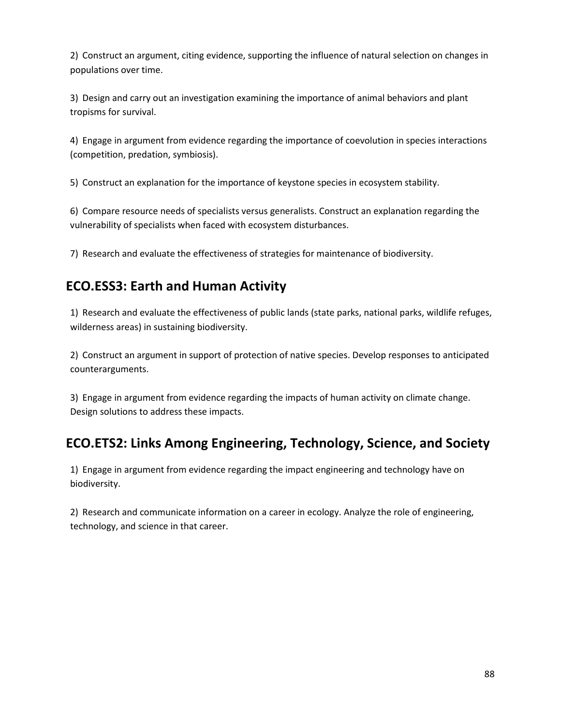2) Construct an argument, citing evidence, supporting the influence of natural selection on changes in populations over time.

3) Design and carry out an investigation examining the importance of animal behaviors and plant tropisms for survival.

4) Engage in argument from evidence regarding the importance of coevolution in species interactions (competition, predation, symbiosis).

5) Construct an explanation for the importance of keystone species in ecosystem stability.

6) Compare resource needs of specialists versus generalists. Construct an explanation regarding the vulnerability of specialists when faced with ecosystem disturbances.

7) Research and evaluate the effectiveness of strategies for maintenance of biodiversity.

# **ECO.ESS3: Earth and Human Activity**

1) Research and evaluate the effectiveness of public lands (state parks, national parks, wildlife refuges, wilderness areas) in sustaining biodiversity.

2) Construct an argument in support of protection of native species. Develop responses to anticipated counterarguments.

3) Engage in argument from evidence regarding the impacts of human activity on climate change. Design solutions to address these impacts.

# **ECO.ETS2: Links Among Engineering, Technology, Science, and Society**

1) Engage in argument from evidence regarding the impact engineering and technology have on biodiversity.

2) Research and communicate information on a career in ecology. Analyze the role of engineering, technology, and science in that career.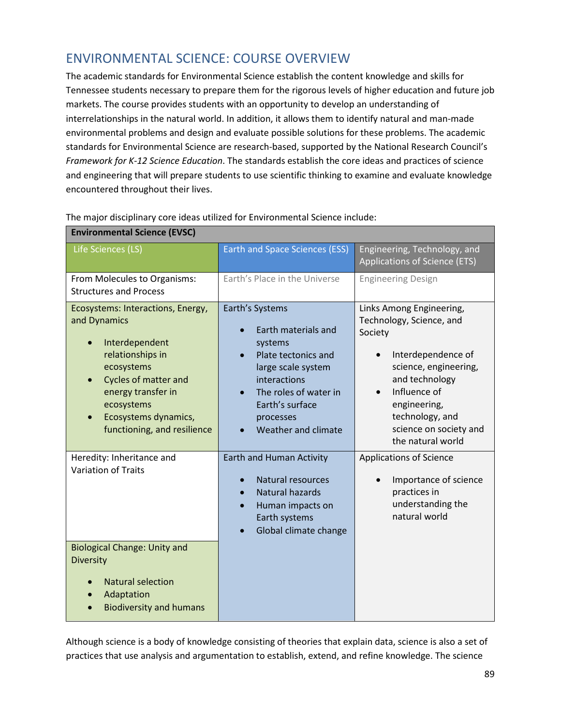### ENVIRONMENTAL SCIENCE: COURSE OVERVIEW

The academic standards for Environmental Science establish the content knowledge and skills for Tennessee students necessary to prepare them for the rigorous levels of higher education and future job markets. The course provides students with an opportunity to develop an understanding of interrelationships in the natural world. In addition, it allows them to identify natural and man-made environmental problems and design and evaluate possible solutions for these problems. The academic standards for Environmental Science are research-based, supported by the National Research Council's *Framework for K-12 Science Education*. The standards establish the core ideas and practices of science and engineering that will prepare students to use scientific thinking to examine and evaluate knowledge encountered throughout their lives.

| Life Sciences (LS)                                                                                                                                                                                                              | <b>Earth and Space Sciences (ESS)</b>                                                                                                                                                          | Engineering, Technology, and<br>Applications of Science (ETS)                                                                                                                                                                                   |
|---------------------------------------------------------------------------------------------------------------------------------------------------------------------------------------------------------------------------------|------------------------------------------------------------------------------------------------------------------------------------------------------------------------------------------------|-------------------------------------------------------------------------------------------------------------------------------------------------------------------------------------------------------------------------------------------------|
| From Molecules to Organisms:<br><b>Structures and Process</b>                                                                                                                                                                   | Earth's Place in the Universe                                                                                                                                                                  | <b>Engineering Design</b>                                                                                                                                                                                                                       |
| Ecosystems: Interactions, Energy,<br>and Dynamics<br>Interdependent<br>relationships in<br>ecosystems<br><b>Cycles of matter and</b><br>energy transfer in<br>ecosystems<br>Ecosystems dynamics,<br>functioning, and resilience | Earth's Systems<br>Earth materials and<br>systems<br>Plate tectonics and<br>large scale system<br>interactions<br>The roles of water in<br>Earth's surface<br>processes<br>Weather and climate | Links Among Engineering,<br>Technology, Science, and<br>Society<br>Interdependence of<br>science, engineering,<br>and technology<br>Influence of<br>$\bullet$<br>engineering,<br>technology, and<br>science on society and<br>the natural world |
| Heredity: Inheritance and<br><b>Variation of Traits</b><br><b>Biological Change: Unity and</b><br><b>Diversity</b><br><b>Natural selection</b><br>Adaptation<br><b>Biodiversity and humans</b>                                  | Earth and Human Activity<br><b>Natural resources</b><br>Natural hazards<br>Human impacts on<br>Earth systems<br>Global climate change                                                          | <b>Applications of Science</b><br>Importance of science<br>$\bullet$<br>practices in<br>understanding the<br>natural world                                                                                                                      |

#### The major disciplinary core ideas utilized for Environmental Science include:

**Environmental Science (EVSC)**

Although science is a body of knowledge consisting of theories that explain data, science is also a set of practices that use analysis and argumentation to establish, extend, and refine knowledge. The science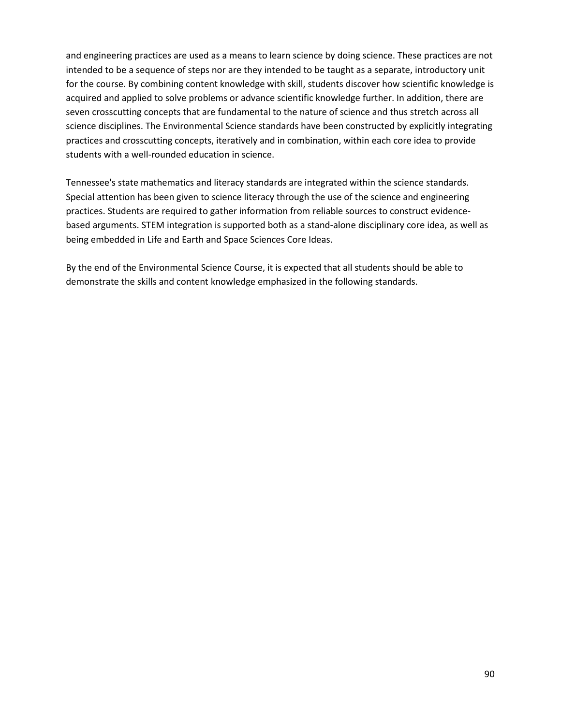and engineering practices are used as a means to learn science by doing science. These practices are not intended to be a sequence of steps nor are they intended to be taught as a separate, introductory unit for the course. By combining content knowledge with skill, students discover how scientific knowledge is acquired and applied to solve problems or advance scientific knowledge further. In addition, there are seven crosscutting concepts that are fundamental to the nature of science and thus stretch across all science disciplines. The Environmental Science standards have been constructed by explicitly integrating practices and crosscutting concepts, iteratively and in combination, within each core idea to provide students with a well-rounded education in science.

Tennessee's state mathematics and literacy standards are integrated within the science standards. Special attention has been given to science literacy through the use of the science and engineering practices. Students are required to gather information from reliable sources to construct evidencebased arguments. STEM integration is supported both as a stand-alone disciplinary core idea, as well as being embedded in Life and Earth and Space Sciences Core Ideas.

By the end of the Environmental Science Course, it is expected that all students should be able to demonstrate the skills and content knowledge emphasized in the following standards.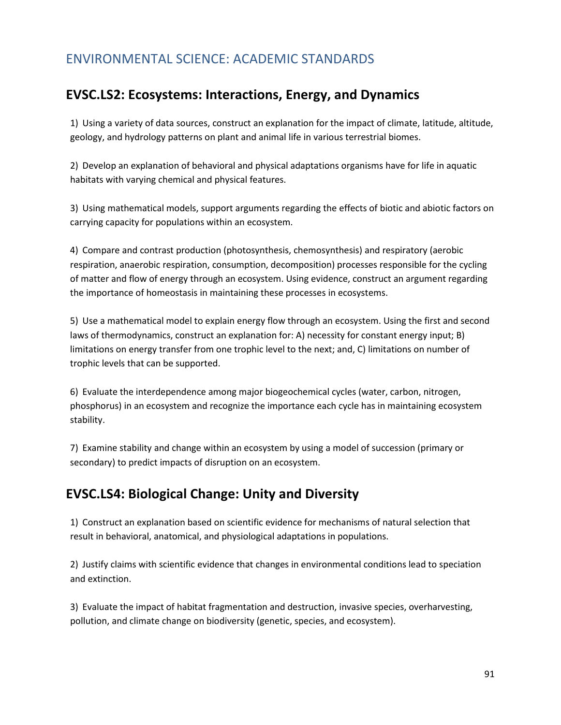#### ENVIRONMENTAL SCIENCE: ACADEMIC STANDARDS

#### **EVSC.LS2: Ecosystems: Interactions, Energy, and Dynamics**

1) Using a variety of data sources, construct an explanation for the impact of climate, latitude, altitude, geology, and hydrology patterns on plant and animal life in various terrestrial biomes.

2) Develop an explanation of behavioral and physical adaptations organisms have for life in aquatic habitats with varying chemical and physical features.

3) Using mathematical models, support arguments regarding the effects of biotic and abiotic factors on carrying capacity for populations within an ecosystem.

4) Compare and contrast production (photosynthesis, chemosynthesis) and respiratory (aerobic respiration, anaerobic respiration, consumption, decomposition) processes responsible for the cycling of matter and flow of energy through an ecosystem. Using evidence, construct an argument regarding the importance of homeostasis in maintaining these processes in ecosystems.

5) Use a mathematical model to explain energy flow through an ecosystem. Using the first and second laws of thermodynamics, construct an explanation for: A) necessity for constant energy input; B) limitations on energy transfer from one trophic level to the next; and, C) limitations on number of trophic levels that can be supported.

6) Evaluate the interdependence among major biogeochemical cycles (water, carbon, nitrogen, phosphorus) in an ecosystem and recognize the importance each cycle has in maintaining ecosystem stability.

7) Examine stability and change within an ecosystem by using a model of succession (primary or secondary) to predict impacts of disruption on an ecosystem.

#### **EVSC.LS4: Biological Change: Unity and Diversity**

1) Construct an explanation based on scientific evidence for mechanisms of natural selection that result in behavioral, anatomical, and physiological adaptations in populations.

2) Justify claims with scientific evidence that changes in environmental conditions lead to speciation and extinction.

3) Evaluate the impact of habitat fragmentation and destruction, invasive species, overharvesting, pollution, and climate change on biodiversity (genetic, species, and ecosystem).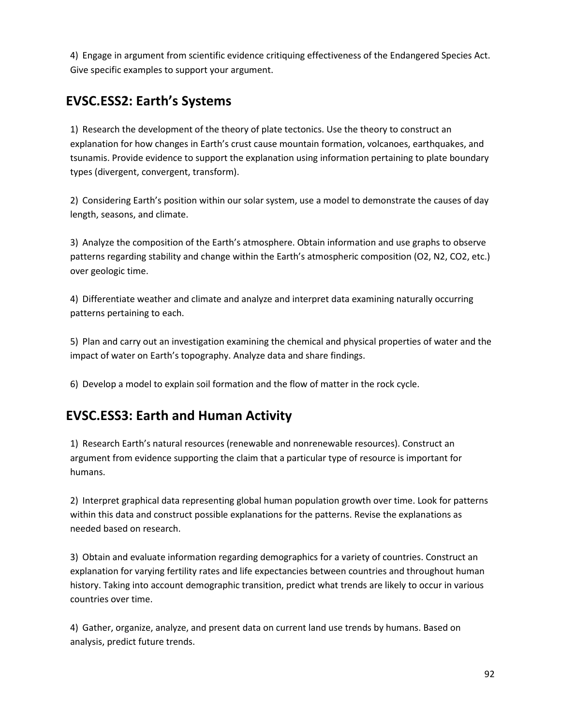4) Engage in argument from scientific evidence critiquing effectiveness of the Endangered Species Act. Give specific examples to support your argument.

# **EVSC.ESS2: Earth's Systems**

1) Research the development of the theory of plate tectonics. Use the theory to construct an explanation for how changes in Earth's crust cause mountain formation, volcanoes, earthquakes, and tsunamis. Provide evidence to support the explanation using information pertaining to plate boundary types (divergent, convergent, transform).

2) Considering Earth's position within our solar system, use a model to demonstrate the causes of day length, seasons, and climate.

3) Analyze the composition of the Earth's atmosphere. Obtain information and use graphs to observe patterns regarding stability and change within the Earth's atmospheric composition (O2, N2, CO2, etc.) over geologic time.

4) Differentiate weather and climate and analyze and interpret data examining naturally occurring patterns pertaining to each.

5) Plan and carry out an investigation examining the chemical and physical properties of water and the impact of water on Earth's topography. Analyze data and share findings.

6) Develop a model to explain soil formation and the flow of matter in the rock cycle.

#### **EVSC.ESS3: Earth and Human Activity**

1) Research Earth's natural resources (renewable and nonrenewable resources). Construct an argument from evidence supporting the claim that a particular type of resource is important for humans.

2) Interpret graphical data representing global human population growth over time. Look for patterns within this data and construct possible explanations for the patterns. Revise the explanations as needed based on research.

3) Obtain and evaluate information regarding demographics for a variety of countries. Construct an explanation for varying fertility rates and life expectancies between countries and throughout human history. Taking into account demographic transition, predict what trends are likely to occur in various countries over time.

4) Gather, organize, analyze, and present data on current land use trends by humans. Based on analysis, predict future trends.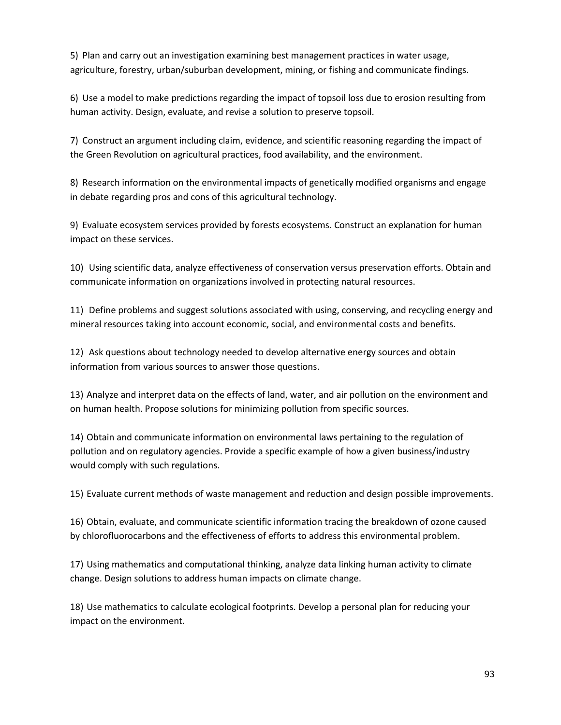5) Plan and carry out an investigation examining best management practices in water usage, agriculture, forestry, urban/suburban development, mining, or fishing and communicate findings.

6) Use a model to make predictions regarding the impact of topsoil loss due to erosion resulting from human activity. Design, evaluate, and revise a solution to preserve topsoil.

7) Construct an argument including claim, evidence, and scientific reasoning regarding the impact of the Green Revolution on agricultural practices, food availability, and the environment.

8) Research information on the environmental impacts of genetically modified organisms and engage in debate regarding pros and cons of this agricultural technology.

9) Evaluate ecosystem services provided by forests ecosystems. Construct an explanation for human impact on these services.

10) Using scientific data, analyze effectiveness of conservation versus preservation efforts. Obtain and communicate information on organizations involved in protecting natural resources.

11) Define problems and suggest solutions associated with using, conserving, and recycling energy and mineral resources taking into account economic, social, and environmental costs and benefits.

12) Ask questions about technology needed to develop alternative energy sources and obtain information from various sources to answer those questions.

13) Analyze and interpret data on the effects of land, water, and air pollution on the environment and on human health. Propose solutions for minimizing pollution from specific sources.

14) Obtain and communicate information on environmental laws pertaining to the regulation of pollution and on regulatory agencies. Provide a specific example of how a given business/industry would comply with such regulations.

15) Evaluate current methods of waste management and reduction and design possible improvements.

16) Obtain, evaluate, and communicate scientific information tracing the breakdown of ozone caused by chlorofluorocarbons and the effectiveness of efforts to address this environmental problem.

17) Using mathematics and computational thinking, analyze data linking human activity to climate change. Design solutions to address human impacts on climate change.

18) Use mathematics to calculate ecological footprints. Develop a personal plan for reducing your impact on the environment.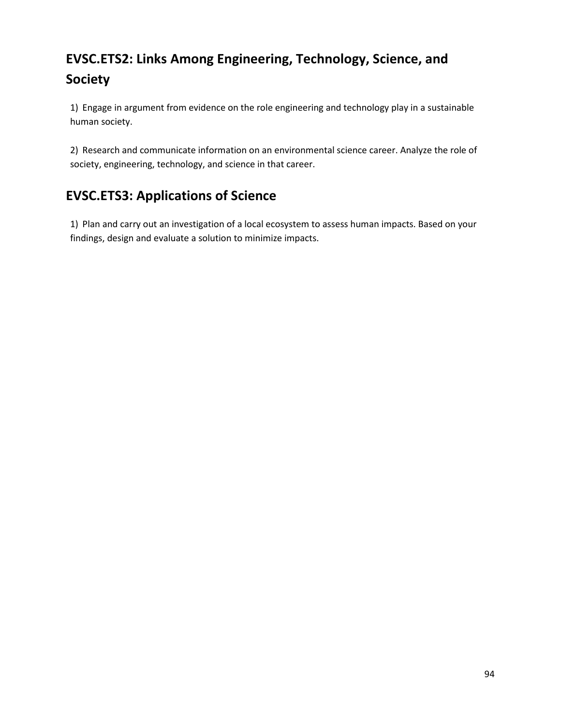# **EVSC.ETS2: Links Among Engineering, Technology, Science, and Society**

1) Engage in argument from evidence on the role engineering and technology play in a sustainable human society.

2) Research and communicate information on an environmental science career. Analyze the role of society, engineering, technology, and science in that career.

# **EVSC.ETS3: Applications of Science**

1) Plan and carry out an investigation of a local ecosystem to assess human impacts. Based on your findings, design and evaluate a solution to minimize impacts.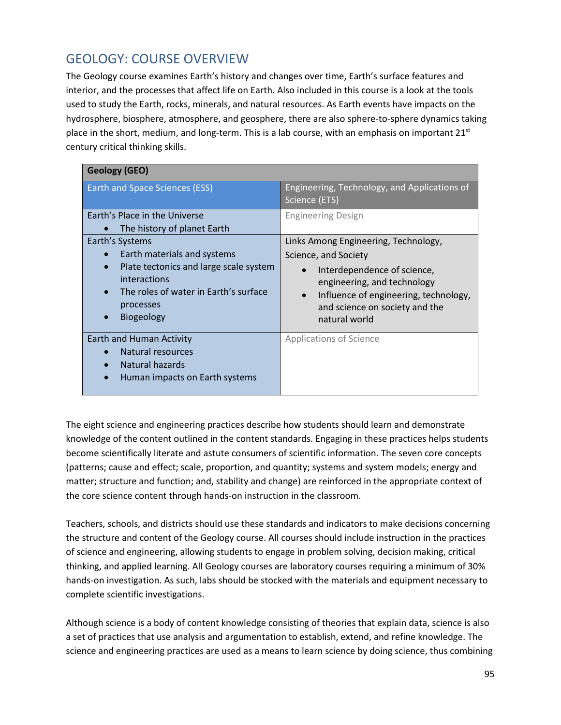### GEOLOGY: COURSE OVERVIEW

The Geology course examines Earth's history and changes over time, Earth's surface features and interior, and the processes that affect life on Earth. Also included in this course is a look at the tools used to study the Earth, rocks, minerals, and natural resources. As Earth events have impacts on the hydrosphere, biosphere, atmosphere, and geosphere, there are also sphere-to-sphere dynamics taking place in the short, medium, and long-term. This is a lab course, with an emphasis on important  $21<sup>st</sup>$ century critical thinking skills.

| <b>Geology (GEO)</b>                                                                                                                                                                                                       |                                                                                                                                                                                                                                                  |
|----------------------------------------------------------------------------------------------------------------------------------------------------------------------------------------------------------------------------|--------------------------------------------------------------------------------------------------------------------------------------------------------------------------------------------------------------------------------------------------|
| <b>Earth and Space Sciences (ESS)</b>                                                                                                                                                                                      | Engineering, Technology, and Applications of<br>Science (ETS)                                                                                                                                                                                    |
| Earth's Place in the Universe<br>The history of planet Earth                                                                                                                                                               | <b>Engineering Design</b>                                                                                                                                                                                                                        |
| Earth's Systems<br>Earth materials and systems<br>Plate tectonics and large scale system<br>$\bullet$<br>interactions<br>The roles of water in Earth's surface<br>$\bullet$<br>processes<br><b>Biogeology</b><br>$\bullet$ | Links Among Engineering, Technology,<br>Science, and Society<br>Interdependence of science,<br>$\bullet$<br>engineering, and technology<br>Influence of engineering, technology,<br>$\bullet$<br>and science on society and the<br>natural world |
| <b>Earth and Human Activity</b><br>Natural resources<br>Natural hazards<br>Human impacts on Earth systems<br>$\bullet$                                                                                                     | <b>Applications of Science</b>                                                                                                                                                                                                                   |

The eight science and engineering practices describe how students should learn and demonstrate knowledge of the content outlined in the content standards. Engaging in these practices helps students become scientifically literate and astute consumers of scientific information. The seven core concepts (patterns; cause and effect; scale, proportion, and quantity; systems and system models; energy and matter; structure and function; and, stability and change) are reinforced in the appropriate context of the core science content through hands-on instruction in the classroom.

Teachers, schools, and districts should use these standards and indicators to make decisions concerning the structure and content of the Geology course. All courses should include instruction in the practices of science and engineering, allowing students to engage in problem solving, decision making, critical thinking, and applied learning. All Geology courses are laboratory courses requiring a minimum of 30% hands-on investigation. As such, labs should be stocked with the materials and equipment necessary to complete scientific investigations.

Although science is a body of content knowledge consisting of theories that explain data, science is also a set of practices that use analysis and argumentation to establish, extend, and refine knowledge. The science and engineering practices are used as a means to learn science by doing science, thus combining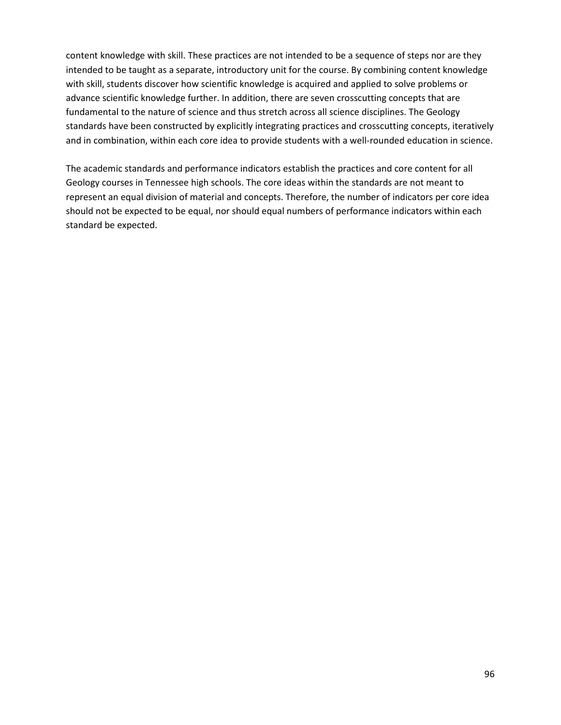content knowledge with skill. These practices are not intended to be a sequence of steps nor are they intended to be taught as a separate, introductory unit for the course. By combining content knowledge with skill, students discover how scientific knowledge is acquired and applied to solve problems or advance scientific knowledge further. In addition, there are seven crosscutting concepts that are fundamental to the nature of science and thus stretch across all science disciplines. The Geology standards have been constructed by explicitly integrating practices and crosscutting concepts, iteratively and in combination, within each core idea to provide students with a well-rounded education in science.

The academic standards and performance indicators establish the practices and core content for all Geology courses in Tennessee high schools. The core ideas within the standards are not meant to represent an equal division of material and concepts. Therefore, the number of indicators per core idea should not be expected to be equal, nor should equal numbers of performance indicators within each standard be expected.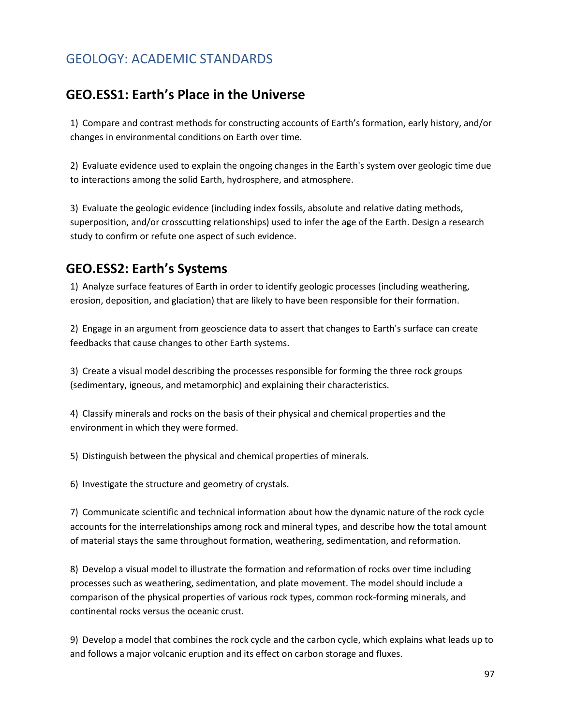### GEOLOGY: ACADEMIC STANDARDS

#### **GEO.ESS1: Earth's Place in the Universe**

1) Compare and contrast methods for constructing accounts of Earth's formation, early history, and/or changes in environmental conditions on Earth over time.

2) Evaluate evidence used to explain the ongoing changes in the Earth's system over geologic time due to interactions among the solid Earth, hydrosphere, and atmosphere.

3) Evaluate the geologic evidence (including index fossils, absolute and relative dating methods, superposition, and/or crosscutting relationships) used to infer the age of the Earth. Design a research study to confirm or refute one aspect of such evidence.

#### **GEO.ESS2: Earth's Systems**

1) Analyze surface features of Earth in order to identify geologic processes (including weathering, erosion, deposition, and glaciation) that are likely to have been responsible for their formation.

2) Engage in an argument from geoscience data to assert that changes to Earth's surface can create feedbacks that cause changes to other Earth systems.

3) Create a visual model describing the processes responsible for forming the three rock groups (sedimentary, igneous, and metamorphic) and explaining their characteristics.

4) Classify minerals and rocks on the basis of their physical and chemical properties and the environment in which they were formed.

5) Distinguish between the physical and chemical properties of minerals.

6) Investigate the structure and geometry of crystals.

7) Communicate scientific and technical information about how the dynamic nature of the rock cycle accounts for the interrelationships among rock and mineral types, and describe how the total amount of material stays the same throughout formation, weathering, sedimentation, and reformation.

8) Develop a visual model to illustrate the formation and reformation of rocks over time including processes such as weathering, sedimentation, and plate movement. The model should include a comparison of the physical properties of various rock types, common rock-forming minerals, and continental rocks versus the oceanic crust.

9) Develop a model that combines the rock cycle and the carbon cycle, which explains what leads up to and follows a major volcanic eruption and its effect on carbon storage and fluxes.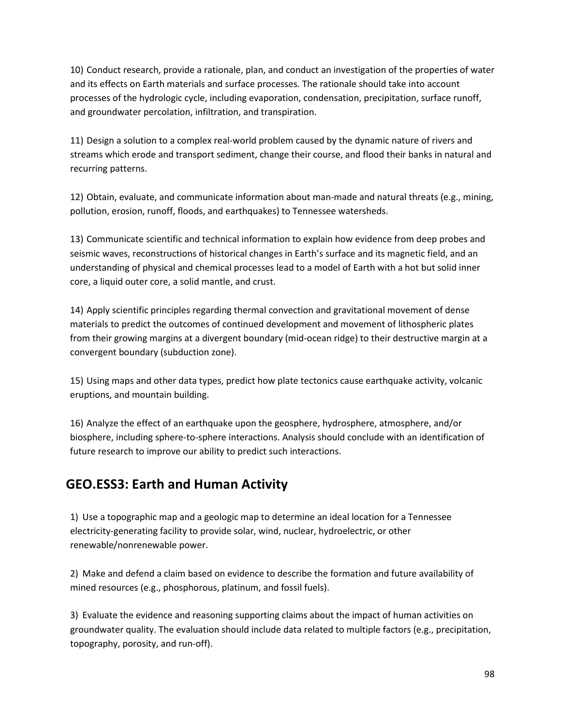10) Conduct research, provide a rationale, plan, and conduct an investigation of the properties of water and its effects on Earth materials and surface processes. The rationale should take into account processes of the hydrologic cycle, including evaporation, condensation, precipitation, surface runoff, and groundwater percolation, infiltration, and transpiration.

11) Design a solution to a complex real-world problem caused by the dynamic nature of rivers and streams which erode and transport sediment, change their course, and flood their banks in natural and recurring patterns.

12) Obtain, evaluate, and communicate information about man-made and natural threats (e.g., mining, pollution, erosion, runoff, floods, and earthquakes) to Tennessee watersheds.

13) Communicate scientific and technical information to explain how evidence from deep probes and seismic waves, reconstructions of historical changes in Earth's surface and its magnetic field, and an understanding of physical and chemical processes lead to a model of Earth with a hot but solid inner core, a liquid outer core, a solid mantle, and crust.

14) Apply scientific principles regarding thermal convection and gravitational movement of dense materials to predict the outcomes of continued development and movement of lithospheric plates from their growing margins at a divergent boundary (mid-ocean ridge) to their destructive margin at a convergent boundary (subduction zone).

15) Using maps and other data types, predict how plate tectonics cause earthquake activity, volcanic eruptions, and mountain building.

16) Analyze the effect of an earthquake upon the geosphere, hydrosphere, atmosphere, and/or biosphere, including sphere-to-sphere interactions. Analysis should conclude with an identification of future research to improve our ability to predict such interactions.

#### **GEO.ESS3: Earth and Human Activity**

1) Use a topographic map and a geologic map to determine an ideal location for a Tennessee electricity-generating facility to provide solar, wind, nuclear, hydroelectric, or other renewable/nonrenewable power.

2) Make and defend a claim based on evidence to describe the formation and future availability of mined resources (e.g., phosphorous, platinum, and fossil fuels).

3) Evaluate the evidence and reasoning supporting claims about the impact of human activities on groundwater quality. The evaluation should include data related to multiple factors (e.g., precipitation, topography, porosity, and run-off).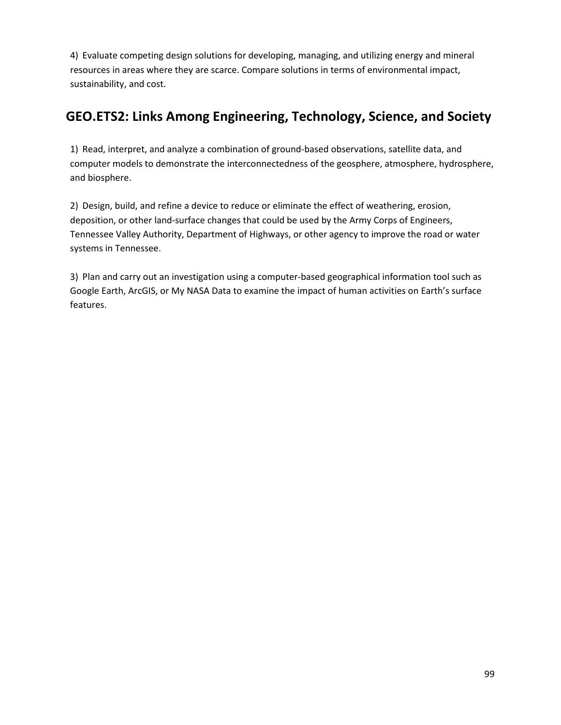4) Evaluate competing design solutions for developing, managing, and utilizing energy and mineral resources in areas where they are scarce. Compare solutions in terms of environmental impact, sustainability, and cost.

# **GEO.ETS2: Links Among Engineering, Technology, Science, and Society**

1) Read, interpret, and analyze a combination of ground-based observations, satellite data, and computer models to demonstrate the interconnectedness of the geosphere, atmosphere, hydrosphere, and biosphere.

2) Design, build, and refine a device to reduce or eliminate the effect of weathering, erosion, deposition, or other land-surface changes that could be used by the Army Corps of Engineers, Tennessee Valley Authority, Department of Highways, or other agency to improve the road or water systems in Tennessee.

3) Plan and carry out an investigation using a computer-based geographical information tool such as Google Earth, ArcGIS, or My NASA Data to examine the impact of human activities on Earth's surface features.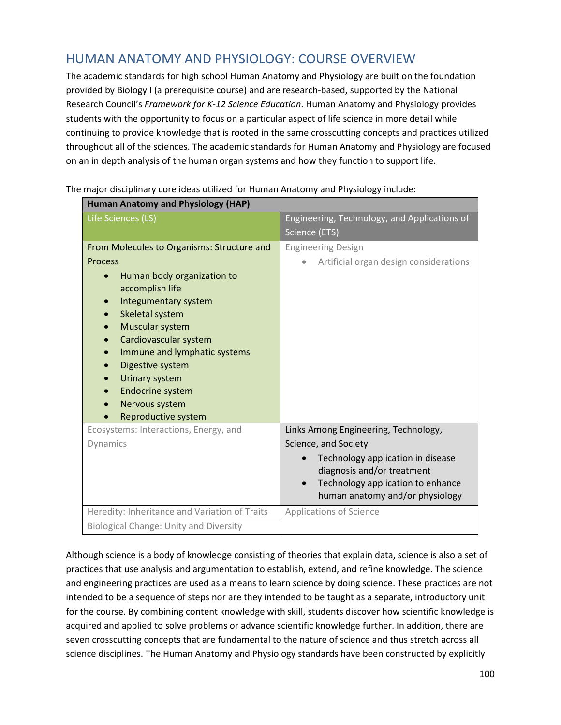#### HUMAN ANATOMY AND PHYSIOLOGY: COURSE OVERVIEW

The academic standards for high school Human Anatomy and Physiology are built on the foundation provided by Biology I (a prerequisite course) and are research-based, supported by the National Research Council's *Framework for K-12 Science Education*. Human Anatomy and Physiology provides students with the opportunity to focus on a particular aspect of life science in more detail while continuing to provide knowledge that is rooted in the same crosscutting concepts and practices utilized throughout all of the sciences. The academic standards for Human Anatomy and Physiology are focused on an in depth analysis of the human organ systems and how they function to support life.

| <b>Human Anatomy and Physiology (HAP)</b>             |                                              |  |
|-------------------------------------------------------|----------------------------------------------|--|
| Life Sciences (LS)                                    | Engineering, Technology, and Applications of |  |
|                                                       | Science (ETS)                                |  |
| From Molecules to Organisms: Structure and            | <b>Engineering Design</b>                    |  |
| <b>Process</b>                                        | Artificial organ design considerations       |  |
| Human body organization to<br>$\bullet$               |                                              |  |
| accomplish life                                       |                                              |  |
| Integumentary system                                  |                                              |  |
| Skeletal system                                       |                                              |  |
| Muscular system<br>$\bullet$                          |                                              |  |
| Cardiovascular system<br>Immune and lymphatic systems |                                              |  |
| Digestive system                                      |                                              |  |
| Urinary system<br>$\bullet$                           |                                              |  |
| Endocrine system<br>$\bullet$                         |                                              |  |
| Nervous system<br>$\bullet$                           |                                              |  |
| Reproductive system                                   |                                              |  |
| Ecosystems: Interactions, Energy, and                 | Links Among Engineering, Technology,         |  |
| Dynamics                                              | Science, and Society                         |  |
|                                                       | Technology application in disease            |  |
|                                                       | diagnosis and/or treatment                   |  |
|                                                       | Technology application to enhance            |  |
|                                                       | human anatomy and/or physiology              |  |
| Heredity: Inheritance and Variation of Traits         | <b>Applications of Science</b>               |  |
| <b>Biological Change: Unity and Diversity</b>         |                                              |  |

The major disciplinary core ideas utilized for Human Anatomy and Physiology include:

Although science is a body of knowledge consisting of theories that explain data, science is also a set of practices that use analysis and argumentation to establish, extend, and refine knowledge. The science and engineering practices are used as a means to learn science by doing science. These practices are not intended to be a sequence of steps nor are they intended to be taught as a separate, introductory unit for the course. By combining content knowledge with skill, students discover how scientific knowledge is acquired and applied to solve problems or advance scientific knowledge further. In addition, there are seven crosscutting concepts that are fundamental to the nature of science and thus stretch across all science disciplines. The Human Anatomy and Physiology standards have been constructed by explicitly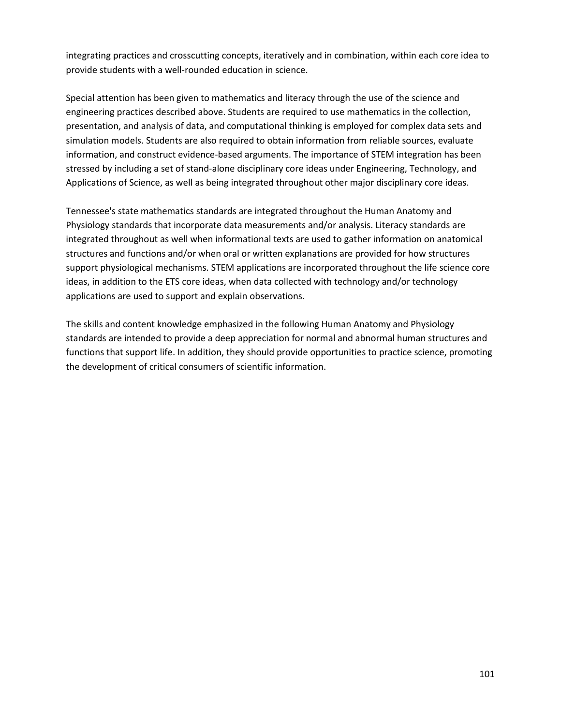integrating practices and crosscutting concepts, iteratively and in combination, within each core idea to provide students with a well-rounded education in science.

Special attention has been given to mathematics and literacy through the use of the science and engineering practices described above. Students are required to use mathematics in the collection, presentation, and analysis of data, and computational thinking is employed for complex data sets and simulation models. Students are also required to obtain information from reliable sources, evaluate information, and construct evidence-based arguments. The importance of STEM integration has been stressed by including a set of stand-alone disciplinary core ideas under Engineering, Technology, and Applications of Science, as well as being integrated throughout other major disciplinary core ideas.

Tennessee's state mathematics standards are integrated throughout the Human Anatomy and Physiology standards that incorporate data measurements and/or analysis. Literacy standards are integrated throughout as well when informational texts are used to gather information on anatomical structures and functions and/or when oral or written explanations are provided for how structures support physiological mechanisms. STEM applications are incorporated throughout the life science core ideas, in addition to the ETS core ideas, when data collected with technology and/or technology applications are used to support and explain observations.

The skills and content knowledge emphasized in the following Human Anatomy and Physiology standards are intended to provide a deep appreciation for normal and abnormal human structures and functions that support life. In addition, they should provide opportunities to practice science, promoting the development of critical consumers of scientific information.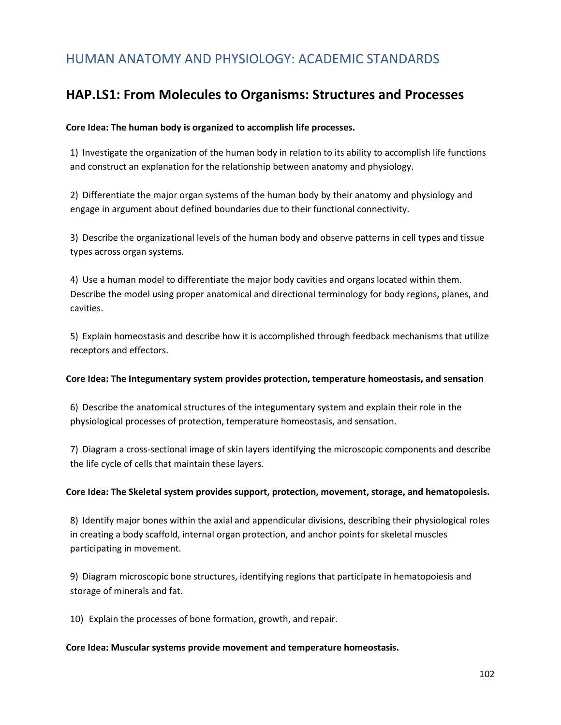#### HUMAN ANATOMY AND PHYSIOLOGY: ACADEMIC STANDARDS

#### **HAP.LS1: From Molecules to Organisms: Structures and Processes**

#### **Core Idea: The human body is organized to accomplish life processes.**

1) Investigate the organization of the human body in relation to its ability to accomplish life functions and construct an explanation for the relationship between anatomy and physiology.

2) Differentiate the major organ systems of the human body by their anatomy and physiology and engage in argument about defined boundaries due to their functional connectivity.

3) Describe the organizational levels of the human body and observe patterns in cell types and tissue types across organ systems.

4) Use a human model to differentiate the major body cavities and organs located within them. Describe the model using proper anatomical and directional terminology for body regions, planes, and cavities.

5) Explain homeostasis and describe how it is accomplished through feedback mechanisms that utilize receptors and effectors.

#### **Core Idea: The Integumentary system provides protection, temperature homeostasis, and sensation**

6) Describe the anatomical structures of the integumentary system and explain their role in the physiological processes of protection, temperature homeostasis, and sensation.

7) Diagram a cross-sectional image of skin layers identifying the microscopic components and describe the life cycle of cells that maintain these layers.

#### **Core Idea: The Skeletal system provides support, protection, movement, storage, and hematopoiesis.**

8) Identify major bones within the axial and appendicular divisions, describing their physiological roles in creating a body scaffold, internal organ protection, and anchor points for skeletal muscles participating in movement.

9) Diagram microscopic bone structures, identifying regions that participate in hematopoiesis and storage of minerals and fat.

10) Explain the processes of bone formation, growth, and repair.

#### **Core Idea: Muscular systems provide movement and temperature homeostasis.**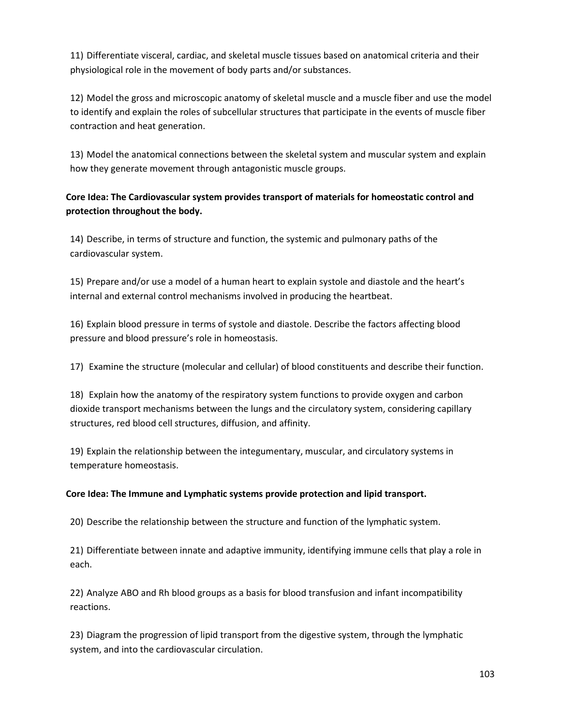11) Differentiate visceral, cardiac, and skeletal muscle tissues based on anatomical criteria and their physiological role in the movement of body parts and/or substances.

12) Model the gross and microscopic anatomy of skeletal muscle and a muscle fiber and use the model to identify and explain the roles of subcellular structures that participate in the events of muscle fiber contraction and heat generation.

13) Model the anatomical connections between the skeletal system and muscular system and explain how they generate movement through antagonistic muscle groups.

#### **Core Idea: The Cardiovascular system provides transport of materials for homeostatic control and protection throughout the body.**

14) Describe, in terms of structure and function, the systemic and pulmonary paths of the cardiovascular system.

15) Prepare and/or use a model of a human heart to explain systole and diastole and the heart's internal and external control mechanisms involved in producing the heartbeat.

16) Explain blood pressure in terms of systole and diastole. Describe the factors affecting blood pressure and blood pressure's role in homeostasis.

17) Examine the structure (molecular and cellular) of blood constituents and describe their function.

18) Explain how the anatomy of the respiratory system functions to provide oxygen and carbon dioxide transport mechanisms between the lungs and the circulatory system, considering capillary structures, red blood cell structures, diffusion, and affinity.

19) Explain the relationship between the integumentary, muscular, and circulatory systems in temperature homeostasis.

#### **Core Idea: The Immune and Lymphatic systems provide protection and lipid transport.**

20) Describe the relationship between the structure and function of the lymphatic system.

21) Differentiate between innate and adaptive immunity, identifying immune cells that play a role in each.

22) Analyze ABO and Rh blood groups as a basis for blood transfusion and infant incompatibility reactions.

23) Diagram the progression of lipid transport from the digestive system, through the lymphatic system, and into the cardiovascular circulation.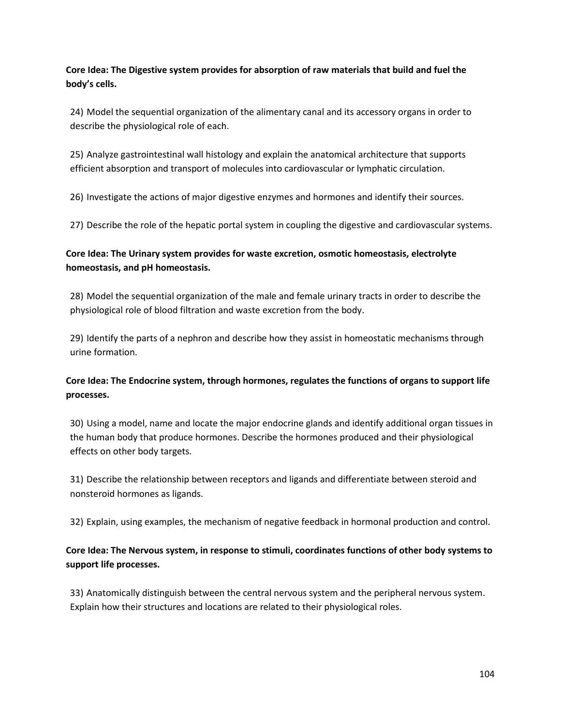**Core Idea: The Digestive system provides for absorption of raw materials that build and fuel the body's cells.**

24) Model the sequential organization of the alimentary canal and its accessory organs in order to describe the physiological role of each.

25) Analyze gastrointestinal wall histology and explain the anatomical architecture that supports efficient absorption and transport of molecules into cardiovascular or lymphatic circulation.

26) Investigate the actions of major digestive enzymes and hormones and identify their sources.

27) Describe the role of the hepatic portal system in coupling the digestive and cardiovascular systems.

#### **Core Idea: The Urinary system provides for waste excretion, osmotic homeostasis, electrolyte homeostasis, and pH homeostasis.**

28) Model the sequential organization of the male and female urinary tracts in order to describe the physiological role of blood filtration and waste excretion from the body.

29) Identify the parts of a nephron and describe how they assist in homeostatic mechanisms through urine formation.

#### **Core Idea: The Endocrine system, through hormones, regulates the functions of organs to support life processes.**

30) Using a model, name and locate the major endocrine glands and identify additional organ tissues in the human body that produce hormones. Describe the hormones produced and their physiological effects on other body targets.

31) Describe the relationship between receptors and ligands and differentiate between steroid and nonsteroid hormones as ligands.

32) Explain, using examples, the mechanism of negative feedback in hormonal production and control.

#### **Core Idea: The Nervous system, in response to stimuli, coordinates functions of other body systems to support life processes.**

33) Anatomically distinguish between the central nervous system and the peripheral nervous system. Explain how their structures and locations are related to their physiological roles.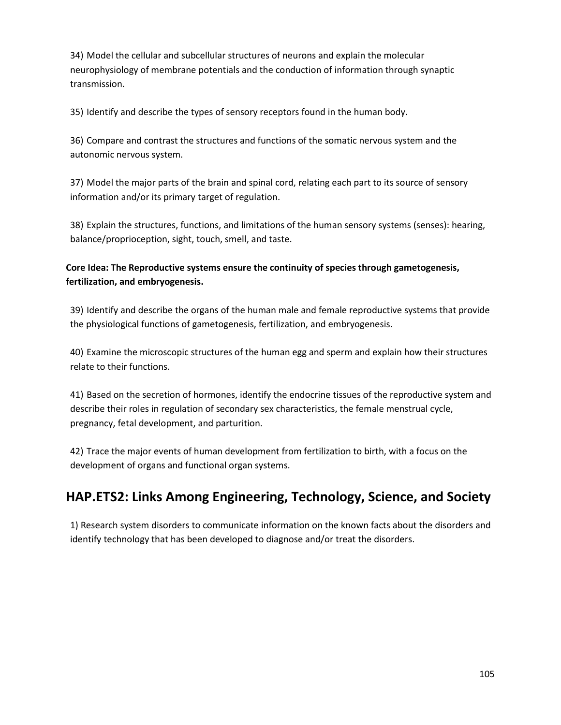34) Model the cellular and subcellular structures of neurons and explain the molecular neurophysiology of membrane potentials and the conduction of information through synaptic transmission.

35) Identify and describe the types of sensory receptors found in the human body.

36) Compare and contrast the structures and functions of the somatic nervous system and the autonomic nervous system.

37) Model the major parts of the brain and spinal cord, relating each part to its source of sensory information and/or its primary target of regulation.

38) Explain the structures, functions, and limitations of the human sensory systems (senses): hearing, balance/proprioception, sight, touch, smell, and taste.

**Core Idea: The Reproductive systems ensure the continuity of species through gametogenesis, fertilization, and embryogenesis.**

39) Identify and describe the organs of the human male and female reproductive systems that provide the physiological functions of gametogenesis, fertilization, and embryogenesis.

40) Examine the microscopic structures of the human egg and sperm and explain how their structures relate to their functions.

41) Based on the secretion of hormones, identify the endocrine tissues of the reproductive system and describe their roles in regulation of secondary sex characteristics, the female menstrual cycle, pregnancy, fetal development, and parturition.

42) Trace the major events of human development from fertilization to birth, with a focus on the development of organs and functional organ systems.

# **HAP.ETS2: Links Among Engineering, Technology, Science, and Society**

1) Research system disorders to communicate information on the known facts about the disorders and identify technology that has been developed to diagnose and/or treat the disorders.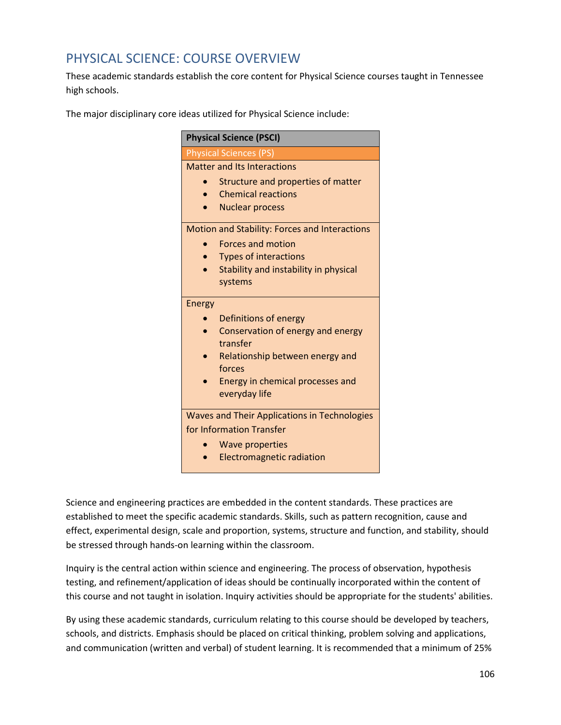#### PHYSICAL SCIENCE: COURSE OVERVIEW

These academic standards establish the core content for Physical Science courses taught in Tennessee high schools.

The major disciplinary core ideas utilized for Physical Science include:

| <b>Physical Science (PSCI)</b>                |
|-----------------------------------------------|
| <b>Physical Sciences (PS)</b>                 |
| <b>Matter and Its Interactions</b>            |
| Structure and properties of matter            |
| <b>Chemical reactions</b>                     |
| <b>Nuclear process</b>                        |
| Motion and Stability: Forces and Interactions |
| <b>Forces and motion</b>                      |
| <b>Types of interactions</b>                  |
| Stability and instability in physical         |
| systems                                       |
| Energy                                        |
| Definitions of energy                         |
| Conservation of energy and energy             |
| transfer                                      |
| Relationship between energy and<br>forces     |
| Energy in chemical processes and              |
| everyday life                                 |
|                                               |
| Waves and Their Applications in Technologies  |
| for Information Transfer                      |
| <b>Wave properties</b>                        |
| <b>Electromagnetic radiation</b>              |

Science and engineering practices are embedded in the content standards. These practices are established to meet the specific academic standards. Skills, such as pattern recognition, cause and effect, experimental design, scale and proportion, systems, structure and function, and stability, should be stressed through hands-on learning within the classroom.

Inquiry is the central action within science and engineering. The process of observation, hypothesis testing, and refinement/application of ideas should be continually incorporated within the content of this course and not taught in isolation. Inquiry activities should be appropriate for the students' abilities.

By using these academic standards, curriculum relating to this course should be developed by teachers, schools, and districts. Emphasis should be placed on critical thinking, problem solving and applications, and communication (written and verbal) of student learning. It is recommended that a minimum of 25%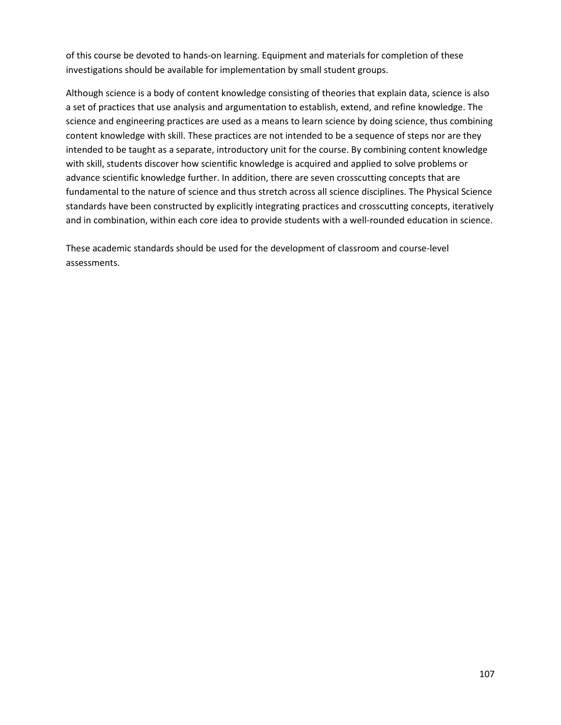of this course be devoted to hands-on learning. Equipment and materials for completion of these investigations should be available for implementation by small student groups.

Although science is a body of content knowledge consisting of theories that explain data, science is also a set of practices that use analysis and argumentation to establish, extend, and refine knowledge. The science and engineering practices are used as a means to learn science by doing science, thus combining content knowledge with skill. These practices are not intended to be a sequence of steps nor are they intended to be taught as a separate, introductory unit for the course. By combining content knowledge with skill, students discover how scientific knowledge is acquired and applied to solve problems or advance scientific knowledge further. In addition, there are seven crosscutting concepts that are fundamental to the nature of science and thus stretch across all science disciplines. The Physical Science standards have been constructed by explicitly integrating practices and crosscutting concepts, iteratively and in combination, within each core idea to provide students with a well-rounded education in science.

These academic standards should be used for the development of classroom and course-level assessments.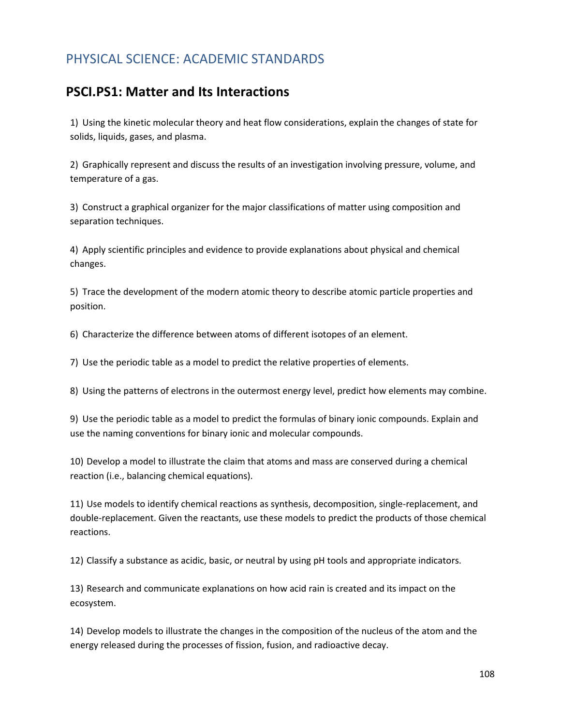#### PHYSICAL SCIENCE: ACADEMIC STANDARDS

#### **PSCI.PS1: Matter and Its Interactions**

1) Using the kinetic molecular theory and heat flow considerations, explain the changes of state for solids, liquids, gases, and plasma.

2) Graphically represent and discuss the results of an investigation involving pressure, volume, and temperature of a gas.

3) Construct a graphical organizer for the major classifications of matter using composition and separation techniques.

4) Apply scientific principles and evidence to provide explanations about physical and chemical changes.

5) Trace the development of the modern atomic theory to describe atomic particle properties and position.

6) Characterize the difference between atoms of different isotopes of an element.

7) Use the periodic table as a model to predict the relative properties of elements.

8) Using the patterns of electrons in the outermost energy level, predict how elements may combine.

9) Use the periodic table as a model to predict the formulas of binary ionic compounds. Explain and use the naming conventions for binary ionic and molecular compounds.

10) Develop a model to illustrate the claim that atoms and mass are conserved during a chemical reaction (i.e., balancing chemical equations).

11) Use models to identify chemical reactions as synthesis, decomposition, single-replacement, and double-replacement. Given the reactants, use these models to predict the products of those chemical reactions.

12) Classify a substance as acidic, basic, or neutral by using pH tools and appropriate indicators.

13) Research and communicate explanations on how acid rain is created and its impact on the ecosystem.

14) Develop models to illustrate the changes in the composition of the nucleus of the atom and the energy released during the processes of fission, fusion, and radioactive decay.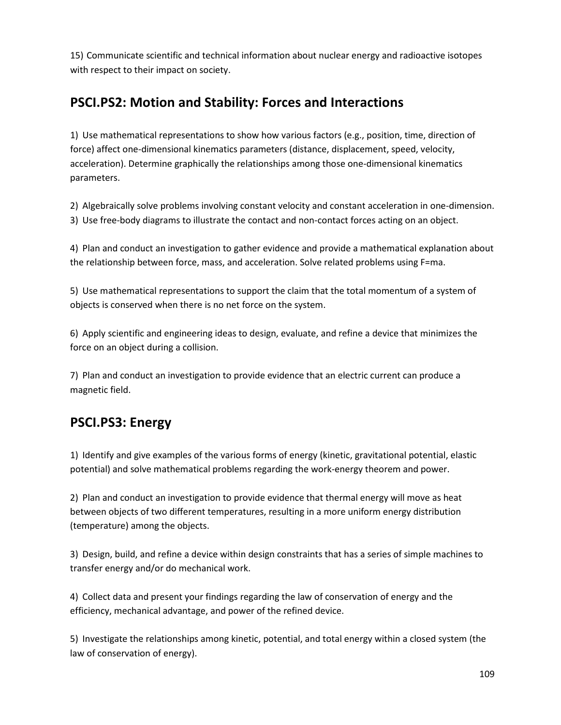15) Communicate scientific and technical information about nuclear energy and radioactive isotopes with respect to their impact on society.

## **PSCI.PS2: Motion and Stability: Forces and Interactions**

1) Use mathematical representations to show how various factors (e.g., position, time, direction of force) affect one-dimensional kinematics parameters (distance, displacement, speed, velocity, acceleration). Determine graphically the relationships among those one-dimensional kinematics parameters.

2) Algebraically solve problems involving constant velocity and constant acceleration in one-dimension. 3) Use free-body diagrams to illustrate the contact and non-contact forces acting on an object.

4) Plan and conduct an investigation to gather evidence and provide a mathematical explanation about the relationship between force, mass, and acceleration. Solve related problems using F=ma.

5) Use mathematical representations to support the claim that the total momentum of a system of objects is conserved when there is no net force on the system.

6) Apply scientific and engineering ideas to design, evaluate, and refine a device that minimizes the force on an object during a collision.

7) Plan and conduct an investigation to provide evidence that an electric current can produce a magnetic field.

## **PSCI.PS3: Energy**

1) Identify and give examples of the various forms of energy (kinetic, gravitational potential, elastic potential) and solve mathematical problems regarding the work-energy theorem and power.

2) Plan and conduct an investigation to provide evidence that thermal energy will move as heat between objects of two different temperatures, resulting in a more uniform energy distribution (temperature) among the objects.

3) Design, build, and refine a device within design constraints that has a series of simple machines to transfer energy and/or do mechanical work.

4) Collect data and present your findings regarding the law of conservation of energy and the efficiency, mechanical advantage, and power of the refined device.

5) Investigate the relationships among kinetic, potential, and total energy within a closed system (the law of conservation of energy).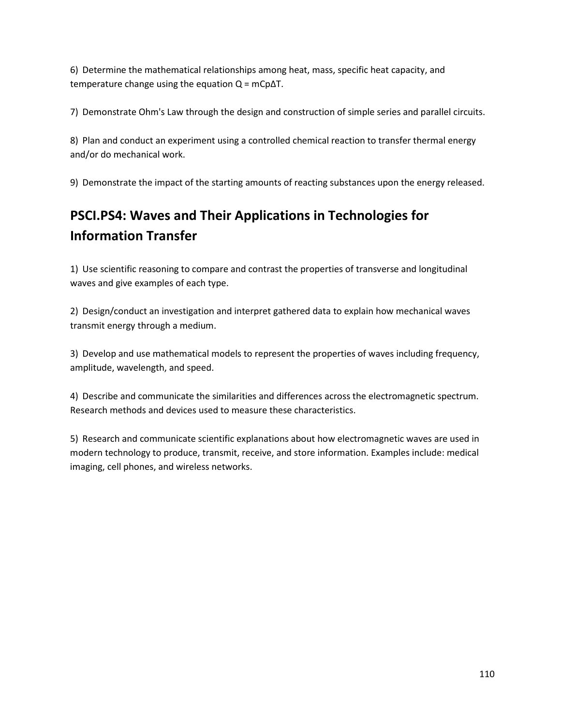6) Determine the mathematical relationships among heat, mass, specific heat capacity, and temperature change using the equation  $Q = mCp\Delta T$ .

7) Demonstrate Ohm's Law through the design and construction of simple series and parallel circuits.

8) Plan and conduct an experiment using a controlled chemical reaction to transfer thermal energy and/or do mechanical work.

9) Demonstrate the impact of the starting amounts of reacting substances upon the energy released.

# **PSCI.PS4: Waves and Their Applications in Technologies for Information Transfer**

1) Use scientific reasoning to compare and contrast the properties of transverse and longitudinal waves and give examples of each type.

2) Design/conduct an investigation and interpret gathered data to explain how mechanical waves transmit energy through a medium.

3) Develop and use mathematical models to represent the properties of waves including frequency, amplitude, wavelength, and speed.

4) Describe and communicate the similarities and differences across the electromagnetic spectrum. Research methods and devices used to measure these characteristics.

5) Research and communicate scientific explanations about how electromagnetic waves are used in modern technology to produce, transmit, receive, and store information. Examples include: medical imaging, cell phones, and wireless networks.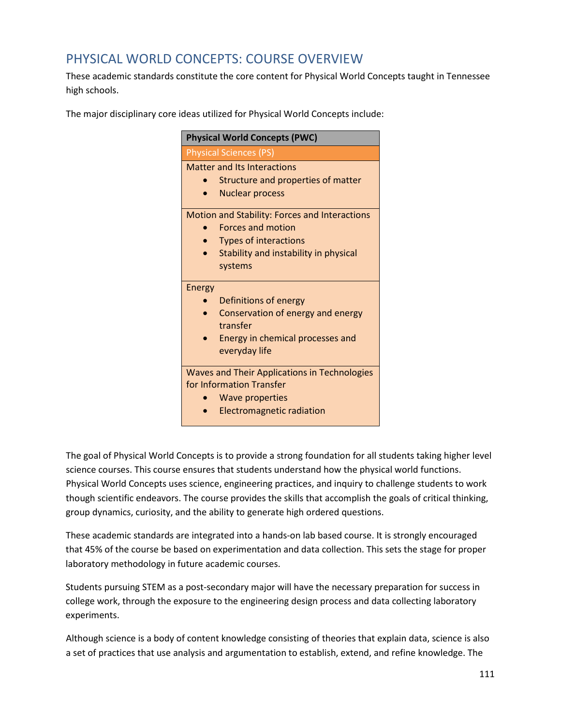#### PHYSICAL WORLD CONCEPTS: COURSE OVERVIEW

These academic standards constitute the core content for Physical World Concepts taught in Tennessee high schools.

The major disciplinary core ideas utilized for Physical World Concepts include:

| <b>Physical World Concepts (PWC)</b>                |  |  |
|-----------------------------------------------------|--|--|
| <b>Physical Sciences (PS)</b>                       |  |  |
| <b>Matter and Its Interactions</b>                  |  |  |
| Structure and properties of matter                  |  |  |
| <b>Nuclear process</b>                              |  |  |
| Motion and Stability: Forces and Interactions       |  |  |
| <b>Forces and motion</b>                            |  |  |
| <b>Types of interactions</b>                        |  |  |
| Stability and instability in physical               |  |  |
| systems                                             |  |  |
| Energy                                              |  |  |
| Definitions of energy                               |  |  |
| Conservation of energy and energy<br>transfer       |  |  |
| Energy in chemical processes and                    |  |  |
| everyday life                                       |  |  |
| <b>Waves and Their Applications in Technologies</b> |  |  |
| for Information Transfer                            |  |  |
| <b>Wave properties</b>                              |  |  |
| <b>Electromagnetic radiation</b>                    |  |  |

The goal of Physical World Concepts is to provide a strong foundation for all students taking higher level science courses. This course ensures that students understand how the physical world functions. Physical World Concepts uses science, engineering practices, and inquiry to challenge students to work though scientific endeavors. The course provides the skills that accomplish the goals of critical thinking, group dynamics, curiosity, and the ability to generate high ordered questions.

These academic standards are integrated into a hands-on lab based course. It is strongly encouraged that 45% of the course be based on experimentation and data collection. This sets the stage for proper laboratory methodology in future academic courses.

Students pursuing STEM as a post-secondary major will have the necessary preparation for success in college work, through the exposure to the engineering design process and data collecting laboratory experiments.

Although science is a body of content knowledge consisting of theories that explain data, science is also a set of practices that use analysis and argumentation to establish, extend, and refine knowledge. The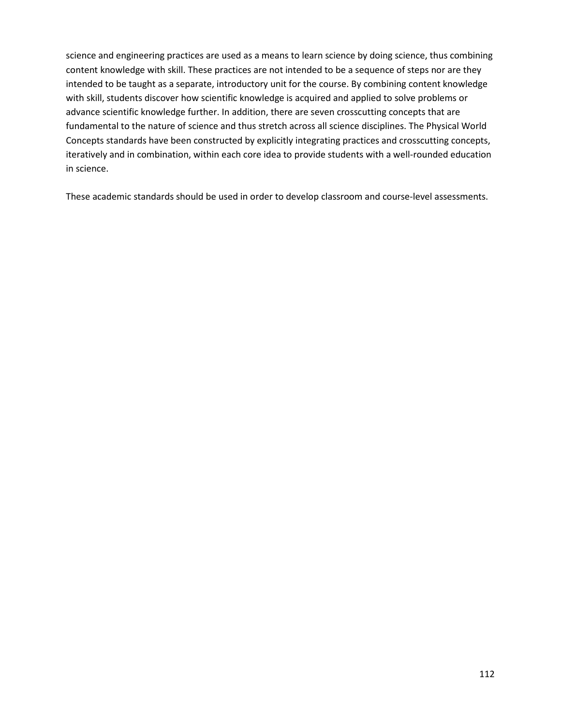science and engineering practices are used as a means to learn science by doing science, thus combining content knowledge with skill. These practices are not intended to be a sequence of steps nor are they intended to be taught as a separate, introductory unit for the course. By combining content knowledge with skill, students discover how scientific knowledge is acquired and applied to solve problems or advance scientific knowledge further. In addition, there are seven crosscutting concepts that are fundamental to the nature of science and thus stretch across all science disciplines. The Physical World Concepts standards have been constructed by explicitly integrating practices and crosscutting concepts, iteratively and in combination, within each core idea to provide students with a well-rounded education in science.

These academic standards should be used in order to develop classroom and course-level assessments.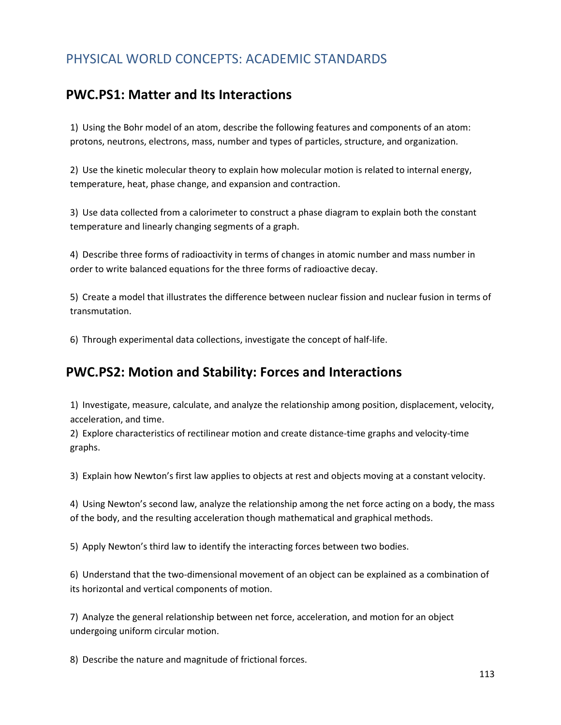### PHYSICAL WORLD CONCEPTS: ACADEMIC STANDARDS

#### **PWC.PS1: Matter and Its Interactions**

1) Using the Bohr model of an atom, describe the following features and components of an atom: protons, neutrons, electrons, mass, number and types of particles, structure, and organization.

2) Use the kinetic molecular theory to explain how molecular motion is related to internal energy, temperature, heat, phase change, and expansion and contraction.

3) Use data collected from a calorimeter to construct a phase diagram to explain both the constant temperature and linearly changing segments of a graph.

4) Describe three forms of radioactivity in terms of changes in atomic number and mass number in order to write balanced equations for the three forms of radioactive decay.

5) Create a model that illustrates the difference between nuclear fission and nuclear fusion in terms of transmutation.

6) Through experimental data collections, investigate the concept of half-life.

#### **PWC.PS2: Motion and Stability: Forces and Interactions**

1) Investigate, measure, calculate, and analyze the relationship among position, displacement, velocity, acceleration, and time.

2) Explore characteristics of rectilinear motion and create distance-time graphs and velocity-time graphs.

3) Explain how Newton's first law applies to objects at rest and objects moving at a constant velocity.

4) Using Newton's second law, analyze the relationship among the net force acting on a body, the mass of the body, and the resulting acceleration though mathematical and graphical methods.

5) Apply Newton's third law to identify the interacting forces between two bodies.

6) Understand that the two-dimensional movement of an object can be explained as a combination of its horizontal and vertical components of motion.

7) Analyze the general relationship between net force, acceleration, and motion for an object undergoing uniform circular motion.

8) Describe the nature and magnitude of frictional forces.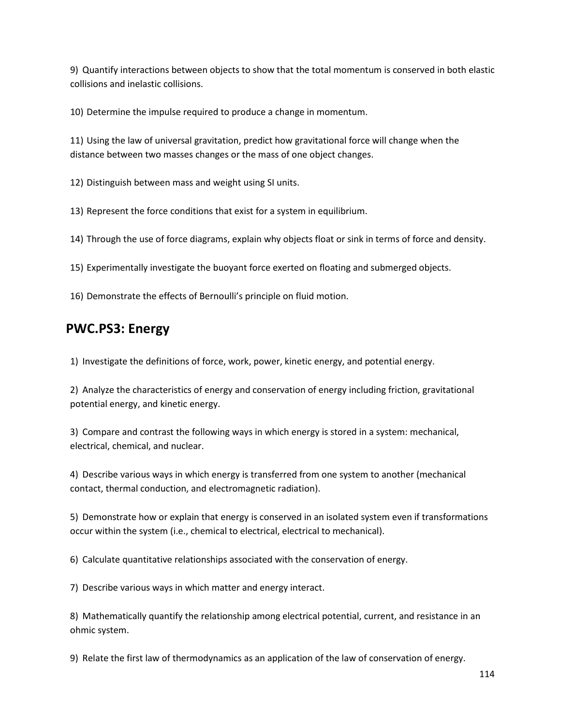9) Quantify interactions between objects to show that the total momentum is conserved in both elastic collisions and inelastic collisions.

10) Determine the impulse required to produce a change in momentum.

11) Using the law of universal gravitation, predict how gravitational force will change when the distance between two masses changes or the mass of one object changes.

12) Distinguish between mass and weight using SI units.

13) Represent the force conditions that exist for a system in equilibrium.

14) Through the use of force diagrams, explain why objects float or sink in terms of force and density.

15) Experimentally investigate the buoyant force exerted on floating and submerged objects.

16) Demonstrate the effects of Bernoulli's principle on fluid motion.

#### **PWC.PS3: Energy**

1) Investigate the definitions of force, work, power, kinetic energy, and potential energy.

2) Analyze the characteristics of energy and conservation of energy including friction, gravitational potential energy, and kinetic energy.

3) Compare and contrast the following ways in which energy is stored in a system: mechanical, electrical, chemical, and nuclear.

4) Describe various ways in which energy is transferred from one system to another (mechanical contact, thermal conduction, and electromagnetic radiation).

5) Demonstrate how or explain that energy is conserved in an isolated system even if transformations occur within the system (i.e., chemical to electrical, electrical to mechanical).

6) Calculate quantitative relationships associated with the conservation of energy.

7) Describe various ways in which matter and energy interact.

8) Mathematically quantify the relationship among electrical potential, current, and resistance in an ohmic system.

9) Relate the first law of thermodynamics as an application of the law of conservation of energy.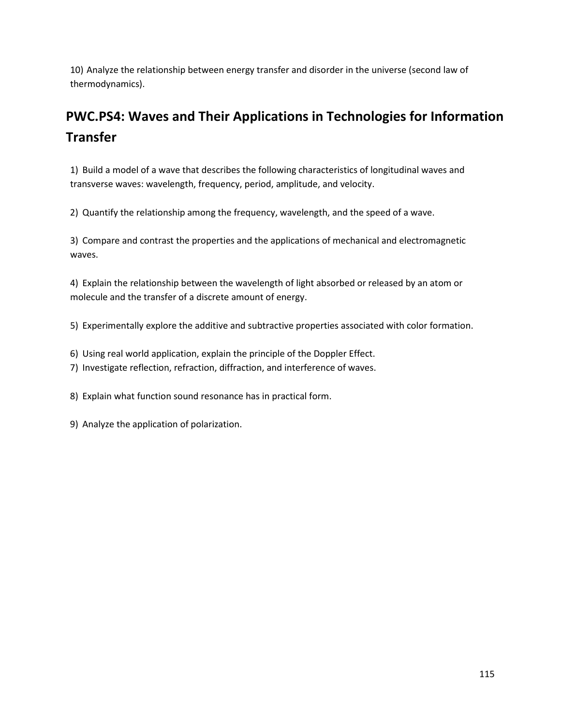10) Analyze the relationship between energy transfer and disorder in the universe (second law of thermodynamics).

# **PWC.PS4: Waves and Their Applications in Technologies for Information Transfer**

1) Build a model of a wave that describes the following characteristics of longitudinal waves and transverse waves: wavelength, frequency, period, amplitude, and velocity.

2) Quantify the relationship among the frequency, wavelength, and the speed of a wave.

3) Compare and contrast the properties and the applications of mechanical and electromagnetic waves.

4) Explain the relationship between the wavelength of light absorbed or released by an atom or molecule and the transfer of a discrete amount of energy.

5) Experimentally explore the additive and subtractive properties associated with color formation.

- 6) Using real world application, explain the principle of the Doppler Effect.
- 7) Investigate reflection, refraction, diffraction, and interference of waves.

8) Explain what function sound resonance has in practical form.

9) Analyze the application of polarization.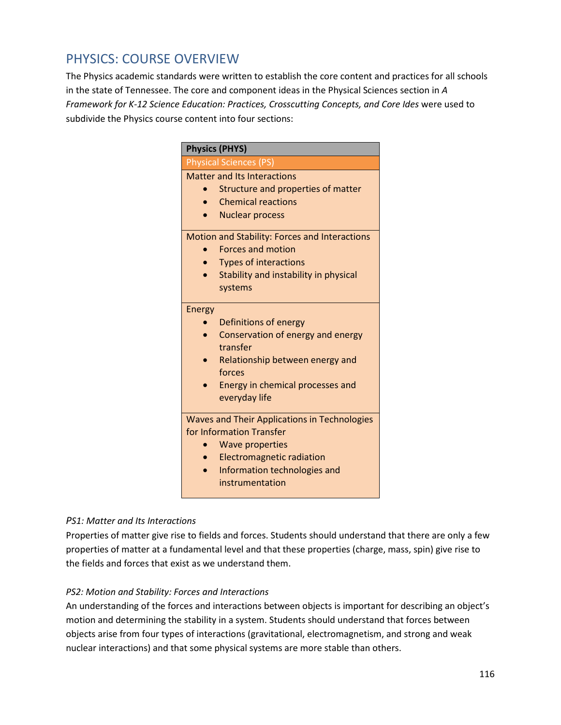#### PHYSICS: COURSE OVERVIEW

The Physics academic standards were written to establish the core content and practices for all schools in the state of Tennessee. The core and component ideas in the Physical Sciences section in *A*  Framework for K-12 Science Education: Practices, Crosscutting Concepts, and Core Ides were used to subdivide the Physics course content into four sections:

|               | <b>Physical Sciences (PS)</b>                 |
|---------------|-----------------------------------------------|
|               |                                               |
|               | Matter and Its Interactions                   |
|               | Structure and properties of matter            |
|               | <b>Chemical reactions</b>                     |
|               | <b>Nuclear process</b>                        |
|               | Motion and Stability: Forces and Interactions |
|               | <b>Forces and motion</b>                      |
|               | <b>Types of interactions</b>                  |
|               | Stability and instability in physical         |
|               | systems                                       |
| <b>Energy</b> |                                               |
|               | Definitions of energy                         |
|               | Conservation of energy and energy             |
|               | transfer                                      |
|               | Relationship between energy and               |
|               | forces                                        |
|               | Energy in chemical processes and              |
|               | everyday life                                 |
|               | Waves and Their Applications in Technologies  |
|               | for Information Transfer                      |
| $\bullet$     | <b>Wave properties</b>                        |
|               | <b>Electromagnetic radiation</b>              |
|               | Information technologies and                  |
|               | instrumentation                               |

#### *PS1: Matter and Its Interactions*

Properties of matter give rise to fields and forces. Students should understand that there are only a few properties of matter at a fundamental level and that these properties (charge, mass, spin) give rise to the fields and forces that exist as we understand them.

#### *PS2: Motion and Stability: Forces and Interactions*

An understanding of the forces and interactions between objects is important for describing an object's motion and determining the stability in a system. Students should understand that forces between objects arise from four types of interactions (gravitational, electromagnetism, and strong and weak nuclear interactions) and that some physical systems are more stable than others.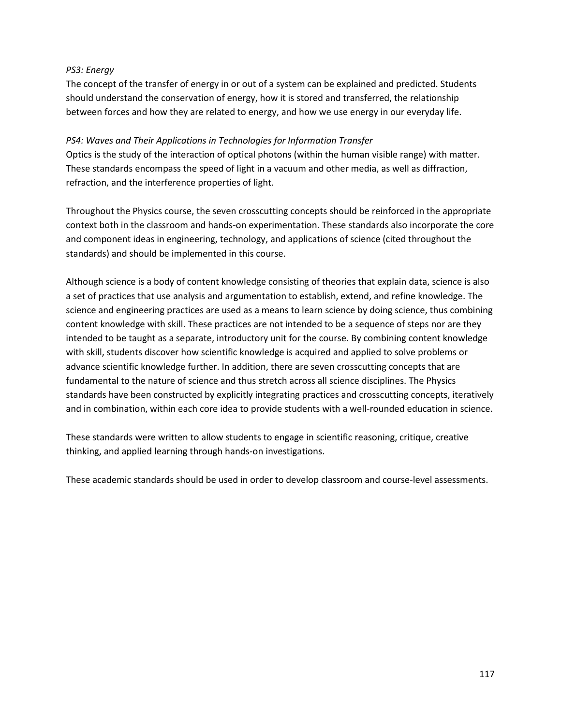#### *PS3: Energy*

The concept of the transfer of energy in or out of a system can be explained and predicted. Students should understand the conservation of energy, how it is stored and transferred, the relationship between forces and how they are related to energy, and how we use energy in our everyday life.

#### *PS4: Waves and Their Applications in Technologies for Information Transfer*

Optics is the study of the interaction of optical photons (within the human visible range) with matter. These standards encompass the speed of light in a vacuum and other media, as well as diffraction, refraction, and the interference properties of light.

Throughout the Physics course, the seven crosscutting concepts should be reinforced in the appropriate context both in the classroom and hands-on experimentation. These standards also incorporate the core and component ideas in engineering, technology, and applications of science (cited throughout the standards) and should be implemented in this course.

Although science is a body of content knowledge consisting of theories that explain data, science is also a set of practices that use analysis and argumentation to establish, extend, and refine knowledge. The science and engineering practices are used as a means to learn science by doing science, thus combining content knowledge with skill. These practices are not intended to be a sequence of steps nor are they intended to be taught as a separate, introductory unit for the course. By combining content knowledge with skill, students discover how scientific knowledge is acquired and applied to solve problems or advance scientific knowledge further. In addition, there are seven crosscutting concepts that are fundamental to the nature of science and thus stretch across all science disciplines. The Physics standards have been constructed by explicitly integrating practices and crosscutting concepts, iteratively and in combination, within each core idea to provide students with a well-rounded education in science.

These standards were written to allow students to engage in scientific reasoning, critique, creative thinking, and applied learning through hands-on investigations.

These academic standards should be used in order to develop classroom and course-level assessments.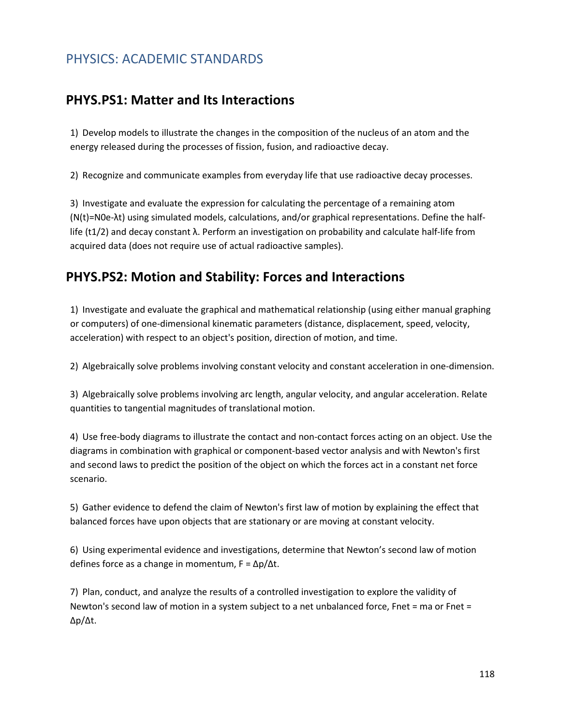#### PHYSICS: ACADEMIC STANDARDS

#### **PHYS.PS1: Matter and Its Interactions**

1) Develop models to illustrate the changes in the composition of the nucleus of an atom and the energy released during the processes of fission, fusion, and radioactive decay.

2) Recognize and communicate examples from everyday life that use radioactive decay processes.

3) Investigate and evaluate the expression for calculating the percentage of a remaining atom (N(t)=N0e-λt) using simulated models, calculations, and/or graphical representations. Define the halflife (t1/2) and decay constant λ. Perform an investigation on probability and calculate half-life from acquired data (does not require use of actual radioactive samples).

#### **PHYS.PS2: Motion and Stability: Forces and Interactions**

1) Investigate and evaluate the graphical and mathematical relationship (using either manual graphing or computers) of one-dimensional kinematic parameters (distance, displacement, speed, velocity, acceleration) with respect to an object's position, direction of motion, and time.

2) Algebraically solve problems involving constant velocity and constant acceleration in one-dimension.

3) Algebraically solve problems involving arc length, angular velocity, and angular acceleration. Relate quantities to tangential magnitudes of translational motion.

4) Use free-body diagrams to illustrate the contact and non-contact forces acting on an object. Use the diagrams in combination with graphical or component-based vector analysis and with Newton's first and second laws to predict the position of the object on which the forces act in a constant net force scenario.

5) Gather evidence to defend the claim of Newton's first law of motion by explaining the effect that balanced forces have upon objects that are stationary or are moving at constant velocity.

6) Using experimental evidence and investigations, determine that Newton's second law of motion defines force as a change in momentum, F = Δp/Δt.

7) Plan, conduct, and analyze the results of a controlled investigation to explore the validity of Newton's second law of motion in a system subject to a net unbalanced force, Fnet = ma or Fnet = Δp/Δt.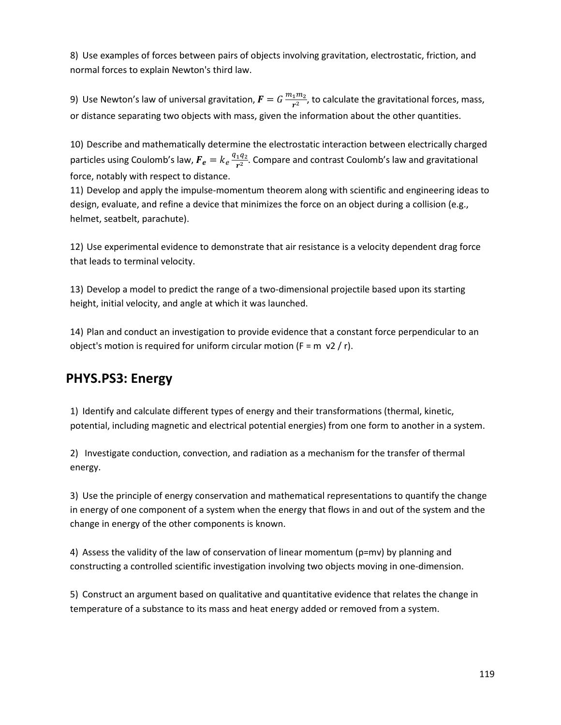8) Use examples of forces between pairs of objects involving gravitation, electrostatic, friction, and normal forces to explain Newton's third law.

9) Use Newton's law of universal gravitation,  $F=G\frac{m_1m_2}{r^2}$ , to calculate the gravitational forces, mass, or distance separating two objects with mass, given the information about the other quantities.

10) Describe and mathematically determine the electrostatic interaction between electrically charged particles using Coulomb's law,  $\bm{F_e} = k_e \frac{q_1 q_2}{r^2}$ . Compare and contrast Coulomb's law and gravitational force, notably with respect to distance.

11) Develop and apply the impulse-momentum theorem along with scientific and engineering ideas to design, evaluate, and refine a device that minimizes the force on an object during a collision (e.g., helmet, seatbelt, parachute).

12) Use experimental evidence to demonstrate that air resistance is a velocity dependent drag force that leads to terminal velocity.

13) Develop a model to predict the range of a two-dimensional projectile based upon its starting height, initial velocity, and angle at which it was launched.

14) Plan and conduct an investigation to provide evidence that a constant force perpendicular to an object's motion is required for uniform circular motion ( $F = m \nu 2 / r$ ).

### **PHYS.PS3: Energy**

1) Identify and calculate different types of energy and their transformations (thermal, kinetic, potential, including magnetic and electrical potential energies) from one form to another in a system.

2) Investigate conduction, convection, and radiation as a mechanism for the transfer of thermal energy.

3) Use the principle of energy conservation and mathematical representations to quantify the change in energy of one component of a system when the energy that flows in and out of the system and the change in energy of the other components is known.

4) Assess the validity of the law of conservation of linear momentum (p=mv) by planning and constructing a controlled scientific investigation involving two objects moving in one-dimension.

5) Construct an argument based on qualitative and quantitative evidence that relates the change in temperature of a substance to its mass and heat energy added or removed from a system.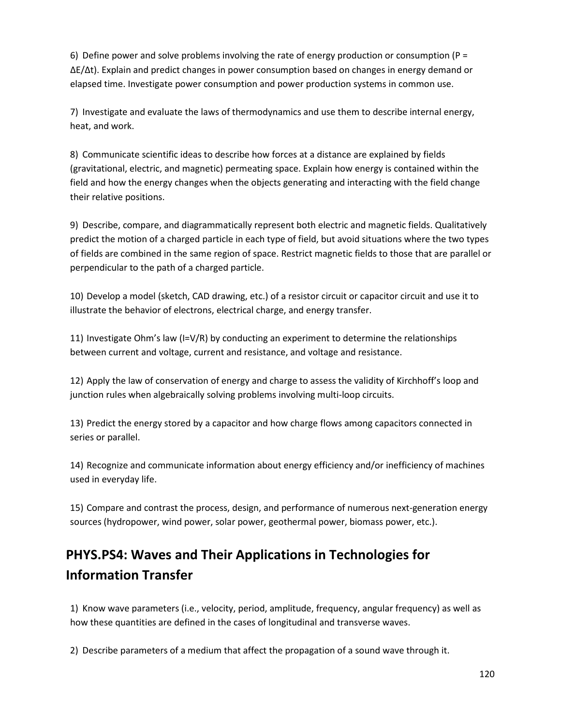6) Define power and solve problems involving the rate of energy production or consumption ( $P =$ ΔE/Δt). Explain and predict changes in power consumption based on changes in energy demand or elapsed time. Investigate power consumption and power production systems in common use.

7) Investigate and evaluate the laws of thermodynamics and use them to describe internal energy, heat, and work.

8) Communicate scientific ideas to describe how forces at a distance are explained by fields (gravitational, electric, and magnetic) permeating space. Explain how energy is contained within the field and how the energy changes when the objects generating and interacting with the field change their relative positions.

9) Describe, compare, and diagrammatically represent both electric and magnetic fields. Qualitatively predict the motion of a charged particle in each type of field, but avoid situations where the two types of fields are combined in the same region of space. Restrict magnetic fields to those that are parallel or perpendicular to the path of a charged particle.

10) Develop a model (sketch, CAD drawing, etc.) of a resistor circuit or capacitor circuit and use it to illustrate the behavior of electrons, electrical charge, and energy transfer.

11) Investigate Ohm's law (I=V/R) by conducting an experiment to determine the relationships between current and voltage, current and resistance, and voltage and resistance.

12) Apply the law of conservation of energy and charge to assess the validity of Kirchhoff's loop and junction rules when algebraically solving problems involving multi-loop circuits.

13) Predict the energy stored by a capacitor and how charge flows among capacitors connected in series or parallel.

14) Recognize and communicate information about energy efficiency and/or inefficiency of machines used in everyday life.

15) Compare and contrast the process, design, and performance of numerous next-generation energy sources (hydropower, wind power, solar power, geothermal power, biomass power, etc.).

# **PHYS.PS4: Waves and Their Applications in Technologies for Information Transfer**

1) Know wave parameters (i.e., velocity, period, amplitude, frequency, angular frequency) as well as how these quantities are defined in the cases of longitudinal and transverse waves.

2) Describe parameters of a medium that affect the propagation of a sound wave through it.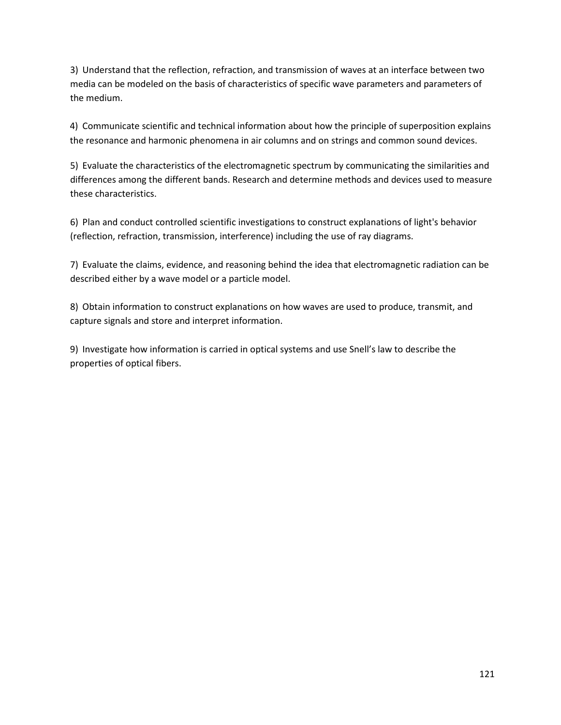3) Understand that the reflection, refraction, and transmission of waves at an interface between two media can be modeled on the basis of characteristics of specific wave parameters and parameters of the medium.

4) Communicate scientific and technical information about how the principle of superposition explains the resonance and harmonic phenomena in air columns and on strings and common sound devices.

5) Evaluate the characteristics of the electromagnetic spectrum by communicating the similarities and differences among the different bands. Research and determine methods and devices used to measure these characteristics.

6) Plan and conduct controlled scientific investigations to construct explanations of light's behavior (reflection, refraction, transmission, interference) including the use of ray diagrams.

7) Evaluate the claims, evidence, and reasoning behind the idea that electromagnetic radiation can be described either by a wave model or a particle model.

8) Obtain information to construct explanations on how waves are used to produce, transmit, and capture signals and store and interpret information.

9) Investigate how information is carried in optical systems and use Snell's law to describe the properties of optical fibers.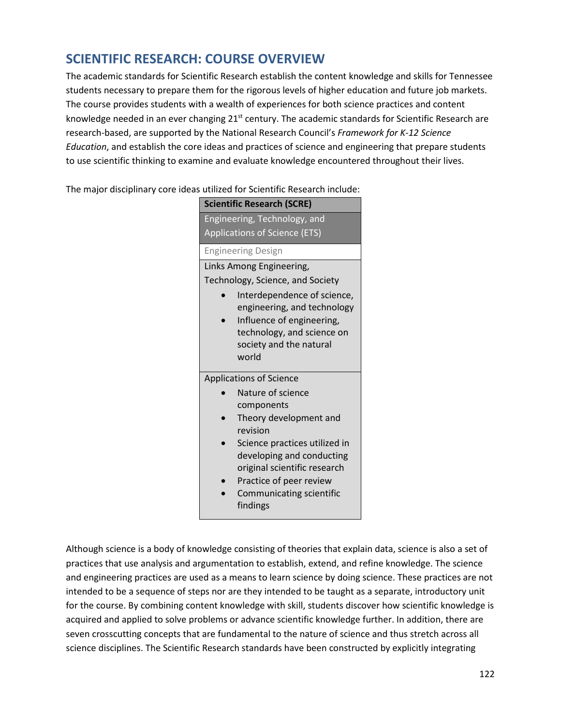#### **SCIENTIFIC RESEARCH: COURSE OVERVIEW**

The academic standards for Scientific Research establish the content knowledge and skills for Tennessee students necessary to prepare them for the rigorous levels of higher education and future job markets. The course provides students with a wealth of experiences for both science practices and content knowledge needed in an ever changing 21<sup>st</sup> century. The academic standards for Scientific Research are research-based, are supported by the National Research Council's *Framework for K-12 Science Education*, and establish the core ideas and practices of science and engineering that prepare students to use scientific thinking to examine and evaluate knowledge encountered throughout their lives.

The major disciplinary core ideas utilized for Scientific Research include:

|                               | <b>Scientific Research (SCRE)</b>                                                                                                                |  |
|-------------------------------|--------------------------------------------------------------------------------------------------------------------------------------------------|--|
| Engineering, Technology, and  |                                                                                                                                                  |  |
| Applications of Science (ETS) |                                                                                                                                                  |  |
| <b>Engineering Design</b>     |                                                                                                                                                  |  |
|                               | Links Among Engineering,                                                                                                                         |  |
|                               | Technology, Science, and Society                                                                                                                 |  |
|                               | Interdependence of science,<br>engineering, and technology<br>Influence of engineering,<br>technology, and science on<br>society and the natural |  |
|                               | world                                                                                                                                            |  |
|                               | <b>Applications of Science</b>                                                                                                                   |  |
|                               | Nature of science<br>components                                                                                                                  |  |
|                               | Theory development and<br>revision                                                                                                               |  |
|                               | Science practices utilized in<br>developing and conducting<br>original scientific research                                                       |  |
|                               | Practice of peer review<br>Communicating scientific<br>findings                                                                                  |  |

Although science is a body of knowledge consisting of theories that explain data, science is also a set of practices that use analysis and argumentation to establish, extend, and refine knowledge. The science and engineering practices are used as a means to learn science by doing science. These practices are not intended to be a sequence of steps nor are they intended to be taught as a separate, introductory unit for the course. By combining content knowledge with skill, students discover how scientific knowledge is acquired and applied to solve problems or advance scientific knowledge further. In addition, there are seven crosscutting concepts that are fundamental to the nature of science and thus stretch across all science disciplines. The Scientific Research standards have been constructed by explicitly integrating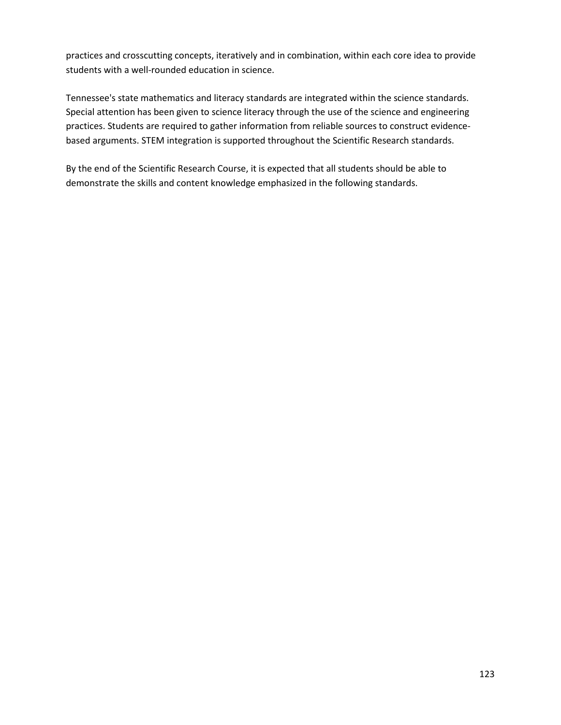practices and crosscutting concepts, iteratively and in combination, within each core idea to provide students with a well-rounded education in science.

Tennessee's state mathematics and literacy standards are integrated within the science standards. Special attention has been given to science literacy through the use of the science and engineering practices. Students are required to gather information from reliable sources to construct evidencebased arguments. STEM integration is supported throughout the Scientific Research standards.

By the end of the Scientific Research Course, it is expected that all students should be able to demonstrate the skills and content knowledge emphasized in the following standards.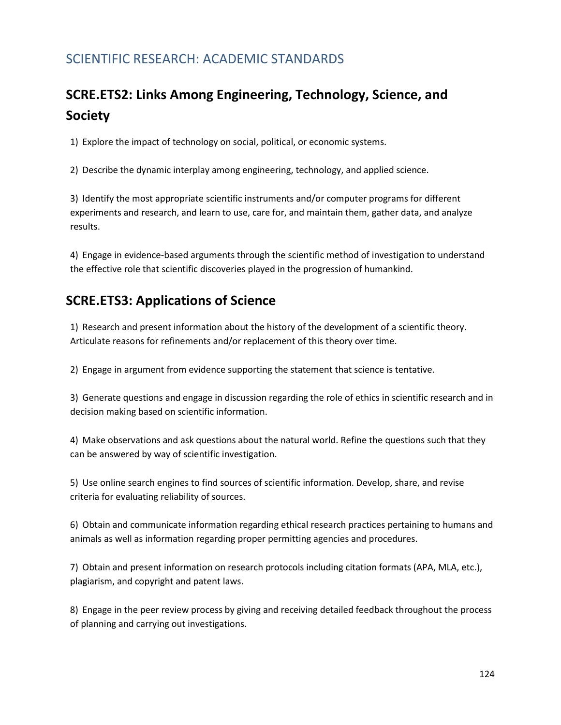## SCIENTIFIC RESEARCH: ACADEMIC STANDARDS

# **SCRE.ETS2: Links Among Engineering, Technology, Science, and Society**

1) Explore the impact of technology on social, political, or economic systems.

2) Describe the dynamic interplay among engineering, technology, and applied science.

3) Identify the most appropriate scientific instruments and/or computer programs for different experiments and research, and learn to use, care for, and maintain them, gather data, and analyze results.

4) Engage in evidence-based arguments through the scientific method of investigation to understand the effective role that scientific discoveries played in the progression of humankind.

### **SCRE.ETS3: Applications of Science**

1) Research and present information about the history of the development of a scientific theory. Articulate reasons for refinements and/or replacement of this theory over time.

2) Engage in argument from evidence supporting the statement that science is tentative.

3) Generate questions and engage in discussion regarding the role of ethics in scientific research and in decision making based on scientific information.

4) Make observations and ask questions about the natural world. Refine the questions such that they can be answered by way of scientific investigation.

5) Use online search engines to find sources of scientific information. Develop, share, and revise criteria for evaluating reliability of sources.

6) Obtain and communicate information regarding ethical research practices pertaining to humans and animals as well as information regarding proper permitting agencies and procedures.

7) Obtain and present information on research protocols including citation formats (APA, MLA, etc.), plagiarism, and copyright and patent laws.

8) Engage in the peer review process by giving and receiving detailed feedback throughout the process of planning and carrying out investigations.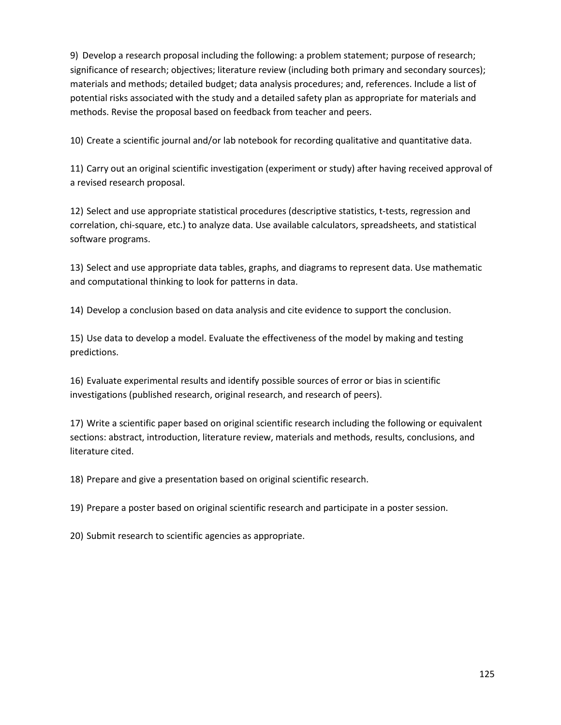9) Develop a research proposal including the following: a problem statement; purpose of research; significance of research; objectives; literature review (including both primary and secondary sources); materials and methods; detailed budget; data analysis procedures; and, references. Include a list of potential risks associated with the study and a detailed safety plan as appropriate for materials and methods. Revise the proposal based on feedback from teacher and peers.

10) Create a scientific journal and/or lab notebook for recording qualitative and quantitative data.

11) Carry out an original scientific investigation (experiment or study) after having received approval of a revised research proposal.

12) Select and use appropriate statistical procedures (descriptive statistics, t-tests, regression and correlation, chi-square, etc.) to analyze data. Use available calculators, spreadsheets, and statistical software programs.

13) Select and use appropriate data tables, graphs, and diagrams to represent data. Use mathematic and computational thinking to look for patterns in data.

14) Develop a conclusion based on data analysis and cite evidence to support the conclusion.

15) Use data to develop a model. Evaluate the effectiveness of the model by making and testing predictions.

16) Evaluate experimental results and identify possible sources of error or bias in scientific investigations (published research, original research, and research of peers).

17) Write a scientific paper based on original scientific research including the following or equivalent sections: abstract, introduction, literature review, materials and methods, results, conclusions, and literature cited.

18) Prepare and give a presentation based on original scientific research.

19) Prepare a poster based on original scientific research and participate in a poster session.

20) Submit research to scientific agencies as appropriate.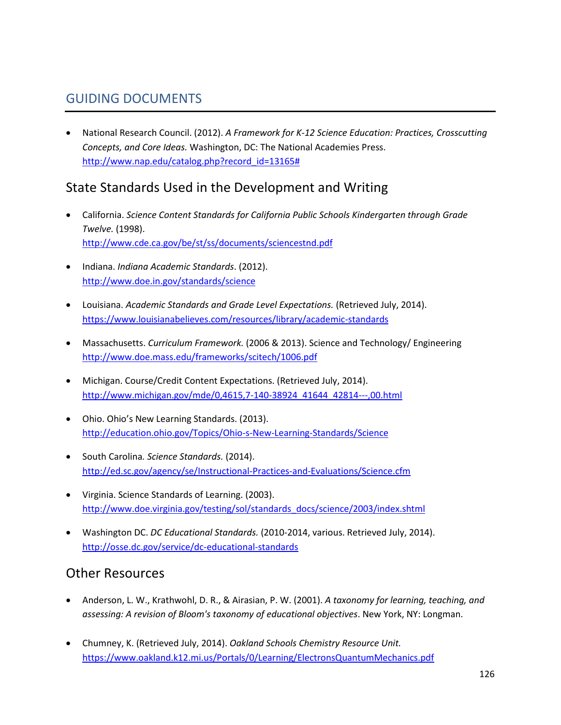### GUIDING DOCUMENTS

• National Research Council. (2012). *A Framework for K-12 Science Education: Practices, Crosscutting Concepts, and Core Ideas.* Washington, DC: The National Academies Press. [http://www.nap.edu/catalog.php?record\\_id=13165#](http://www.nap.edu/catalog.php?record_id=13165)

## State Standards Used in the Development and Writing

- California. *Science Content Standards for California Public Schools Kindergarten through Grade Twelve.* (1998). <http://www.cde.ca.gov/be/st/ss/documents/sciencestnd.pdf>
- Indiana. *Indiana Academic Standards*. (2012). <http://www.doe.in.gov/standards/science>
- Louisiana. *Academic Standards and Grade Level Expectations.* (Retrieved July, 2014). <https://www.louisianabelieves.com/resources/library/academic-standards>
- Massachusetts. *Curriculum Framework.* (2006 & 2013). Science and Technology/ Engineering <http://www.doe.mass.edu/frameworks/scitech/1006.pdf>
- Michigan. Course/Credit Content Expectations. (Retrieved July, 2014). [http://www.michigan.gov/mde/0,4615,7-140-38924\\_41644\\_42814---,00.html](http://www.michigan.gov/mde/0,4615,7-140-38924_41644_42814---,00.html)
- Ohio. Ohio's New Learning Standards. (2013). <http://education.ohio.gov/Topics/Ohio-s-New-Learning-Standards/Science>
- South Carolina*. Science Standards.* (2014). <http://ed.sc.gov/agency/se/Instructional-Practices-and-Evaluations/Science.cfm>
- Virginia. Science Standards of Learning. (2003). [http://www.doe.virginia.gov/testing/sol/standards\\_docs/science/2003/index.shtml](http://www.doe.virginia.gov/testing/sol/standards_docs/science/2003/index.shtml)
- Washington DC. *DC Educational Standards.* (2010-2014, various. Retrieved July, 2014). <http://osse.dc.gov/service/dc-educational-standards>

#### Other Resources

- Anderson, L. W., Krathwohl, D. R., & Airasian, P. W. (2001). *A taxonomy for learning, teaching, and assessing: A revision of Bloom's taxonomy of educational objectives*. New York, NY: Longman.
- Chumney, K. (Retrieved July, 2014). *Oakland Schools Chemistry Resource Unit.* <https://www.oakland.k12.mi.us/Portals/0/Learning/ElectronsQuantumMechanics.pdf>